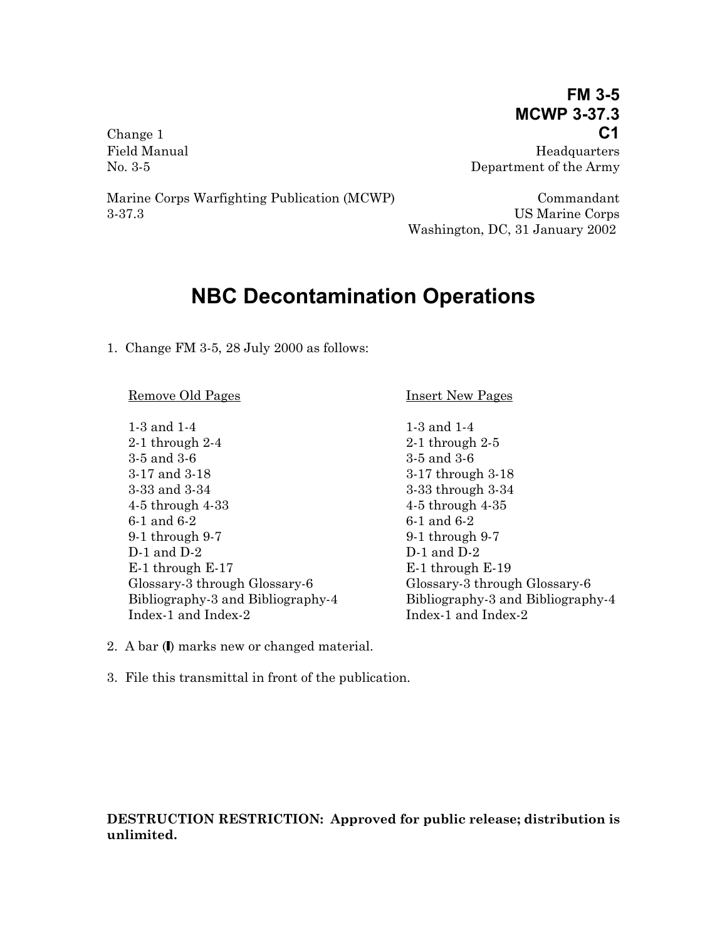No. 3-5 Department of the Army

**MCWP 3-37.3 Change 1** Change 1 Field Manual Headquarters

**FM 3-5**

Marine Corps Warfighting Publication (MCWP) Commandant 3-37.3 US Marine Corps

Washington, DC, 31 January 2002

# **NBC Decontamination Operations**

1. Change FM 3-5, 28 July 2000 as follows:

Remove Old Pages Insert New Pages 1-3 and 1-4 1-3 and 1-4 2-1 through 2-4 2-1 through 2-5 3-5 and 3-6 3-5 and 3-6 3-17 and 3-18 3-17 through 3-18 3-33 and 3-34 3-33 through 3-34 4-5 through 4-33 4-5 through 4-35 6-1 and 6-2 6-1 and 6-2 9-1 through 9-7 9-1 through 9-7 D-1 and D-2 D-1 and D-2 E-1 through E-17 E-1 through E-19 Glossary-3 through Glossary-6 Glossary-3 through Glossary-6 Bibliography-3 and Bibliography-4 Bibliography-3 and Bibliography-4 Index-1 and Index-2 Index-1 and Index-2

- 2. A bar (I) marks new or changed material.
- 3. File this transmittal in front of the publication.

**DESTRUCTION RESTRICTION: Approved for public release; distribution is unlimited.**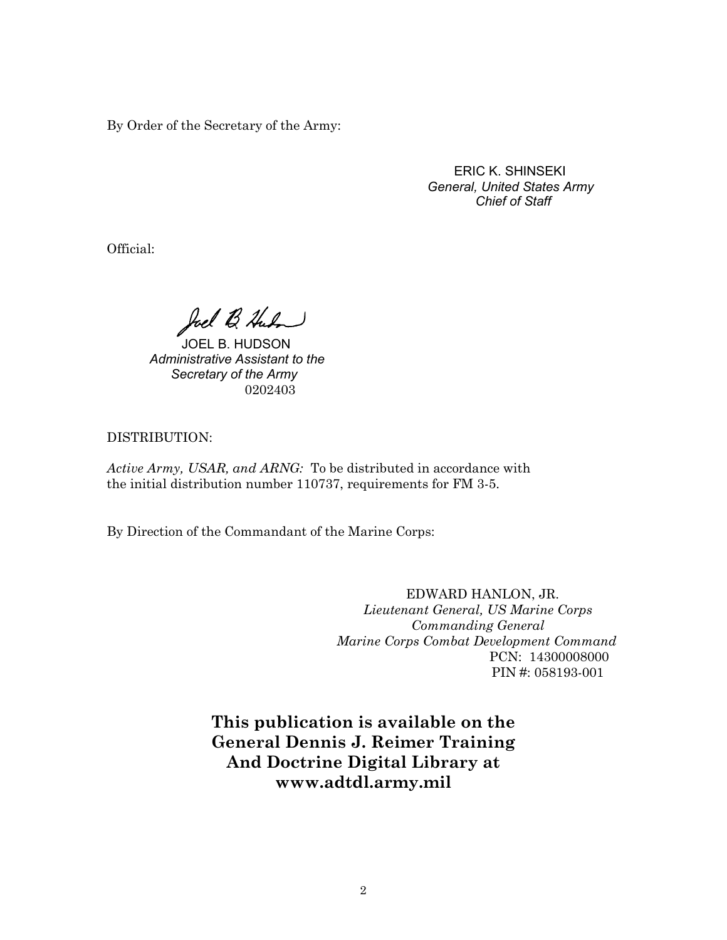By Order of the Secretary of the Army:

ERIC K. SHINSEKI *General, United States Army Chief of Staff*

Official:

Joel B. Hub

JOEL B. HUDSON *Administrative Assistant to the Secretary of the Army* 0202403

DISTRIBUTION:

*Active Army, USAR, and ARNG:* To be distributed in accordance with the initial distribution number 110737, requirements for FM 3-5.

By Direction of the Commandant of the Marine Corps:

EDWARD HANLON, JR. *Lieutenant General, US Marine Corps Commanding General Marine Corps Combat Development Command* PCN: 14300008000 PIN #: 058193-001

**This publication is available on the General Dennis J. Reimer Training And Doctrine Digital Library at www.adtdl.army.mil**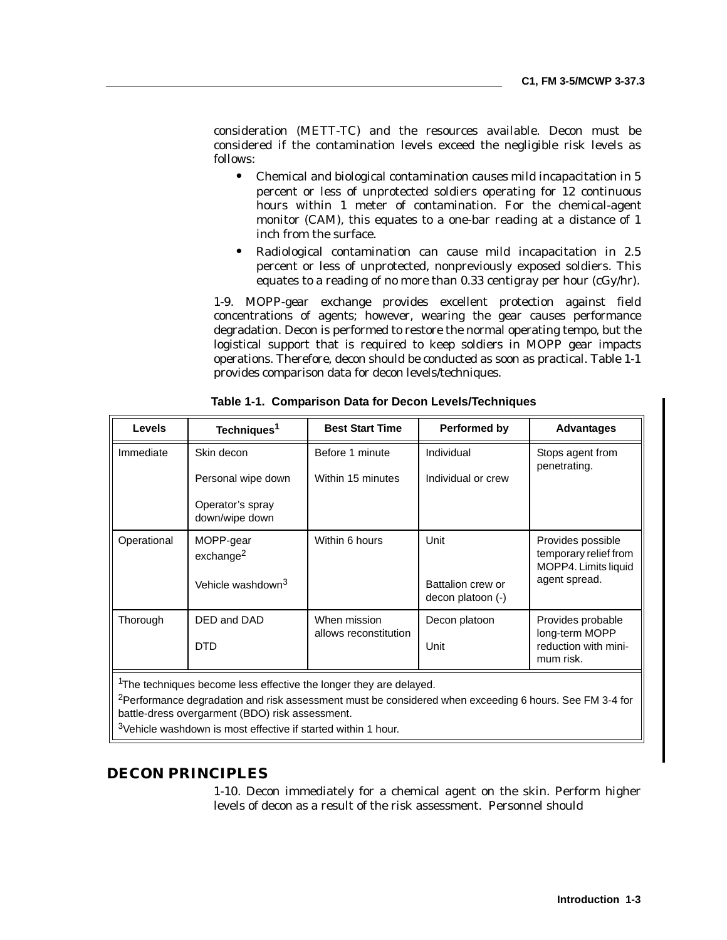consideration (METT-TC) and the resources available. Decon must be considered if the contamination levels exceed the negligible risk levels as follows:

- **•** Chemical and biological contamination causes mild incapacitation in 5 percent or less of unprotected soldiers operating for 12 continuous hours within 1 meter of contamination. For the chemical-agent monitor (CAM), this equates to a one-bar reading at a distance of 1 inch from the surface.
- **•** Radiological contamination can cause mild incapacitation in 2.5 percent or less of unprotected, nonpreviously exposed soldiers. This equates to a reading of no more than 0.33 centigray per hour (cGy/hr).

1-9. MOPP-gear exchange provides excellent protection against field concentrations of agents; however, wearing the gear causes performance degradation. Decon is performed to restore the normal operating tempo, but the logistical support that is required to keep soldiers in MOPP gear impacts operations. Therefore, decon should be conducted as soon as practical. Table 1-1 provides comparison data for decon levels/techniques.

| <b>Levels</b> | Techniques <sup>1</sup>            | <b>Best Start Time</b>                | Performed by                           | <b>Advantages</b>                                                  |
|---------------|------------------------------------|---------------------------------------|----------------------------------------|--------------------------------------------------------------------|
| Immediate     | Skin decon                         | Before 1 minute                       | Individual                             | Stops agent from<br>penetrating.                                   |
|               | Personal wipe down                 | Within 15 minutes                     | Individual or crew                     |                                                                    |
|               | Operator's spray<br>down/wipe down |                                       |                                        |                                                                    |
| Operational   | MOPP-gear<br>$\text{exchange}^2$   | Within 6 hours                        | Unit                                   | Provides possible<br>temporary relief from<br>MOPP4. Limits liquid |
|               | Vehicle washdown <sup>3</sup>      |                                       | Battalion crew or<br>decon platoon (-) | agent spread.                                                      |
| Thorough      | DED and DAD                        | When mission<br>allows reconstitution | Decon platoon                          | Provides probable<br>long-term MOPP                                |
|               | <b>DTD</b>                         |                                       | Unit                                   | reduction with mini-<br>mum risk.                                  |

**Table 1-1. Comparison Data for Decon Levels/Techniques**

<sup>1</sup>The techniques become less effective the longer they are delayed.

<sup>2</sup>Performance degradation and risk assessment must be considered when exceeding 6 hours. See FM 3-4 for battle-dress overgarment (BDO) risk assessment.

<sup>3</sup>Vehicle washdown is most effective if started within 1 hour.

## **DECON PRINCIPLES**

1-10. Decon immediately for a chemical agent on the skin. Perform higher levels of decon as a result of the risk assessment. Personnel should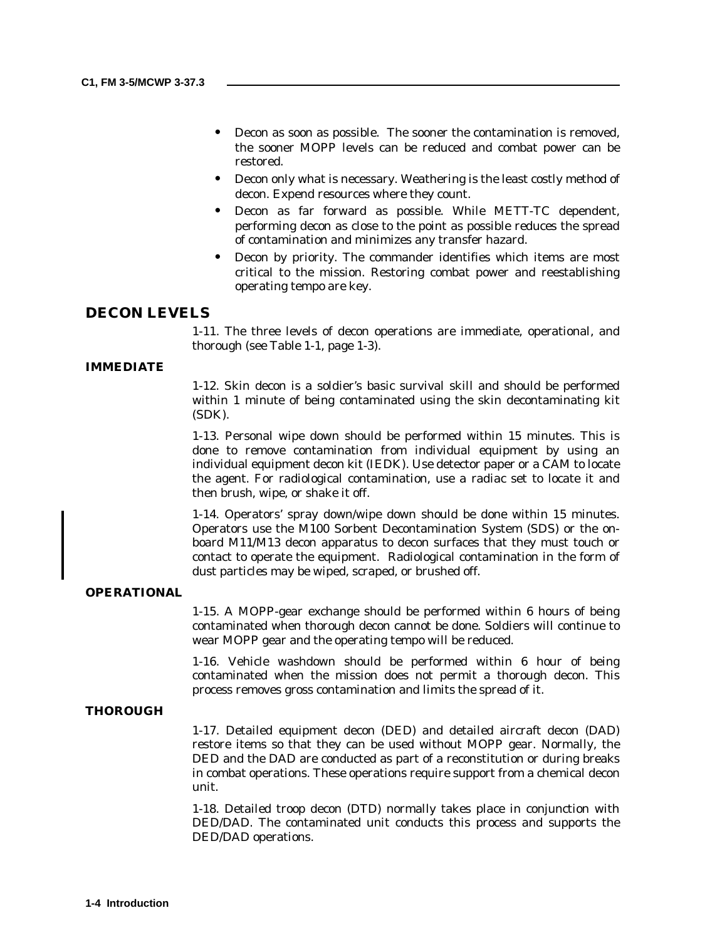- **•** Decon as soon as possible. The sooner the contamination is removed, the sooner MOPP levels can be reduced and combat power can be restored.
- **•** Decon only what is necessary. Weathering is the least costly method of decon. Expend resources where they count.
- **•** Decon as far forward as possible. While METT-TC dependent, performing decon as close to the point as possible reduces the spread of contamination and minimizes any transfer hazard.
- **•** Decon by priority. The commander identifies which items are most critical to the mission. Restoring combat power and reestablishing operating tempo are key.

## **DECON LEVELS**

1-11. The three levels of decon operations are immediate, operational, and thorough (see Table 1-1, page 1-3).

### **IMMEDIATE**

1-12. Skin decon is a soldier's basic survival skill and should be performed within 1 minute of being contaminated using the skin decontaminating kit (SDK).

1-13. Personal wipe down should be performed within 15 minutes. This is done to remove contamination from individual equipment by using an individual equipment decon kit (IEDK). Use detector paper or a CAM to locate the agent. For radiological contamination, use a radiac set to locate it and then brush, wipe, or shake it off.

1-14. Operators' spray down/wipe down should be done within 15 minutes. Operators use the M100 Sorbent Decontamination System (SDS) or the onboard M11/M13 decon apparatus to decon surfaces that they must touch or contact to operate the equipment. Radiological contamination in the form of dust particles may be wiped, scraped, or brushed off.

### **OPERATIONAL**

1-15. A MOPP-gear exchange should be performed within 6 hours of being contaminated when thorough decon cannot be done. Soldiers will continue to wear MOPP gear and the operating tempo will be reduced.

1-16. Vehicle washdown should be performed within 6 hour of being contaminated when the mission does not permit a thorough decon. This process removes gross contamination and limits the spread of it.

### **THOROUGH**

1-17. Detailed equipment decon (DED) and detailed aircraft decon (DAD) restore items so that they can be used without MOPP gear. Normally, the DED and the DAD are conducted as part of a reconstitution or during breaks in combat operations. These operations require support from a chemical decon unit.

1-18. Detailed troop decon (DTD) normally takes place in conjunction with DED/DAD. The contaminated unit conducts this process and supports the DED/DAD operations.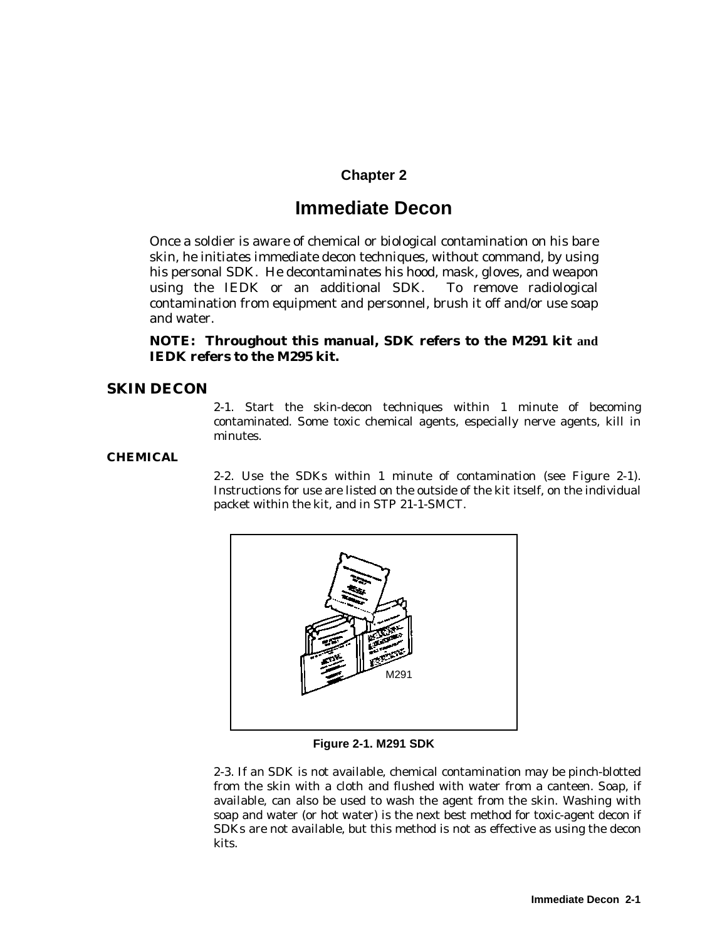# **Chapter 2**

# **Immediate Decon**

Once a soldier is aware of chemical or biological contamination on his bare skin, he initiates immediate decon techniques, without command, by using his personal SDK. He decontaminates his hood, mask, gloves, and weapon using the IEDK or an additional SDK. To remove radiological contamination from equipment and personnel, brush it off and/or use soap and water.

## **NOTE: Throughout this manual, SDK refers to the M291 kit and IEDK refers to the M295 kit.**

## **SKIN DECON**

2-1. Start the skin-decon techniques within 1 minute of becoming contaminated. Some toxic chemical agents, especially nerve agents, kill in minutes.

## **CHEMICAL**

2-2. Use the SDKs within 1 minute of contamination (see Figure 2-1). Instructions for use are listed on the outside of the kit itself, on the individual packet within the kit, and in STP 21-1-SMCT.



**Figure 2-1. M291 SDK**

2-3. If an SDK is not available, chemical contamination may be pinch-blotted from the skin with a cloth and flushed with water from a canteen. Soap, if available, can also be used to wash the agent from the skin. Washing with soap and water (or hot water) is the next best method for toxic-agent decon if SDKs are not available, but this method is not as effective as using the decon kits.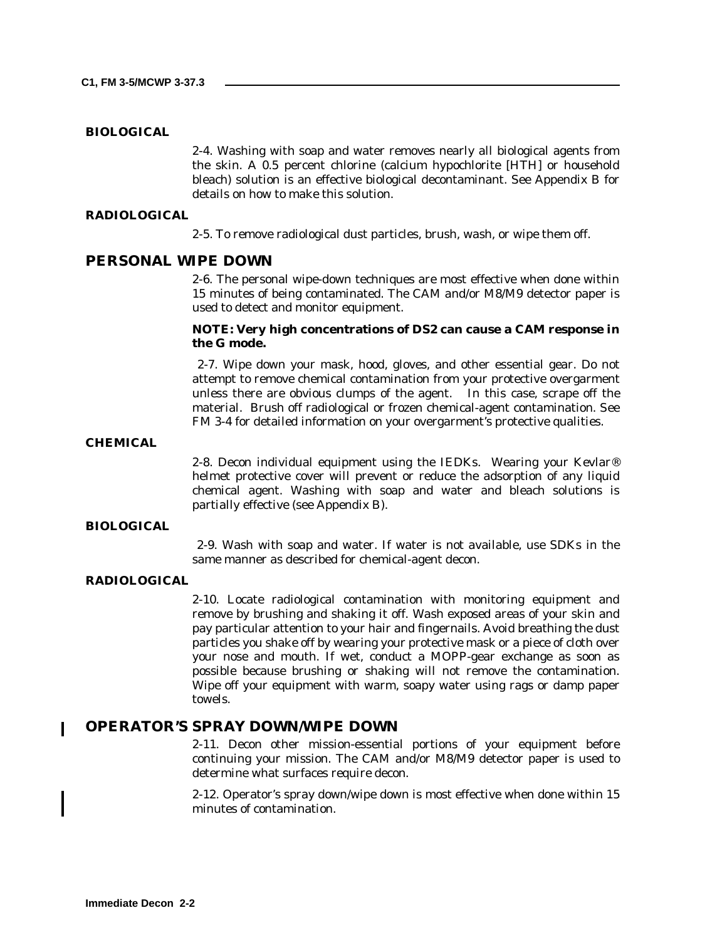### **BIOLOGICAL**

2-4. Washing with soap and water removes nearly all biological agents from the skin. A 0.5 percent chlorine (calcium hypochlorite [HTH] or household bleach) solution is an effective biological decontaminant. See Appendix B for details on how to make this solution.

### **RADIOLOGICAL**

2-5. To remove radiological dust particles, brush, wash, or wipe them off.

### **PERSONAL WIPE DOWN**

2-6. The personal wipe-down techniques are most effective when done within 15 minutes of being contaminated. The CAM and/or M8/M9 detector paper is used to detect and monitor equipment.

### **NOTE: Very high concentrations of DS2 can cause a CAM response in the G mode.**

2-7. Wipe down your mask, hood, gloves, and other essential gear. Do not attempt to remove chemical contamination from your protective overgarment unless there are obvious clumps of the agent. In this case, scrape off the material. Brush off radiological or frozen chemical-agent contamination. See FM 3-4 for detailed information on your overgarment's protective qualities.

### **CHEMICAL**

2-8. Decon individual equipment using the IEDKs. Wearing your Kevlar® helmet protective cover will prevent or reduce the adsorption of any liquid chemical agent. Washing with soap and water and bleach solutions is partially effective (see Appendix B).

### **BIOLOGICAL**

2-9. Wash with soap and water. If water is not available, use SDKs in the same manner as described for chemical-agent decon.

### **RADIOLOGICAL**

2-10. Locate radiological contamination with monitoring equipment and remove by brushing and shaking it off. Wash exposed areas of your skin and pay particular attention to your hair and fingernails. Avoid breathing the dust particles you shake off by wearing your protective mask or a piece of cloth over your nose and mouth. If wet, conduct a MOPP-gear exchange as soon as possible because brushing or shaking will not remove the contamination. Wipe off your equipment with warm, soapy water using rags or damp paper towels.

## **OPERATOR'S SPRAY DOWN/WIPE DOWN**

2-11. Decon other mission-essential portions of your equipment before continuing your mission. The CAM and/or M8/M9 detector paper is used to determine what surfaces require decon.

2-12. Operator's spray down/wipe down is most effective when done within 15 minutes of contamination.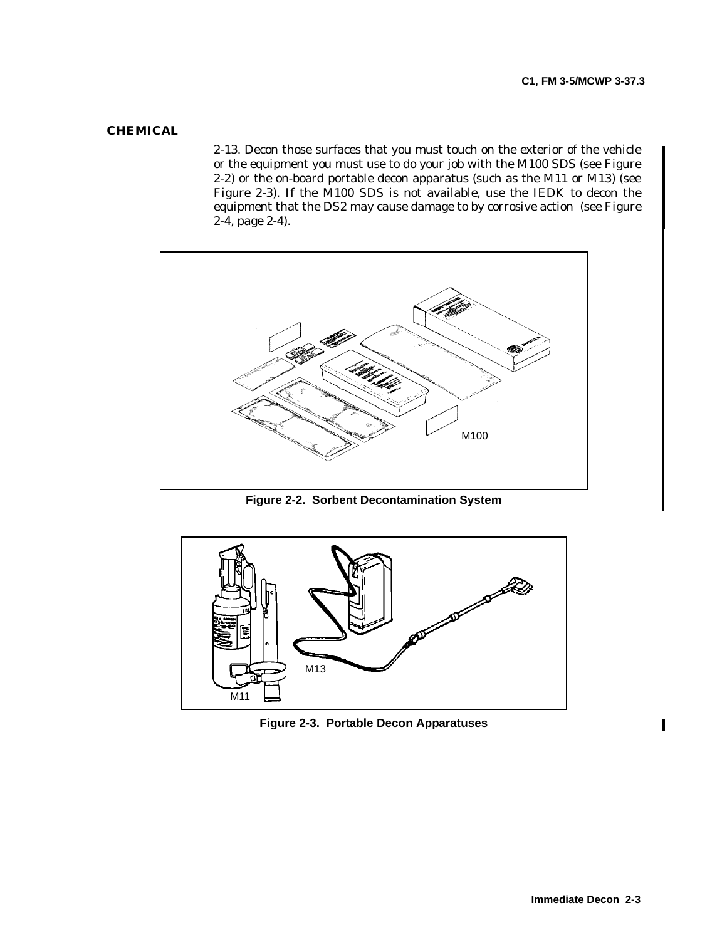## **CHEMICAL**

2-13. Decon those surfaces that you must touch on the exterior of the vehicle or the equipment you must use to do your job with the M100 SDS (see Figure 2-2) or the on-board portable decon apparatus (such as the M11 or M13) (see Figure 2-3). If the M100 SDS is not available, use the IEDK to decon the equipment that the DS2 may cause damage to by corrosive action (see Figure 2-4, page 2-4).



**Figure 2-2. Sorbent Decontamination System**



**Figure 2-3. Portable Decon Apparatuses**

 $\mathbf{I}$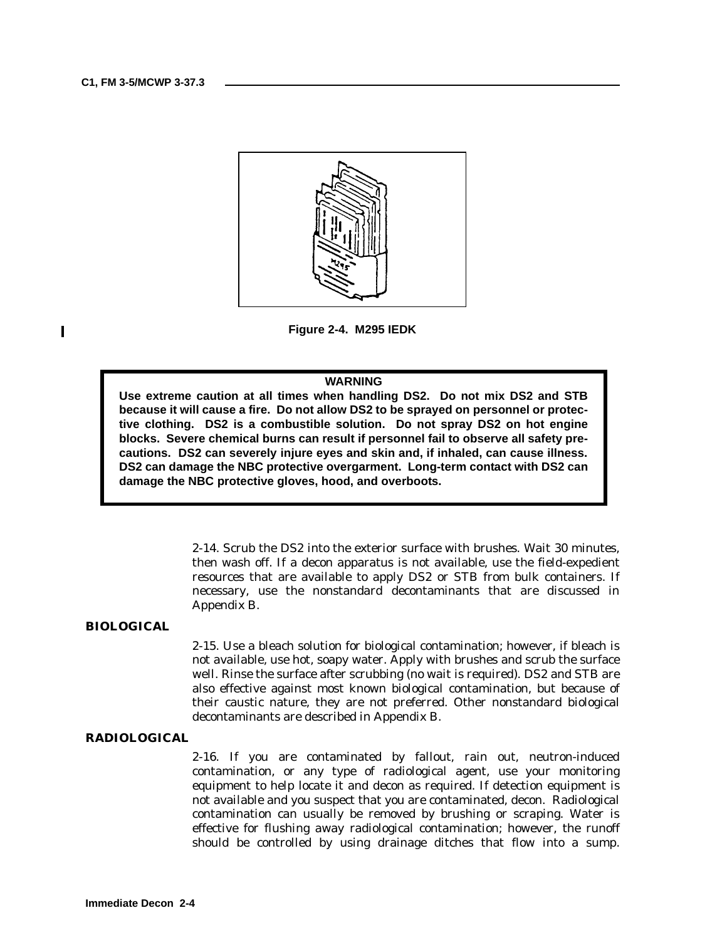

**Figure 2-4. M295 IEDK**

### **WARNING**

**Use extreme caution at all times when handling DS2. Do not mix DS2 and STB because it will cause a fire. Do not allow DS2 to be sprayed on personnel or protective clothing. DS2 is a combustible solution. Do not spray DS2 on hot engine blocks. Severe chemical burns can result if personnel fail to observe all safety precautions. DS2 can severely injure eyes and skin and, if inhaled, can cause illness. DS2 can damage the NBC protective overgarment. Long-term contact with DS2 can damage the NBC protective gloves, hood, and overboots.**

> 2-14. Scrub the DS2 into the exterior surface with brushes. Wait 30 minutes, then wash off. If a decon apparatus is not available, use the field-expedient resources that are available to apply DS2 or STB from bulk containers. If necessary, use the nonstandard decontaminants that are discussed in Appendix B.

### **BIOLOGICAL**

 $\blacksquare$ 

2-15. Use a bleach solution for biological contamination; however, if bleach is not available, use hot, soapy water. Apply with brushes and scrub the surface well. Rinse the surface after scrubbing (no wait is required). DS2 and STB are also effective against most known biological contamination, but because of their caustic nature, they are not preferred. Other nonstandard biological decontaminants are described in Appendix B.

### **RADIOLOGICAL**

2-16. If you are contaminated by fallout, rain out, neutron-induced contamination, or any type of radiological agent, use your monitoring equipment to help locate it and decon as required. If detection equipment is not available and you suspect that you are contaminated, decon. Radiological contamination can usually be removed by brushing or scraping. Water is effective for flushing away radiological contamination; however, the runoff should be controlled by using drainage ditches that flow into a sump.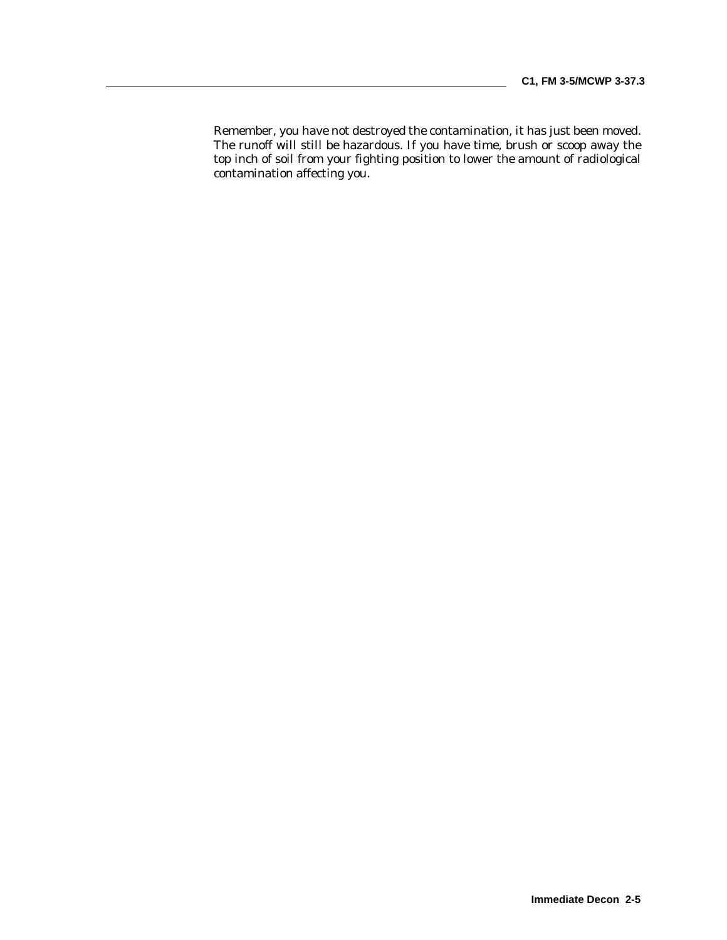Remember, you have not destroyed the contamination, it has just been moved. The runoff will still be hazardous. If you have time, brush or scoop away the top inch of soil from your fighting position to lower the amount of radiological contamination affecting you.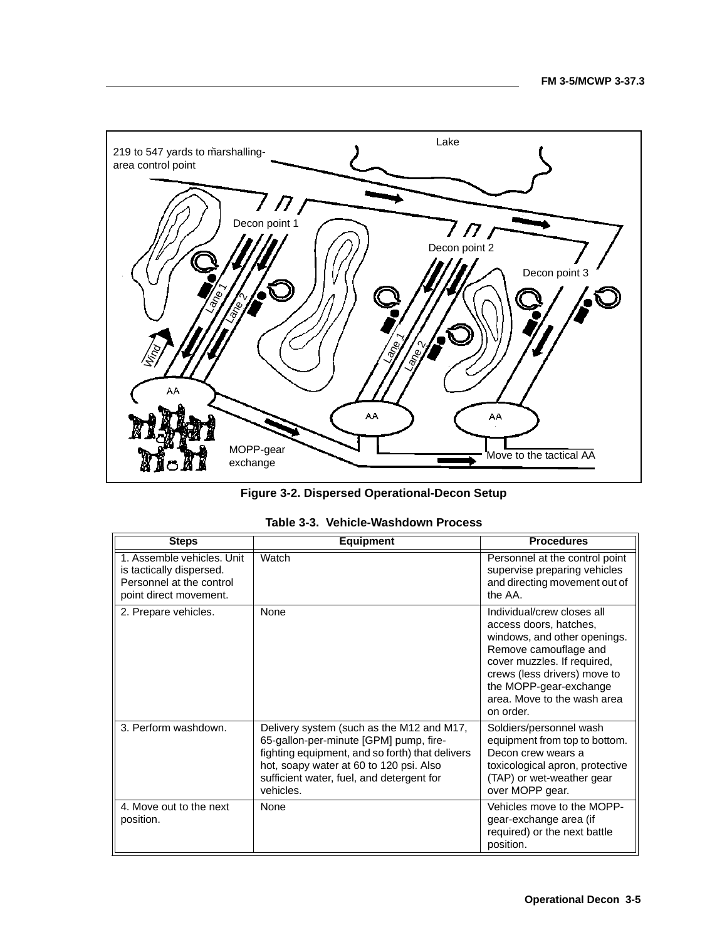

**Figure 3-2. Dispersed Operational-Decon Setup**

| <b>Steps</b>                                                                                                 | <b>Equipment</b>                                                                                                                                                                                                                            | <b>Procedures</b>                                                                                                                                                                                                                                  |
|--------------------------------------------------------------------------------------------------------------|---------------------------------------------------------------------------------------------------------------------------------------------------------------------------------------------------------------------------------------------|----------------------------------------------------------------------------------------------------------------------------------------------------------------------------------------------------------------------------------------------------|
| 1. Assemble vehicles, Unit<br>is tactically dispersed.<br>Personnel at the control<br>point direct movement. | Watch                                                                                                                                                                                                                                       | Personnel at the control point<br>supervise preparing vehicles<br>and directing movement out of<br>the AA.                                                                                                                                         |
| 2. Prepare vehicles.                                                                                         | None                                                                                                                                                                                                                                        | Individual/crew closes all<br>access doors, hatches,<br>windows, and other openings.<br>Remove camouflage and<br>cover muzzles. If required,<br>crews (less drivers) move to<br>the MOPP-gear-exchange<br>area. Move to the wash area<br>on order. |
| 3. Perform washdown.                                                                                         | Delivery system (such as the M12 and M17,<br>65-gallon-per-minute [GPM] pump, fire-<br>fighting equipment, and so forth) that delivers<br>hot, soapy water at 60 to 120 psi. Also<br>sufficient water, fuel, and detergent for<br>vehicles. | Soldiers/personnel wash<br>equipment from top to bottom.<br>Decon crew wears a<br>toxicological apron, protective<br>(TAP) or wet-weather gear<br>over MOPP gear.                                                                                  |
| 4. Move out to the next<br>position.                                                                         | None                                                                                                                                                                                                                                        | Vehicles move to the MOPP-<br>gear-exchange area (if<br>required) or the next battle<br>position.                                                                                                                                                  |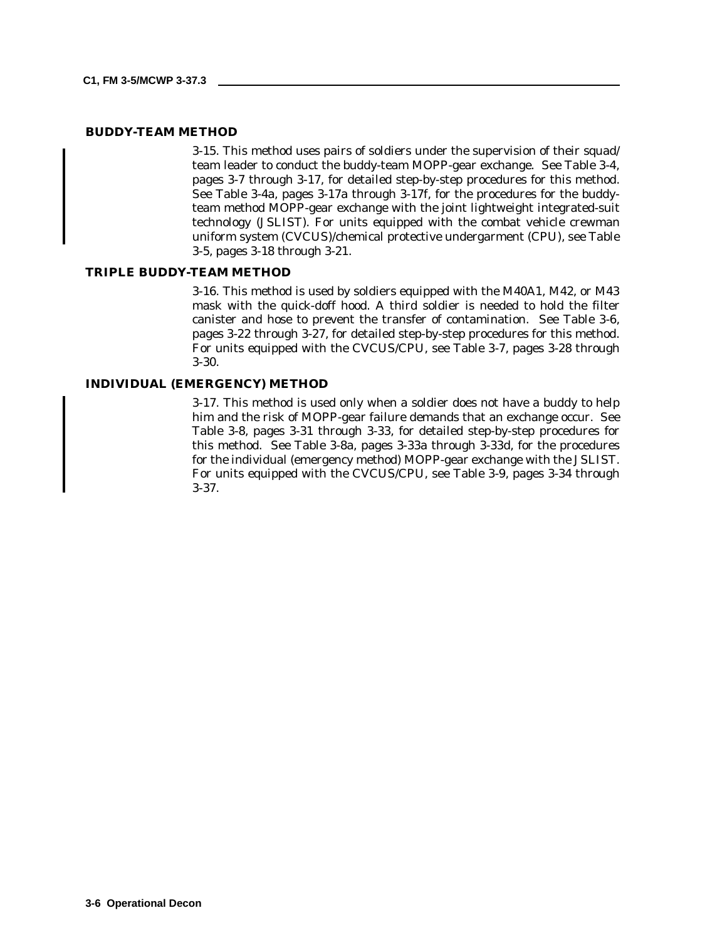### **BUDDY-TEAM METHOD**

3-15. This method uses pairs of soldiers under the supervision of their squad/ team leader to conduct the buddy-team MOPP-gear exchange. See Table 3-4, pages 3-7 through 3-17, for detailed step-by-step procedures for this method. See Table 3-4a, pages 3-17a through 3-17f, for the procedures for the buddyteam method MOPP-gear exchange with the joint lightweight integrated-suit technology (JSLIST). For units equipped with the combat vehicle crewman uniform system (CVCUS)/chemical protective undergarment (CPU), see Table 3-5, pages 3-18 through 3-21.

### **TRIPLE BUDDY-TEAM METHOD**

3-16. This method is used by soldiers equipped with the M40A1, M42, or M43 mask with the quick-doff hood. A third soldier is needed to hold the filter canister and hose to prevent the transfer of contamination. See Table 3-6, pages 3-22 through 3-27, for detailed step-by-step procedures for this method. For units equipped with the CVCUS/CPU, see Table 3-7, pages 3-28 through 3-30.

### **INDIVIDUAL (EMERGENCY) METHOD**

3-17. This method is used only when a soldier does not have a buddy to help him and the risk of MOPP-gear failure demands that an exchange occur. See Table 3-8, pages 3-31 through 3-33, for detailed step-by-step procedures for this method. See Table 3-8a, pages 3-33a through 3-33d, for the procedures for the individual (emergency method) MOPP-gear exchange with the JSLIST. For units equipped with the CVCUS/CPU, see Table 3-9, pages 3-34 through 3-37.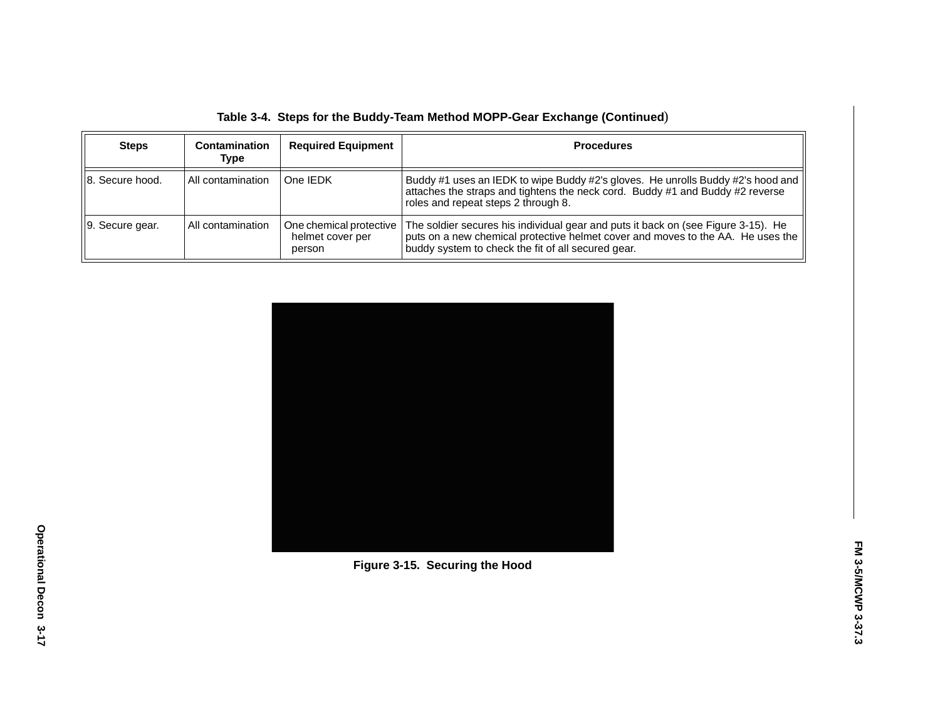|  |  | Table 3-4. Steps for the Buddy-Team Method MOPP-Gear Exchange (Continued) |  |  |  |  |
|--|--|---------------------------------------------------------------------------|--|--|--|--|
|--|--|---------------------------------------------------------------------------|--|--|--|--|

| <b>Steps</b>     | <b>Contamination</b><br>Type | <b>Required Equipment</b>                             | <b>Procedures</b>                                                                                                                                                                                                          |
|------------------|------------------------------|-------------------------------------------------------|----------------------------------------------------------------------------------------------------------------------------------------------------------------------------------------------------------------------------|
| 18. Secure hood. | All contamination            | One IEDK                                              | Buddy #1 uses an IEDK to wipe Buddy #2's gloves. He unrolls Buddy #2's hood and<br>attaches the straps and tightens the neck cord. Buddy #1 and Buddy #2 reverse<br>roles and repeat steps 2 through 8.                    |
| 19. Secure gear. | All contamination            | One chemical protective<br>helmet cover per<br>person | The soldier secures his individual gear and puts it back on (see Figure 3-15). He<br>puts on a new chemical protective helmet cover and moves to the AA. He uses the<br>buddy system to check the fit of all secured gear. |



**Figure 3-15. Securing the Hood**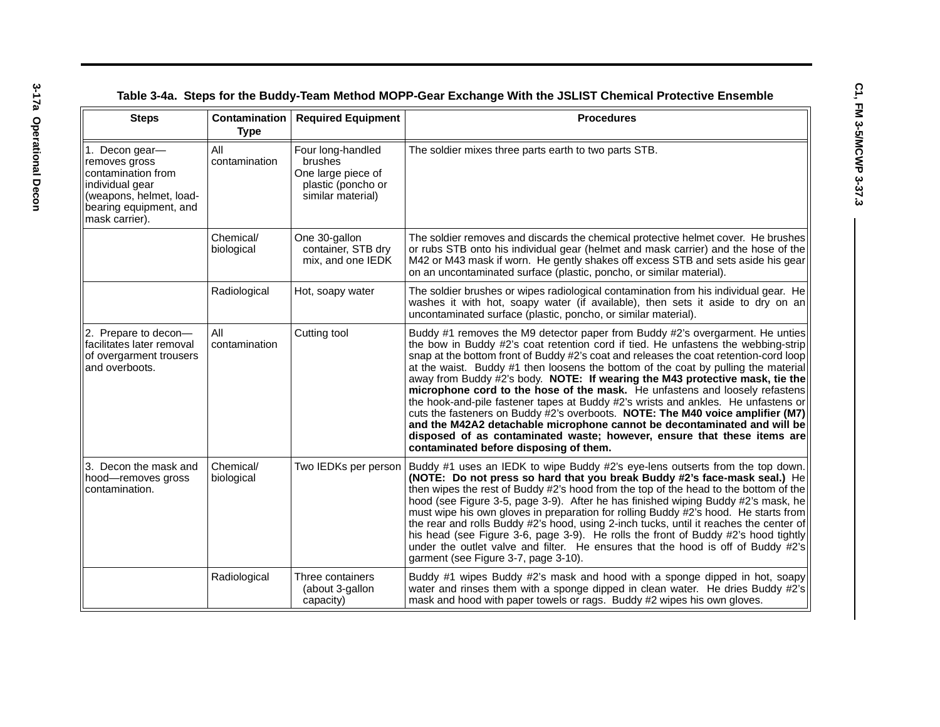| í      |
|--------|
| ı<br>ì |
|        |
| ,      |
|        |
|        |
|        |
|        |
|        |
| ٠      |
|        |

| <b>Steps</b>                                                                                                                                    | <b>Type</b>             | <b>Contamination   Required Equipment</b>                                                     | <b>Procedures</b>                                                                                                                                                                                                                                                                                                                                                                                                                                                                                                                                                                                                                                                                                                                                                                                                                                                                        |
|-------------------------------------------------------------------------------------------------------------------------------------------------|-------------------------|-----------------------------------------------------------------------------------------------|------------------------------------------------------------------------------------------------------------------------------------------------------------------------------------------------------------------------------------------------------------------------------------------------------------------------------------------------------------------------------------------------------------------------------------------------------------------------------------------------------------------------------------------------------------------------------------------------------------------------------------------------------------------------------------------------------------------------------------------------------------------------------------------------------------------------------------------------------------------------------------------|
| 1. Decon gear-<br>removes gross<br>contamination from<br>individual gear<br>(weapons, helmet, load-<br>bearing equipment, and<br>mask carrier). | All<br>contamination    | Four long-handled<br>brushes<br>One large piece of<br>plastic (poncho or<br>similar material) | The soldier mixes three parts earth to two parts STB.                                                                                                                                                                                                                                                                                                                                                                                                                                                                                                                                                                                                                                                                                                                                                                                                                                    |
|                                                                                                                                                 | Chemical/<br>biological | One 30-gallon<br>container, STB dry<br>mix, and one IEDK                                      | The soldier removes and discards the chemical protective helmet cover. He brushes<br>or rubs STB onto his individual gear (helmet and mask carrier) and the hose of the<br>M42 or M43 mask if worn. He gently shakes off excess STB and sets aside his gear<br>on an uncontaminated surface (plastic, poncho, or similar material).                                                                                                                                                                                                                                                                                                                                                                                                                                                                                                                                                      |
|                                                                                                                                                 | Radiological            | Hot, soapy water                                                                              | The soldier brushes or wipes radiological contamination from his individual gear. He<br>washes it with hot, soapy water (if available), then sets it aside to dry on an<br>uncontaminated surface (plastic, poncho, or similar material).                                                                                                                                                                                                                                                                                                                                                                                                                                                                                                                                                                                                                                                |
| 2. Prepare to decon-<br>facilitates later removal<br>of overgarment trousers<br>and overboots.                                                  | All<br>contamination    | Cutting tool                                                                                  | Buddy #1 removes the M9 detector paper from Buddy #2's overgarment. He unties<br>the bow in Buddy #2's coat retention cord if tied. He unfastens the webbing-strip<br>snap at the bottom front of Buddy #2's coat and releases the coat retention-cord loop<br>at the waist. Buddy #1 then loosens the bottom of the coat by pulling the material<br>away from Buddy #2's body. NOTE: If wearing the M43 protective mask, tie the<br>microphone cord to the hose of the mask. He unfastens and loosely refastens<br>the hook-and-pile fastener tapes at Buddy #2's wrists and ankles. He unfastens or<br>cuts the fasteners on Buddy #2's overboots. NOTE: The M40 voice amplifier (M7)<br>and the M42A2 detachable microphone cannot be decontaminated and will be<br>disposed of as contaminated waste; however, ensure that these items are<br>contaminated before disposing of them. |
| 3. Decon the mask and<br>hood-removes gross<br>contamination.                                                                                   | Chemical/<br>biological | Two IEDKs per person                                                                          | Buddy #1 uses an IEDK to wipe Buddy #2's eye-lens outserts from the top down.<br>(NOTE: Do not press so hard that you break Buddy #2's face-mask seal.) He<br>then wipes the rest of Buddy #2's hood from the top of the head to the bottom of the<br>hood (see Figure 3-5, page 3-9). After he has finished wiping Buddy #2's mask, he<br>must wipe his own gloves in preparation for rolling Buddy #2's hood. He starts from<br>the rear and rolls Buddy #2's hood, using 2-inch tucks, until it reaches the center of<br>his head (see Figure 3-6, page 3-9). He rolls the front of Buddy #2's hood tightly<br>under the outlet valve and filter. He ensures that the hood is off of Buddy $\#2$ 's<br>garment (see Figure 3-7, page 3-10).                                                                                                                                           |
|                                                                                                                                                 | Radiological            | Three containers<br>(about 3-gallon<br>capacity)                                              | Buddy #1 wipes Buddy #2's mask and hood with a sponge dipped in hot, soapy<br>water and rinses them with a sponge dipped in clean water. He dries Buddy #2's<br>mask and hood with paper towels or rags. Buddy #2 wipes his own gloves.                                                                                                                                                                                                                                                                                                                                                                                                                                                                                                                                                                                                                                                  |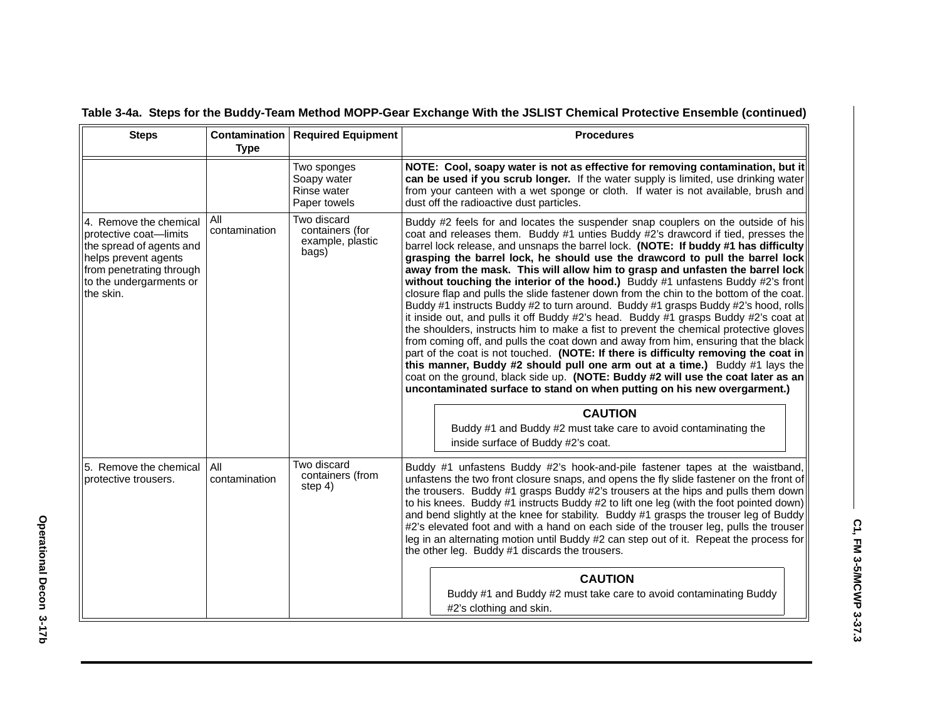| <b>Steps</b>                                                                                                                                                               | <b>Type</b>          | <b>Contamination   Required Equipment</b>                   | <b>Procedures</b>                                                                                                                                                                                                                                                                                                                                                                                                                                                                                                                                                                                                                                                                                                                                                                                                                                                                                                                                                                                                                                                                                                                                                                                                                                                                                                                                                                                                                        |
|----------------------------------------------------------------------------------------------------------------------------------------------------------------------------|----------------------|-------------------------------------------------------------|------------------------------------------------------------------------------------------------------------------------------------------------------------------------------------------------------------------------------------------------------------------------------------------------------------------------------------------------------------------------------------------------------------------------------------------------------------------------------------------------------------------------------------------------------------------------------------------------------------------------------------------------------------------------------------------------------------------------------------------------------------------------------------------------------------------------------------------------------------------------------------------------------------------------------------------------------------------------------------------------------------------------------------------------------------------------------------------------------------------------------------------------------------------------------------------------------------------------------------------------------------------------------------------------------------------------------------------------------------------------------------------------------------------------------------------|
|                                                                                                                                                                            |                      | Two sponges<br>Soapy water<br>Rinse water<br>Paper towels   | NOTE: Cool, soapy water is not as effective for removing contamination, but it<br>can be used if you scrub longer. If the water supply is limited, use drinking water<br>from your canteen with a wet sponge or cloth. If water is not available, brush and<br>dust off the radioactive dust particles.                                                                                                                                                                                                                                                                                                                                                                                                                                                                                                                                                                                                                                                                                                                                                                                                                                                                                                                                                                                                                                                                                                                                  |
| 4. Remove the chemical<br>protective coat-limits<br>the spread of agents and<br>helps prevent agents<br>from penetrating through<br>to the undergarments or<br>llthe skin. | All<br>contamination | Two discard<br>containers (for<br>example, plastic<br>bags) | Buddy #2 feels for and locates the suspender snap couplers on the outside of his<br>coat and releases them. Buddy #1 unties Buddy #2's drawcord if tied, presses the<br>barrel lock release, and unsnaps the barrel lock. (NOTE: If buddy #1 has difficulty<br>grasping the barrel lock, he should use the drawcord to pull the barrel lock<br>away from the mask. This will allow him to grasp and unfasten the barrel lock<br>without touching the interior of the hood.) Buddy #1 unfastens Buddy #2's front<br>closure flap and pulls the slide fastener down from the chin to the bottom of the coat.<br>Buddy #1 instructs Buddy #2 to turn around. Buddy #1 grasps Buddy #2's hood, rolls<br>it inside out, and pulls it off Buddy #2's head. Buddy #1 grasps Buddy #2's coat at<br>the shoulders, instructs him to make a fist to prevent the chemical protective gloves<br>from coming off, and pulls the coat down and away from him, ensuring that the black<br>part of the coat is not touched. (NOTE: If there is difficulty removing the coat in<br>this manner, Buddy #2 should pull one arm out at a time.) Buddy #1 lays the<br>coat on the ground, black side up. (NOTE: Buddy #2 will use the coat later as an<br>uncontaminated surface to stand on when putting on his new overgarment.)<br><b>CAUTION</b><br>Buddy #1 and Buddy #2 must take care to avoid contaminating the<br>inside surface of Buddy #2's coat. |
| 5. Remove the chemical<br>I protective trousers.                                                                                                                           | All<br>contamination | Two discard<br>containers (from<br>step 4)                  | Buddy #1 unfastens Buddy #2's hook-and-pile fastener tapes at the waistband,<br>unfastens the two front closure snaps, and opens the fly slide fastener on the front of<br>the trousers. Buddy #1 grasps Buddy #2's trousers at the hips and pulls them down<br>to his knees. Buddy #1 instructs Buddy #2 to lift one leg (with the foot pointed down)<br>and bend slightly at the knee for stability. Buddy #1 grasps the trouser leg of Buddy<br>#2's elevated foot and with a hand on each side of the trouser leg, pulls the trouser<br>leg in an alternating motion until Buddy #2 can step out of it. Repeat the process for<br>the other leg. Buddy #1 discards the trousers.<br><b>CAUTION</b><br>Buddy #1 and Buddy #2 must take care to avoid contaminating Buddy<br>#2's clothing and skin.                                                                                                                                                                                                                                                                                                                                                                                                                                                                                                                                                                                                                                   |

# Table 3-4a. Steps for the Buddy-Team Method MOPP-Gear Exchange With the JSLIST Chemical Protective Ensemble (continued)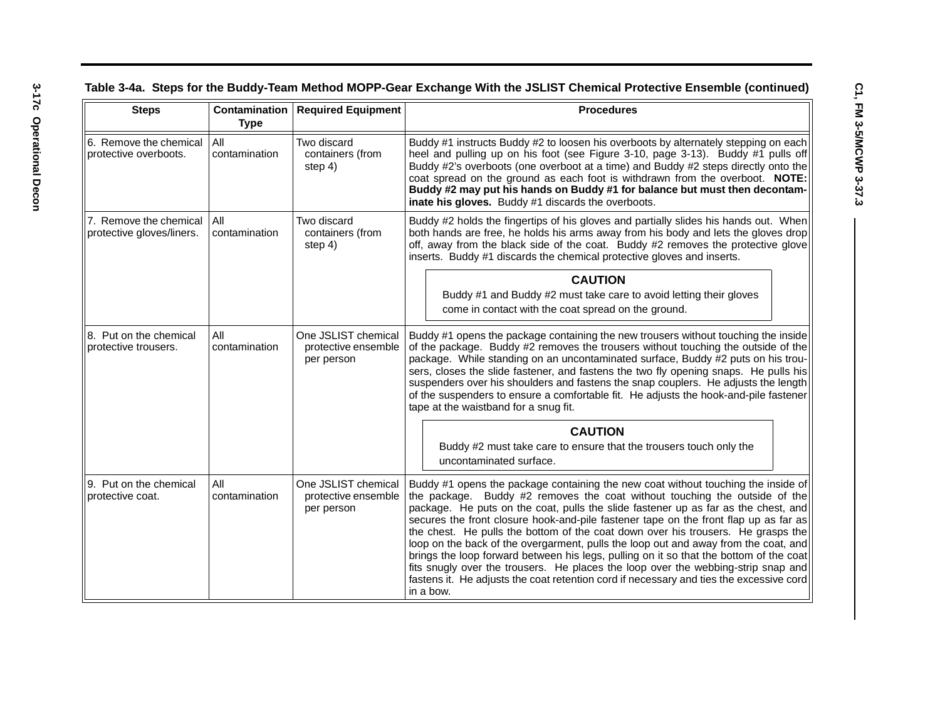| <b>Steps</b>                                        | <b>Type</b>          | <b>Contamination   Required Equipment</b>                | <b>Procedures</b>                                                                                                                                                                                                                                                                                                                                                                                                                                                                                                                                                                                                                                                                                                                                                                                               |
|-----------------------------------------------------|----------------------|----------------------------------------------------------|-----------------------------------------------------------------------------------------------------------------------------------------------------------------------------------------------------------------------------------------------------------------------------------------------------------------------------------------------------------------------------------------------------------------------------------------------------------------------------------------------------------------------------------------------------------------------------------------------------------------------------------------------------------------------------------------------------------------------------------------------------------------------------------------------------------------|
| 6. Remove the chemical<br>protective overboots.     | All<br>contamination | Two discard<br>containers (from<br>step 4)               | Buddy #1 instructs Buddy #2 to loosen his overboots by alternately stepping on each<br>heel and pulling up on his foot (see Figure 3-10, page 3-13). Buddy #1 pulls off<br>Buddy #2's overboots (one overboot at a time) and Buddy #2 steps directly onto the<br>coat spread on the ground as each foot is withdrawn from the overboot. NOTE:<br>Buddy #2 may put his hands on Buddy #1 for balance but must then decontam-<br>inate his gloves. Buddy #1 discards the overboots.                                                                                                                                                                                                                                                                                                                               |
| 7. Remove the chemical<br>protective gloves/liners. | All<br>contamination | Two discard<br>containers (from<br>step 4)               | Buddy #2 holds the fingertips of his gloves and partially slides his hands out. When<br>both hands are free, he holds his arms away from his body and lets the gloves drop<br>off, away from the black side of the coat. Buddy #2 removes the protective glove<br>inserts. Buddy #1 discards the chemical protective gloves and inserts.                                                                                                                                                                                                                                                                                                                                                                                                                                                                        |
|                                                     |                      |                                                          | <b>CAUTION</b><br>Buddy #1 and Buddy #2 must take care to avoid letting their gloves<br>come in contact with the coat spread on the ground.                                                                                                                                                                                                                                                                                                                                                                                                                                                                                                                                                                                                                                                                     |
| 8. Put on the chemical<br>protective trousers.      | All<br>contamination | One JSLIST chemical<br>protective ensemble<br>per person | Buddy #1 opens the package containing the new trousers without touching the inside<br>of the package. Buddy #2 removes the trousers without touching the outside of the<br>package. While standing on an uncontaminated surface, Buddy #2 puts on his trou-<br>sers, closes the slide fastener, and fastens the two fly opening snaps. He pulls his<br>suspenders over his shoulders and fastens the snap couplers. He adjusts the length<br>of the suspenders to ensure a comfortable fit. He adjusts the hook-and-pile fastener<br>tape at the waistband for a snug fit.                                                                                                                                                                                                                                      |
|                                                     |                      |                                                          | <b>CAUTION</b><br>Buddy #2 must take care to ensure that the trousers touch only the<br>uncontaminated surface.                                                                                                                                                                                                                                                                                                                                                                                                                                                                                                                                                                                                                                                                                                 |
| 9. Put on the chemical<br>protective coat.          | All<br>contamination | One JSLIST chemical<br>protective ensemble<br>per person | Buddy #1 opens the package containing the new coat without touching the inside of<br>the package. Buddy #2 removes the coat without touching the outside of the<br>package. He puts on the coat, pulls the slide fastener up as far as the chest, and<br>secures the front closure hook-and-pile fastener tape on the front flap up as far as<br>the chest. He pulls the bottom of the coat down over his trousers. He grasps the<br>loop on the back of the overgarment, pulls the loop out and away from the coat, and<br>brings the loop forward between his legs, pulling on it so that the bottom of the coat<br>fits snugly over the trousers. He places the loop over the webbing-strip snap and<br>fastens it. He adjusts the coat retention cord if necessary and ties the excessive cord<br>in a bow. |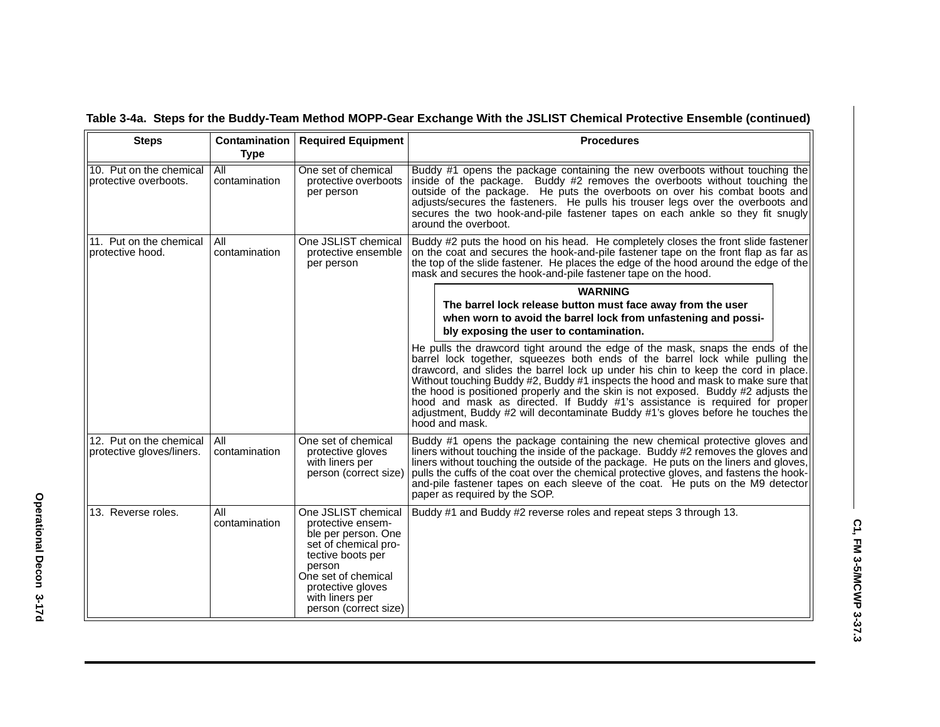Table 3-4a. Steps for the Buddy-Team Method MOPP-Gear Exchange With the JSLIST Chemical Protective Ensemble (continued)

| <b>Steps</b>                                         | <b>Type</b>          | <b>Contamination   Required Equipment</b>                                                                                                                                                                      | <b>Procedures</b>                                                                                                                                                                                                                                                                                                                                                                                                                                                                                                                                                                                                |
|------------------------------------------------------|----------------------|----------------------------------------------------------------------------------------------------------------------------------------------------------------------------------------------------------------|------------------------------------------------------------------------------------------------------------------------------------------------------------------------------------------------------------------------------------------------------------------------------------------------------------------------------------------------------------------------------------------------------------------------------------------------------------------------------------------------------------------------------------------------------------------------------------------------------------------|
| 10. Put on the chemical<br>protective overboots.     | All<br>contamination | One set of chemical<br>protective overboots<br>per person                                                                                                                                                      | Buddy #1 opens the package containing the new overboots without touching the<br>inside of the package. Buddy #2 removes the overboots without touching the<br>outside of the package. He puts the overboots on over his combat boots and<br>adjusts/secures the fasteners. He pulls his trouser legs over the overboots and<br>secures the two hook-and-pile fastener tapes on each ankle so they fit snugly<br>around the overboot.                                                                                                                                                                             |
| 11. Put on the chemical<br>protective hood.          | All<br>contamination | One JSLIST chemical<br>protective ensemble<br>per person                                                                                                                                                       | Buddy #2 puts the hood on his head. He completely closes the front slide fastener<br>on the coat and secures the hook-and-pile fastener tape on the front flap as far as<br>the top of the slide fastener. He places the edge of the hood around the edge of the<br>mask and secures the hook-and-pile fastener tape on the hood.                                                                                                                                                                                                                                                                                |
|                                                      |                      |                                                                                                                                                                                                                | <b>WARNING</b><br>The barrel lock release button must face away from the user<br>when worn to avoid the barrel lock from unfastening and possi-<br>bly exposing the user to contamination.                                                                                                                                                                                                                                                                                                                                                                                                                       |
|                                                      |                      |                                                                                                                                                                                                                | He pulls the drawcord tight around the edge of the mask, snaps the ends of the<br>barrel lock together, squeezes both ends of the barrel lock while pulling the<br>drawcord, and slides the barrel lock up under his chin to keep the cord in place.<br>Without touching Buddy #2, Buddy #1 inspects the hood and mask to make sure that<br>the hood is positioned properly and the skin is not exposed. Buddy #2 adjusts the<br>hood and mask as directed. If Buddy #1's assistance is required for proper<br>adjustment, Buddy #2 will decontaminate Buddy #1's gloves before he touches the<br>hood and mask. |
| 12. Put on the chemical<br>protective gloves/liners. | All<br>contamination | One set of chemical<br>protective gloves<br>with liners per<br>person (correct size)                                                                                                                           | Buddy #1 opens the package containing the new chemical protective gloves and<br>liners without touching the inside of the package. Buddy #2 removes the gloves and<br>liners without touching the outside of the package. He puts on the liners and gloves,<br>pulls the cuffs of the coat over the chemical protective gloves, and fastens the hook-<br>and-pile fastener tapes on each sleeve of the coat. He puts on the M9 detector<br>paper as required by the SOP.                                                                                                                                         |
| 13. Reverse roles.                                   | All<br>contamination | One JSLIST chemical<br>protective ensem-<br>ble per person. One<br>set of chemical pro-<br>tective boots per<br>person<br>One set of chemical<br>protective gloves<br>with liners per<br>person (correct size) | Buddy #1 and Buddy #2 reverse roles and repeat steps 3 through 13.                                                                                                                                                                                                                                                                                                                                                                                                                                                                                                                                               |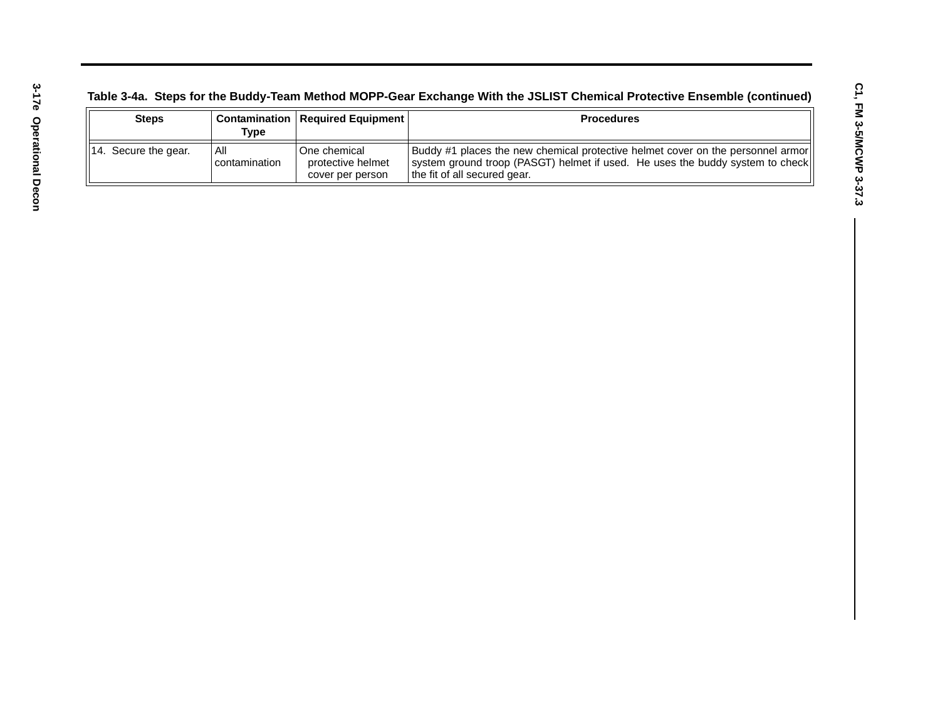| <b>Steps</b>                     | Type                 | <b>Contamination   Required Equipment  </b>           | <b>Procedures</b>                                                                                                                                                                                |
|----------------------------------|----------------------|-------------------------------------------------------|--------------------------------------------------------------------------------------------------------------------------------------------------------------------------------------------------|
| $\parallel$ 14. Secure the gear. | All<br>contamination | One chemical<br>protective helmet<br>cover per person | Buddy #1 places the new chemical protective helmet cover on the personnel armor<br>system ground troop (PASGT) helmet if used. He uses the buddy system to check<br>the fit of all secured gear. |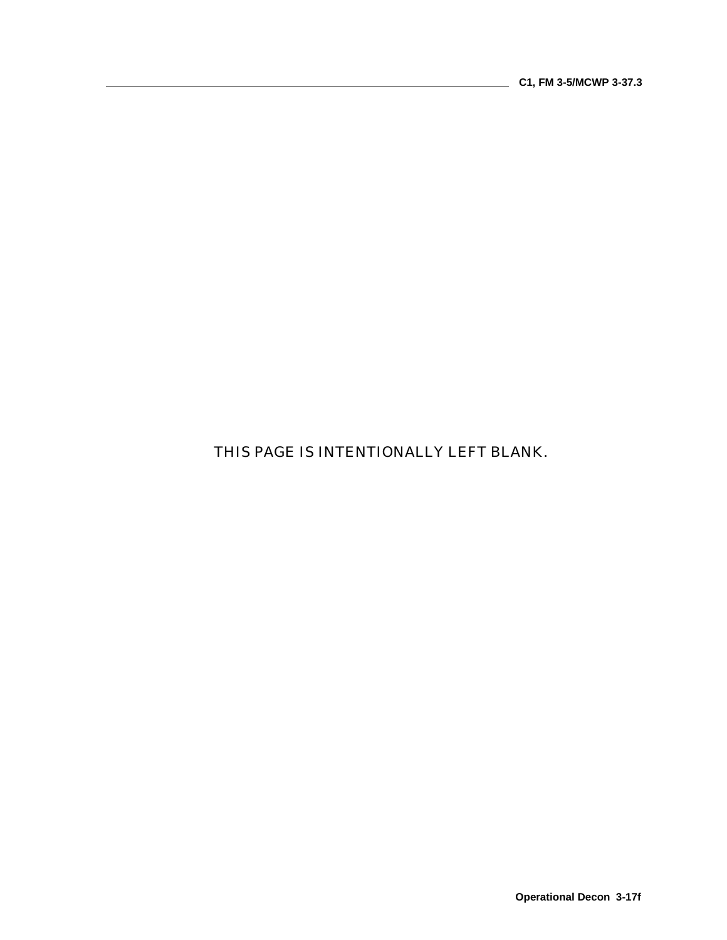# THIS PAGE IS INTENTIONALLY LEFT BLANK.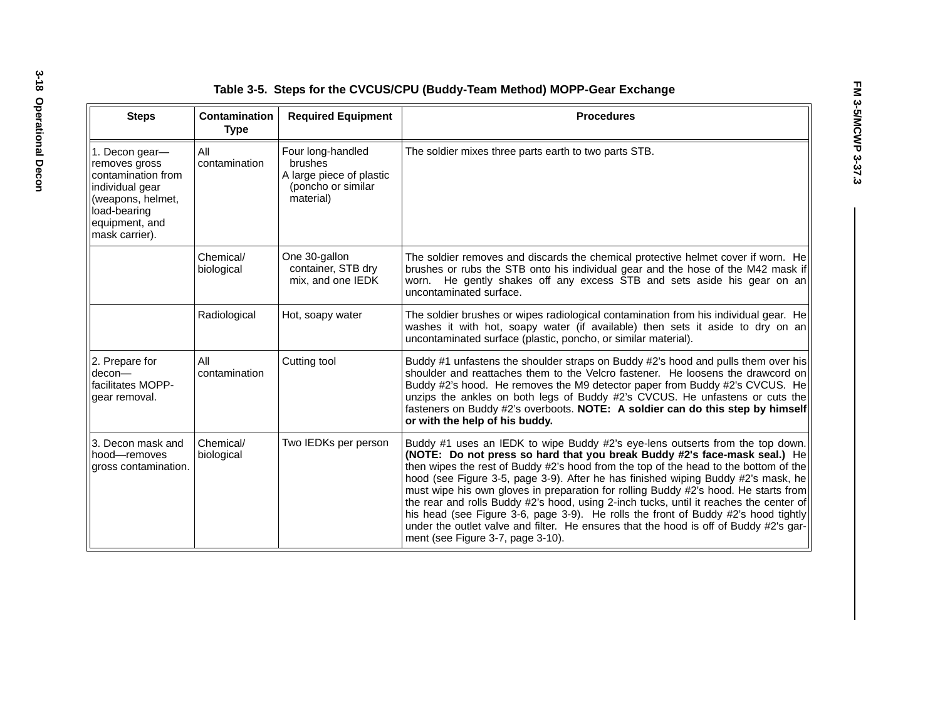# **Table 3-5. Steps for the CVCUS/CPU (Buddy-Team Method) MOPP-Gear Exchange**

| Table 3-5. Steps for the CVCUS/CPU (Buddy-Team Method) MOPP-Gear Exchange                                                                         |                                     |                                                                                             |                                                                                                                                                                                                                                                                                                                                                                                                                                                                                                                                                                                                                                                                                                                                              |  |
|---------------------------------------------------------------------------------------------------------------------------------------------------|-------------------------------------|---------------------------------------------------------------------------------------------|----------------------------------------------------------------------------------------------------------------------------------------------------------------------------------------------------------------------------------------------------------------------------------------------------------------------------------------------------------------------------------------------------------------------------------------------------------------------------------------------------------------------------------------------------------------------------------------------------------------------------------------------------------------------------------------------------------------------------------------------|--|
| <b>Steps</b>                                                                                                                                      | <b>Contamination</b><br><b>Type</b> | <b>Required Equipment</b>                                                                   | <b>Procedures</b>                                                                                                                                                                                                                                                                                                                                                                                                                                                                                                                                                                                                                                                                                                                            |  |
| 1. Decon gear-<br>removes gross<br>contamination from<br>individual gear<br>(weapons, helmet,<br>load-bearing<br>equipment, and<br>mask carrier). | All<br>contamination                | Four long-handled<br>brushes<br>A large piece of plastic<br>(poncho or similar<br>material) | The soldier mixes three parts earth to two parts STB.                                                                                                                                                                                                                                                                                                                                                                                                                                                                                                                                                                                                                                                                                        |  |
|                                                                                                                                                   | Chemical/<br>biological             | One 30-gallon<br>container, STB dry<br>mix, and one IEDK                                    | The soldier removes and discards the chemical protective helmet cover if worn. He<br>brushes or rubs the STB onto his individual gear and the hose of the M42 mask if<br>He gently shakes off any excess STB and sets aside his gear on an<br>worn.<br>uncontaminated surface.                                                                                                                                                                                                                                                                                                                                                                                                                                                               |  |
|                                                                                                                                                   | Radiological                        | Hot, soapy water                                                                            | The soldier brushes or wipes radiological contamination from his individual gear. He<br>washes it with hot, soapy water (if available) then sets it aside to dry on an<br>uncontaminated surface (plastic, poncho, or similar material).                                                                                                                                                                                                                                                                                                                                                                                                                                                                                                     |  |
| 2. Prepare for<br>decon-<br>facilitates MOPP-<br>gear removal.                                                                                    | All<br>contamination                | Cutting tool                                                                                | Buddy #1 unfastens the shoulder straps on Buddy #2's hood and pulls them over his<br>shoulder and reattaches them to the Velcro fastener. He loosens the drawcord on<br>Buddy #2's hood. He removes the M9 detector paper from Buddy #2's CVCUS. He<br>unzips the ankles on both legs of Buddy #2's CVCUS. He unfastens or cuts the<br>fasteners on Buddy #2's overboots. NOTE: A soldier can do this step by himself<br>or with the help of his buddy.                                                                                                                                                                                                                                                                                      |  |
| 3. Decon mask and<br>hood-removes<br>gross contamination.                                                                                         | Chemical/<br>biological             | Two IEDKs per person                                                                        | Buddy #1 uses an IEDK to wipe Buddy #2's eye-lens outserts from the top down.<br>(NOTE: Do not press so hard that you break Buddy #2's face-mask seal.) He<br>then wipes the rest of Buddy #2's hood from the top of the head to the bottom of the<br>hood (see Figure 3-5, page 3-9). After he has finished wiping Buddy #2's mask, he<br>must wipe his own gloves in preparation for rolling Buddy #2's hood. He starts from<br>the rear and rolls Buddy #2's hood, using 2-inch tucks, until it reaches the center of<br>his head (see Figure 3-6, page 3-9). He rolls the front of Buddy #2's hood tightly<br>under the outlet valve and filter. He ensures that the hood is off of Buddy #2's gar-<br>ment (see Figure 3-7, page 3-10). |  |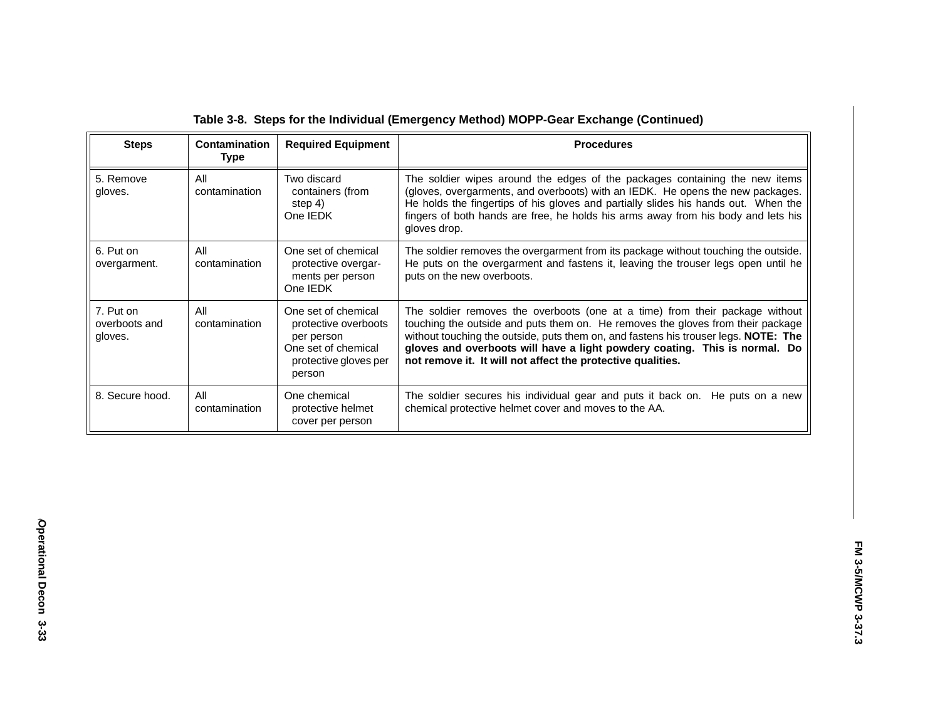|  |  |  |  |  | Table 3-8. Steps for the Individual (Emergency Method) MOPP-Gear Exchange (Continued) |  |
|--|--|--|--|--|---------------------------------------------------------------------------------------|--|
|--|--|--|--|--|---------------------------------------------------------------------------------------|--|

| <b>Steps</b>                          | <b>Contamination</b><br>Type | <b>Required Equipment</b>                                                                                           | <b>Procedures</b>                                                                                                                                                                                                                                                                                                                                                                                   |
|---------------------------------------|------------------------------|---------------------------------------------------------------------------------------------------------------------|-----------------------------------------------------------------------------------------------------------------------------------------------------------------------------------------------------------------------------------------------------------------------------------------------------------------------------------------------------------------------------------------------------|
| 5. Remove<br>gloves.                  | All<br>contamination         | Two discard<br>containers (from<br>step 4)<br>One IEDK                                                              | The soldier wipes around the edges of the packages containing the new items<br>(gloves, overgarments, and overboots) with an IEDK. He opens the new packages.<br>He holds the fingertips of his gloves and partially slides his hands out. When the<br>fingers of both hands are free, he holds his arms away from his body and lets his<br>gloves drop.                                            |
| 6. Put on<br>overgarment.             | All<br>contamination         | One set of chemical<br>protective overgar-<br>ments per person<br>One IEDK                                          | The soldier removes the overgarment from its package without touching the outside.<br>He puts on the overgarment and fastens it, leaving the trouser legs open until he<br>puts on the new overboots.                                                                                                                                                                                               |
| 7. Put on<br>overboots and<br>gloves. | All<br>contamination         | One set of chemical<br>protective overboots<br>per person<br>One set of chemical<br>protective gloves per<br>person | The soldier removes the overboots (one at a time) from their package without<br>touching the outside and puts them on. He removes the gloves from their package<br>without touching the outside, puts them on, and fastens his trouser legs. NOTE: The<br>gloves and overboots will have a light powdery coating. This is normal. Do<br>not remove it. It will not affect the protective qualities. |
| 8. Secure hood.                       | All<br>contamination         | One chemical<br>protective helmet<br>cover per person                                                               | The soldier secures his individual gear and puts it back on.<br>He puts on a new<br>chemical protective helmet cover and moves to the AA.                                                                                                                                                                                                                                                           |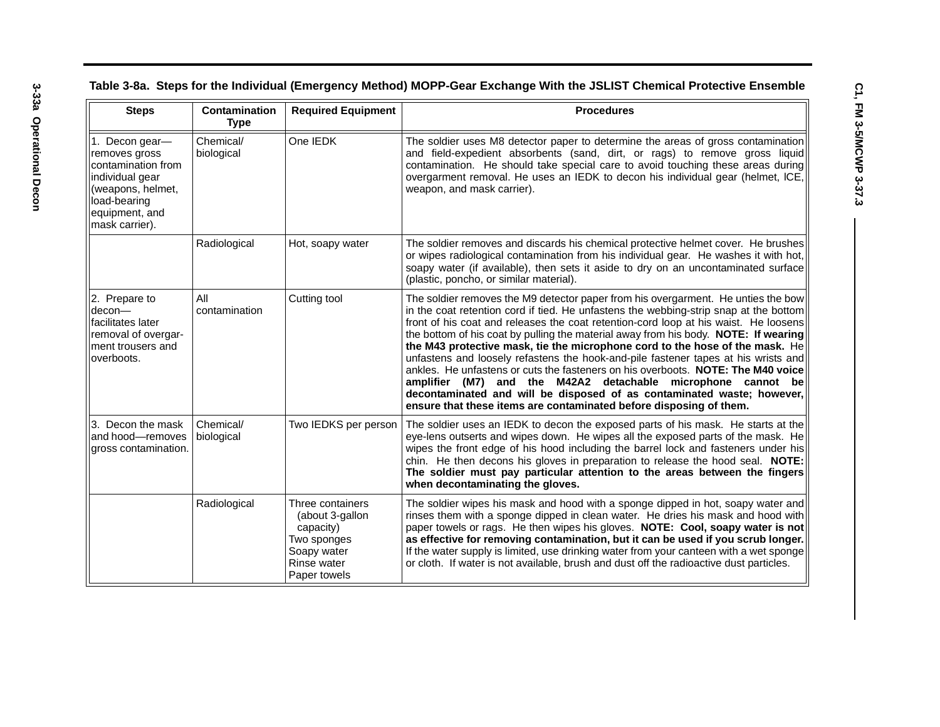| <b>Steps</b>                                                                                                                                         | Contamination<br><b>Type</b> | <b>Required Equipment</b>                                                                                     | <b>Procedures</b>                                                                                                                                                                                                                                                                                                                                                                                                                                                                                                                                                                                                                                                                                                                                                                                                                   |  |
|------------------------------------------------------------------------------------------------------------------------------------------------------|------------------------------|---------------------------------------------------------------------------------------------------------------|-------------------------------------------------------------------------------------------------------------------------------------------------------------------------------------------------------------------------------------------------------------------------------------------------------------------------------------------------------------------------------------------------------------------------------------------------------------------------------------------------------------------------------------------------------------------------------------------------------------------------------------------------------------------------------------------------------------------------------------------------------------------------------------------------------------------------------------|--|
| Decon gear-<br>1.<br>removes gross<br>contamination from<br>individual gear<br>(weapons, helmet,<br>load-bearing<br>equipment, and<br>mask carrier). | Chemical/<br>biological      | One IEDK                                                                                                      | The soldier uses M8 detector paper to determine the areas of gross contamination<br>and field-expedient absorbents (sand, dirt, or rags) to remove gross liquid<br>contamination. He should take special care to avoid touching these areas during<br>overgarment removal. He uses an IEDK to decon his individual gear (helmet, ICE,<br>weapon, and mask carrier).                                                                                                                                                                                                                                                                                                                                                                                                                                                                 |  |
|                                                                                                                                                      | Radiological                 | Hot, soapy water                                                                                              | The soldier removes and discards his chemical protective helmet cover. He brushes<br>or wipes radiological contamination from his individual gear. He washes it with hot,<br>soapy water (if available), then sets it aside to dry on an uncontaminated surface<br>(plastic, poncho, or similar material).                                                                                                                                                                                                                                                                                                                                                                                                                                                                                                                          |  |
| 2. Prepare to<br>decon-<br>facilitates later<br>removal of overgar-<br>ment trousers and<br>overboots.                                               | All<br>contamination         | Cutting tool                                                                                                  | The soldier removes the M9 detector paper from his overgarment. He unties the bow<br>in the coat retention cord if tied. He unfastens the webbing-strip snap at the bottom<br>front of his coat and releases the coat retention-cord loop at his waist. He loosens<br>the bottom of his coat by pulling the material away from his body. NOTE: If wearing<br>the M43 protective mask, tie the microphone cord to the hose of the mask. He<br>unfastens and loosely refastens the hook-and-pile fastener tapes at his wrists and<br>ankles. He unfastens or cuts the fasteners on his overboots. NOTE: The M40 voice<br>amplifier (M7) and the M42A2 detachable microphone cannot be<br>decontaminated and will be disposed of as contaminated waste; however,<br>ensure that these items are contaminated before disposing of them. |  |
| 3. Decon the mask<br>and hood-removes<br>gross contamination.                                                                                        | Chemical/<br>biological      | Two IEDKS per person                                                                                          | The soldier uses an IEDK to decon the exposed parts of his mask. He starts at the<br>eye-lens outserts and wipes down. He wipes all the exposed parts of the mask. He<br>wipes the front edge of his hood including the barrel lock and fasteners under his<br>chin. He then decons his gloves in preparation to release the hood seal. NOTE:<br>The soldier must pay particular attention to the areas between the fingers<br>when decontaminating the gloves.                                                                                                                                                                                                                                                                                                                                                                     |  |
|                                                                                                                                                      | Radiological                 | Three containers<br>(about 3-gallon<br>capacity)<br>Two sponges<br>Soapy water<br>Rinse water<br>Paper towels | The soldier wipes his mask and hood with a sponge dipped in hot, soapy water and<br>rinses them with a sponge dipped in clean water. He dries his mask and hood with<br>paper towels or rags. He then wipes his gloves. NOTE: Cool, soapy water is not<br>as effective for removing contamination, but it can be used if you scrub longer.<br>If the water supply is limited, use drinking water from your canteen with a wet sponge<br>or cloth. If water is not available, brush and dust off the radioactive dust particles.                                                                                                                                                                                                                                                                                                     |  |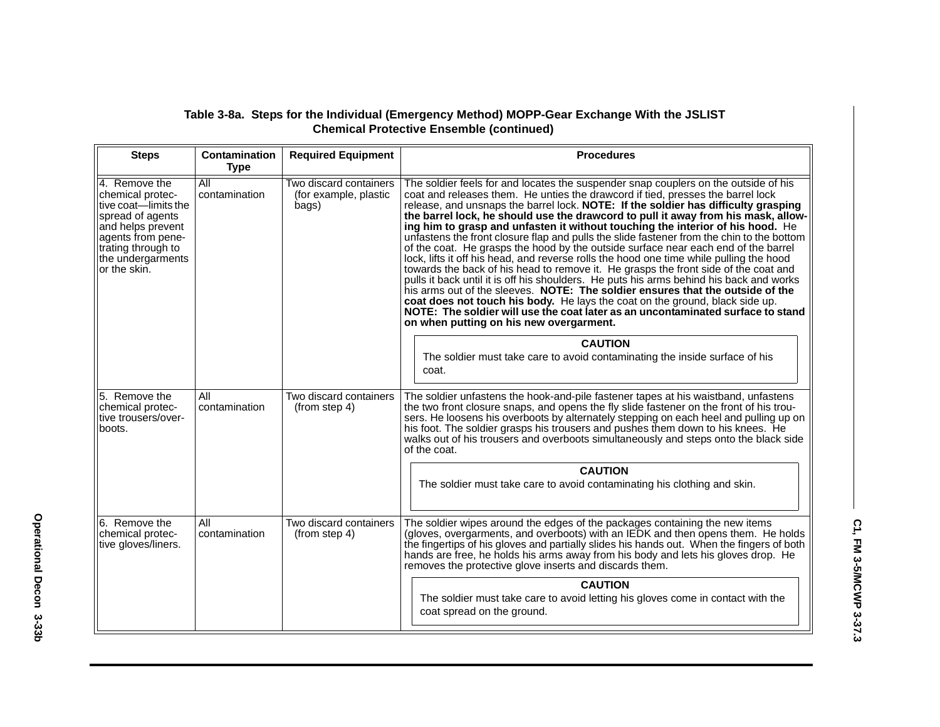| <b>Steps</b>                                                                                                                                                                       | Contamination<br><b>Type</b> | <b>Required Equipment</b>                                | <b>Procedures</b>                                                                                                                                                                                                                                                                                                                                                                                                                                                                                                                                                                                                                                                                                                                                                                                                                                                                                                                                                                                                                                                                                                                                                                                   |
|------------------------------------------------------------------------------------------------------------------------------------------------------------------------------------|------------------------------|----------------------------------------------------------|-----------------------------------------------------------------------------------------------------------------------------------------------------------------------------------------------------------------------------------------------------------------------------------------------------------------------------------------------------------------------------------------------------------------------------------------------------------------------------------------------------------------------------------------------------------------------------------------------------------------------------------------------------------------------------------------------------------------------------------------------------------------------------------------------------------------------------------------------------------------------------------------------------------------------------------------------------------------------------------------------------------------------------------------------------------------------------------------------------------------------------------------------------------------------------------------------------|
| 4. Remove the<br>chemical protec-<br>tive coat-limits the<br>spread of agents<br>and helps prevent<br>agents from pene-<br>trating through to<br>the undergarments<br>or the skin. | All<br>contamination         | Two discard containers<br>(for example, plastic<br>bags) | The soldier feels for and locates the suspender snap couplers on the outside of his<br>coat and releases them. He unties the drawcord if tied, presses the barrel lock<br>release, and unsnaps the barrel lock. NOTE: If the soldier has difficulty grasping<br>the barrel lock, he should use the drawcord to pull it away from his mask, allow-<br>ing him to grasp and unfasten it without touching the interior of his hood. He<br>unfastens the front closure flap and pulls the slide fastener from the chin to the bottom<br>of the coat. He grasps the hood by the outside surface near each end of the barrel<br>lock, lifts it off his head, and reverse rolls the hood one time while pulling the hood<br>towards the back of his head to remove it. He grasps the front side of the coat and<br>pulls it back until it is off his shoulders. He puts his arms behind his back and works<br>his arms out of the sleeves. NOTE: The soldier ensures that the outside of the<br>coat does not touch his body. He lays the coat on the ground, black side up.<br>NOTE: The soldier will use the coat later as an uncontaminated surface to stand<br>on when putting on his new overgarment. |
|                                                                                                                                                                                    |                              |                                                          | <b>CAUTION</b><br>The soldier must take care to avoid contaminating the inside surface of his<br>coat.                                                                                                                                                                                                                                                                                                                                                                                                                                                                                                                                                                                                                                                                                                                                                                                                                                                                                                                                                                                                                                                                                              |
| 5. Remove the<br>chemical protec-<br>tive trousers/over-<br>boots.                                                                                                                 | All<br>contamination         | Two discard containers<br>(from step 4)                  | The soldier unfastens the hook-and-pile fastener tapes at his waistband, unfastens<br>the two front closure snaps, and opens the fly slide fastener on the front of his trou-<br>sers. He loosens his overboots by alternately stepping on each heel and pulling up on<br>his foot. The soldier grasps his trousers and pushes them down to his knees. He<br>walks out of his trousers and overboots simultaneously and steps onto the black side<br>of the coat.                                                                                                                                                                                                                                                                                                                                                                                                                                                                                                                                                                                                                                                                                                                                   |
|                                                                                                                                                                                    |                              |                                                          | <b>CAUTION</b><br>The soldier must take care to avoid contaminating his clothing and skin.                                                                                                                                                                                                                                                                                                                                                                                                                                                                                                                                                                                                                                                                                                                                                                                                                                                                                                                                                                                                                                                                                                          |
| 6. Remove the<br>chemical protec-<br>tive gloves/liners.                                                                                                                           | All<br>contamination         | Two discard containers<br>(from step 4)                  | The soldier wipes around the edges of the packages containing the new items<br>(gloves, overgarments, and overboots) with an IEDK and then opens them. He holds<br>the fingertips of his gloves and partially slides his hands out. When the fingers of both<br>hands are free, he holds his arms away from his body and lets his gloves drop. He<br>removes the protective glove inserts and discards them.                                                                                                                                                                                                                                                                                                                                                                                                                                                                                                                                                                                                                                                                                                                                                                                        |
|                                                                                                                                                                                    |                              |                                                          | <b>CAUTION</b><br>The soldier must take care to avoid letting his gloves come in contact with the<br>coat spread on the ground.                                                                                                                                                                                                                                                                                                                                                                                                                                                                                                                                                                                                                                                                                                                                                                                                                                                                                                                                                                                                                                                                     |

### Table 3-8a. Steps for the Individual (Emergency Method) MOPP-Gear Exchange With the JSLIST **Chemical Protective Ensemble (continued)**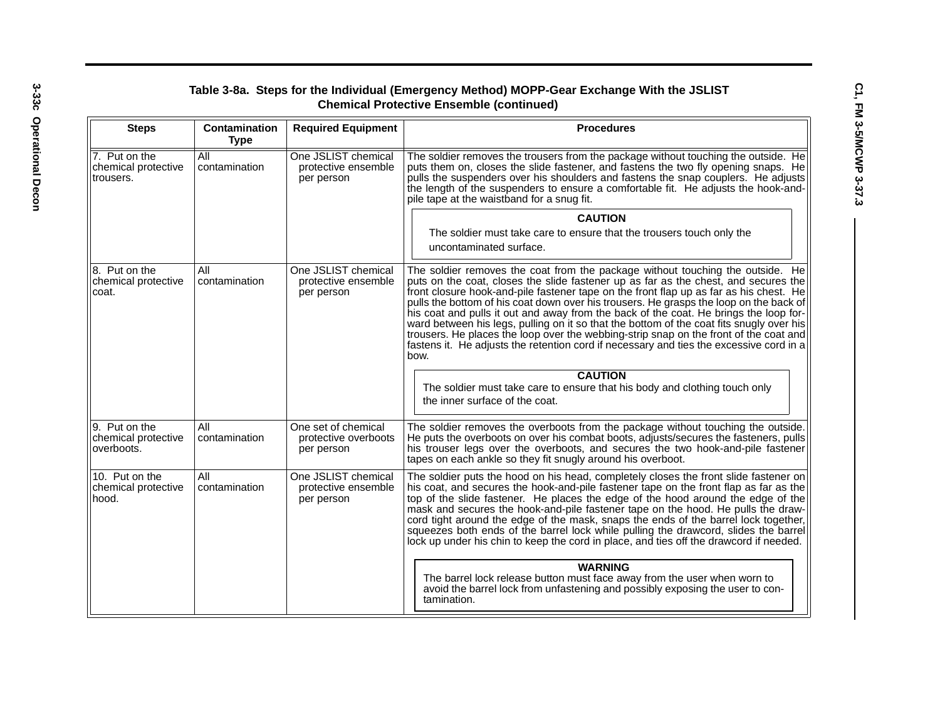# **Chemical Protective Ensemble (continued)**

| <b>Steps</b>                                       | <b>Contamination</b><br><b>Type</b> | <b>Required Equipment</b>                                 | <b>Procedures</b>                                                                                                                                                                                                                                                                                                                                                                                                                                                                                                                                                                                                                                                                                                                          |
|----------------------------------------------------|-------------------------------------|-----------------------------------------------------------|--------------------------------------------------------------------------------------------------------------------------------------------------------------------------------------------------------------------------------------------------------------------------------------------------------------------------------------------------------------------------------------------------------------------------------------------------------------------------------------------------------------------------------------------------------------------------------------------------------------------------------------------------------------------------------------------------------------------------------------------|
| 7. Put on the<br>chemical protective<br>trousers.  | All<br>contamination                | One JSLIST chemical<br>protective ensemble<br>per person  | The soldier removes the trousers from the package without touching the outside. He<br>puts them on, closes the slide fastener, and fastens the two fly opening snaps. He<br>pulls the suspenders over his shoulders and fastens the snap couplers. He adjusts<br>the length of the suspenders to ensure a comfortable fit. He adjusts the hook-and-<br>pile tape at the waistband for a snug fit.                                                                                                                                                                                                                                                                                                                                          |
|                                                    |                                     |                                                           | <b>CAUTION</b>                                                                                                                                                                                                                                                                                                                                                                                                                                                                                                                                                                                                                                                                                                                             |
|                                                    |                                     |                                                           | The soldier must take care to ensure that the trousers touch only the<br>uncontaminated surface.                                                                                                                                                                                                                                                                                                                                                                                                                                                                                                                                                                                                                                           |
| 8. Put on the<br>chemical protective<br>coat.      | All<br>contamination                | One JSLIST chemical<br>protective ensemble<br>per person  | The soldier removes the coat from the package without touching the outside. He<br>puts on the coat, closes the slide fastener up as far as the chest, and secures the<br>front closure hook-and-pile fastener tape on the front flap up as far as his chest. He<br>pulls the bottom of his coat down over his trousers. He grasps the loop on the back of<br>his coat and pulls it out and away from the back of the coat. He brings the loop for-<br>ward between his legs, pulling on it so that the bottom of the coat fits snugly over his<br>trousers. He places the loop over the webbing-strip snap on the front of the coat and<br>fastens it. He adjusts the retention cord if necessary and ties the excessive cord in a<br>bow. |
|                                                    |                                     |                                                           | <b>CAUTION</b><br>The soldier must take care to ensure that his body and clothing touch only<br>the inner surface of the coat.                                                                                                                                                                                                                                                                                                                                                                                                                                                                                                                                                                                                             |
| 9. Put on the<br>chemical protective<br>overboots. | All<br>contamination                | One set of chemical<br>protective overboots<br>per person | The soldier removes the overboots from the package without touching the outside.<br>He puts the overboots on over his combat boots, adjusts/secures the fasteners, pulls<br>his trouser legs over the overboots, and secures the two hook-and-pile fastener<br>tapes on each ankle so they fit snugly around his overboot.                                                                                                                                                                                                                                                                                                                                                                                                                 |
| 10. Put on the<br>chemical protective<br>hood.     | All<br>contamination                | One JSLIST chemical<br>protective ensemble<br>per person  | The soldier puts the hood on his head, completely closes the front slide fastener on<br>his coat, and secures the hook-and-pile fastener tape on the front flap as far as the<br>top of the slide fastener. He places the edge of the hood around the edge of the<br>mask and secures the hook-and-pile fastener tape on the hood. He pulls the draw-<br>cord tight around the edge of the mask, snaps the ends of the barrel lock together,<br>squeezes both ends of the barrel lock while pulling the drawcord, slides the barrel<br>lock up under his chin to keep the cord in place, and ties off the drawcord if needed.                                                                                                              |
|                                                    |                                     |                                                           | <b>WARNING</b><br>The barrel lock release button must face away from the user when worn to<br>avoid the barrel lock from unfastening and possibly exposing the user to con-<br>tamination.                                                                                                                                                                                                                                                                                                                                                                                                                                                                                                                                                 |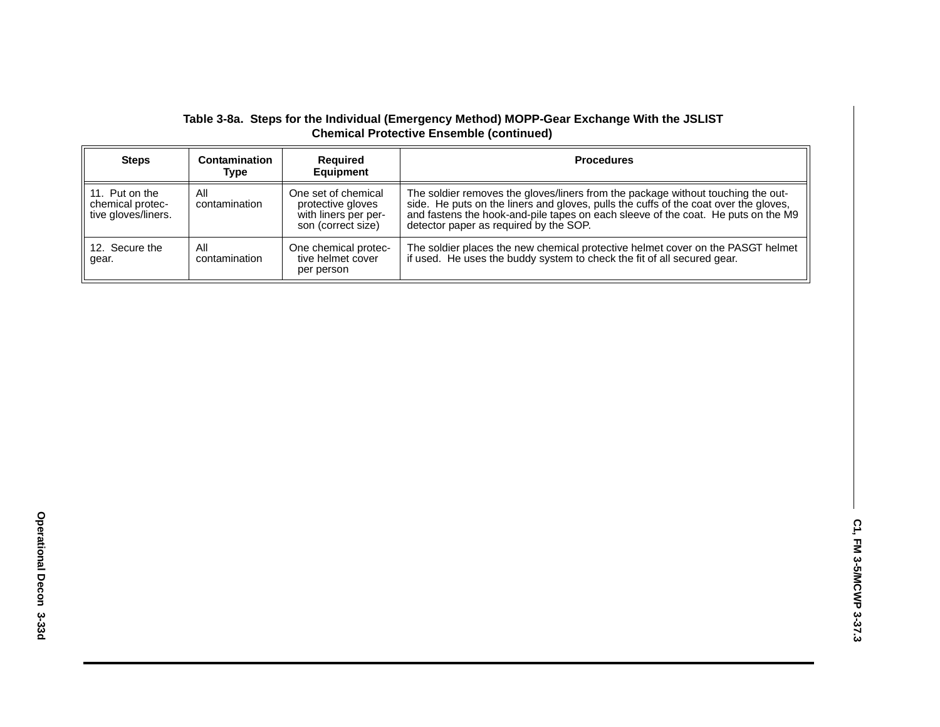### **Chemical Protective Ensemble (continued)** Table 3-8a. Steps for the Individual (Emergency Method) MOPP-Gear Exchange With the JSLIST **Chemical Protective Ensemble (continued)**

| <b>Steps</b>                                              | Contamination<br>Type | Required<br>Equipment                                                                  | <b>Procedures</b>                                                                                                                                                                                                                                                                                       |
|-----------------------------------------------------------|-----------------------|----------------------------------------------------------------------------------------|---------------------------------------------------------------------------------------------------------------------------------------------------------------------------------------------------------------------------------------------------------------------------------------------------------|
| 11. Put on the<br>chemical protec-<br>tive gloves/liners. | All<br>contamination  | One set of chemical<br>protective gloves<br>with liners per per-<br>son (correct size) | The soldier removes the gloves/liners from the package without touching the out-<br>side. He puts on the liners and gloves, pulls the cuffs of the coat over the gloves,<br>and fastens the hook-and-pile tapes on each sleeve of the coat. He puts on the M9<br>detector paper as required by the SOP. |
| 12. Secure the<br>gear.                                   | All<br>contamination  | One chemical protec-<br>tive helmet cover<br>per person                                | The soldier places the new chemical protective helmet cover on the PASGT helmet<br>if used. He uses the buddy system to check the fit of all secured gear.                                                                                                                                              |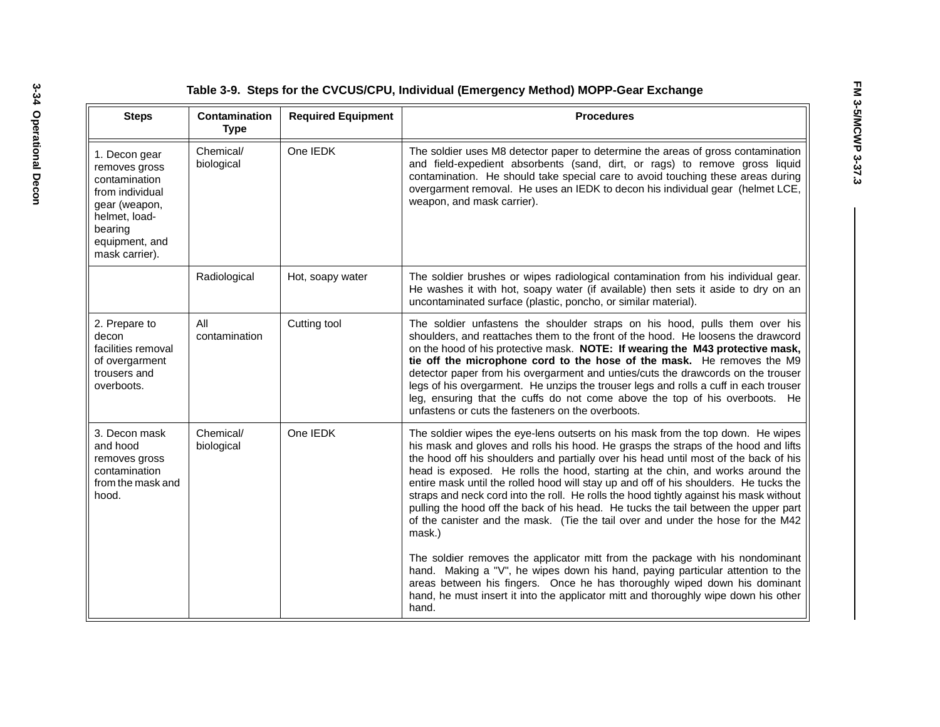| <b>Steps</b>                                                                                                                                         | Contamination<br><b>Type</b> | <b>Required Equipment</b> | <b>Procedures</b>                                                                                                                                                                                                                                                                                                                                                                                                                                                                                                                                                                                                                                                                                                      |  |
|------------------------------------------------------------------------------------------------------------------------------------------------------|------------------------------|---------------------------|------------------------------------------------------------------------------------------------------------------------------------------------------------------------------------------------------------------------------------------------------------------------------------------------------------------------------------------------------------------------------------------------------------------------------------------------------------------------------------------------------------------------------------------------------------------------------------------------------------------------------------------------------------------------------------------------------------------------|--|
| 1. Decon gear-<br>removes gross<br>contamination<br>from individual<br>gear (weapon,<br>helmet, load-<br>bearing<br>equipment, and<br>mask carrier). | Chemical/<br>biological      | One IEDK                  | The soldier uses M8 detector paper to determine the areas of gross contamination<br>and field-expedient absorbents (sand, dirt, or rags) to remove gross liquid<br>contamination. He should take special care to avoid touching these areas during<br>overgarment removal. He uses an IEDK to decon his individual gear (helmet LCE,<br>weapon, and mask carrier).                                                                                                                                                                                                                                                                                                                                                     |  |
|                                                                                                                                                      | Radiological                 | Hot, soapy water          | The soldier brushes or wipes radiological contamination from his individual gear.<br>He washes it with hot, soapy water (if available) then sets it aside to dry on an<br>uncontaminated surface (plastic, poncho, or similar material).                                                                                                                                                                                                                                                                                                                                                                                                                                                                               |  |
| 2. Prepare to<br>decon-<br>facilities removal<br>of overgarment<br>trousers and<br>overboots.                                                        | All<br>contamination         | Cutting tool              | The soldier unfastens the shoulder straps on his hood, pulls them over his<br>shoulders, and reattaches them to the front of the hood. He loosens the drawcord<br>on the hood of his protective mask. NOTE: If wearing the M43 protective mask,<br>tie off the microphone cord to the hose of the mask. He removes the M9<br>detector paper from his overgarment and unties/cuts the drawcords on the trouser<br>legs of his overgarment. He unzips the trouser legs and rolls a cuff in each trouser<br>leg, ensuring that the cuffs do not come above the top of his overboots. He<br>unfastens or cuts the fasteners on the overboots.                                                                              |  |
| 3. Decon mask<br>and hood-<br>removes gross<br>contamination<br>from the mask and<br>hood.                                                           | Chemical/<br>biological      | One IEDK                  | The soldier wipes the eye-lens outserts on his mask from the top down. He wipes<br>his mask and gloves and rolls his hood. He grasps the straps of the hood and lifts<br>the hood off his shoulders and partially over his head until most of the back of his<br>head is exposed. He rolls the hood, starting at the chin, and works around the<br>entire mask until the rolled hood will stay up and off of his shoulders. He tucks the<br>straps and neck cord into the roll. He rolls the hood tightly against his mask without<br>pulling the hood off the back of his head. He tucks the tail between the upper part<br>of the canister and the mask. (Tie the tail over and under the hose for the M42<br>mask.) |  |
|                                                                                                                                                      |                              |                           | The soldier removes the applicator mitt from the package with his nondominant<br>hand. Making a "V", he wipes down his hand, paying particular attention to the<br>areas between his fingers. Once he has thoroughly wiped down his dominant<br>hand, he must insert it into the applicator mitt and thoroughly wipe down his other<br>hand.                                                                                                                                                                                                                                                                                                                                                                           |  |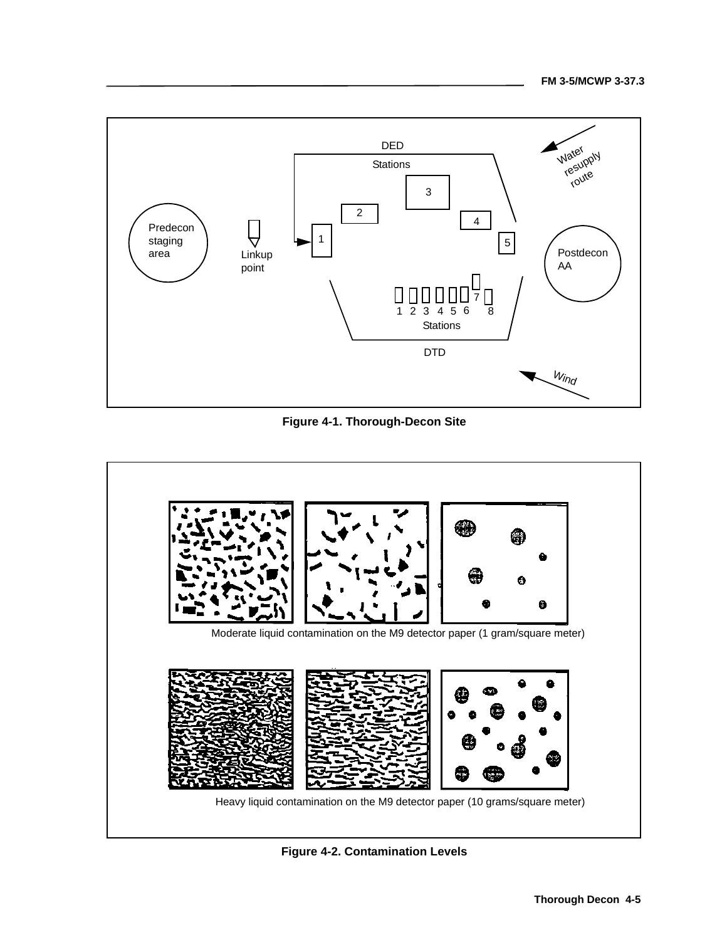

**Figure 4-1. Thorough-Decon Site**



**Figure 4-2. Contamination Levels**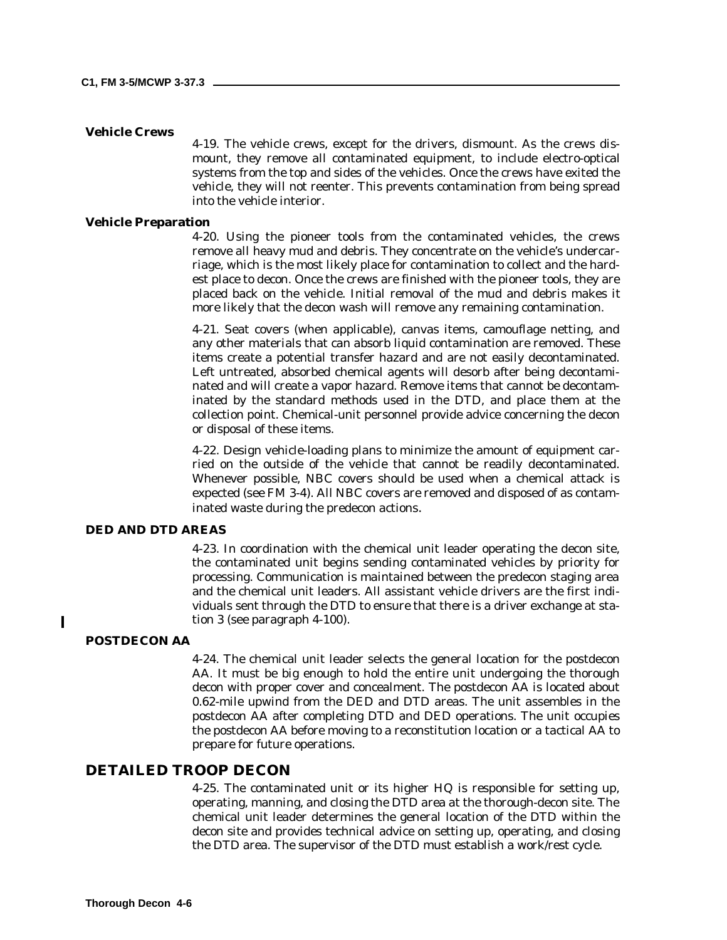### **Vehicle Crews**

4-19. The vehicle crews, except for the drivers, dismount. As the crews dismount, they remove all contaminated equipment, to include electro-optical systems from the top and sides of the vehicles. Once the crews have exited the vehicle, they will not reenter. This prevents contamination from being spread into the vehicle interior.

### **Vehicle Preparation**

4-20. Using the pioneer tools from the contaminated vehicles, the crews remove all heavy mud and debris. They concentrate on the vehicle's undercarriage, which is the most likely place for contamination to collect and the hardest place to decon. Once the crews are finished with the pioneer tools, they are placed back on the vehicle. Initial removal of the mud and debris makes it more likely that the decon wash will remove any remaining contamination.

4-21. Seat covers (when applicable), canvas items, camouflage netting, and any other materials that can absorb liquid contamination are removed. These items create a potential transfer hazard and are not easily decontaminated. Left untreated, absorbed chemical agents will desorb after being decontaminated and will create a vapor hazard. Remove items that cannot be decontaminated by the standard methods used in the DTD, and place them at the collection point. Chemical-unit personnel provide advice concerning the decon or disposal of these items.

4-22. Design vehicle-loading plans to minimize the amount of equipment carried on the outside of the vehicle that cannot be readily decontaminated. Whenever possible, NBC covers should be used when a chemical attack is expected (see FM 3-4). All NBC covers are removed and disposed of as contaminated waste during the predecon actions.

### **DED AND DTD AREAS**

4-23. In coordination with the chemical unit leader operating the decon site, the contaminated unit begins sending contaminated vehicles by priority for processing. Communication is maintained between the predecon staging area and the chemical unit leaders. All assistant vehicle drivers are the first individuals sent through the DTD to ensure that there is a driver exchange at station 3 (see paragraph 4-100).

### **POSTDECON AA**

 $\mathbf I$ 

4-24. The chemical unit leader selects the general location for the postdecon AA. It must be big enough to hold the entire unit undergoing the thorough decon with proper cover and concealment. The postdecon AA is located about 0.62-mile upwind from the DED and DTD areas. The unit assembles in the postdecon AA after completing DTD and DED operations. The unit occupies the postdecon AA before moving to a reconstitution location or a tactical AA to prepare for future operations.

## **DETAILED TROOP DECON**

4-25. The contaminated unit or its higher HQ is responsible for setting up, operating, manning, and closing the DTD area at the thorough-decon site. The chemical unit leader determines the general location of the DTD within the decon site and provides technical advice on setting up, operating, and closing the DTD area. The supervisor of the DTD must establish a work/rest cycle.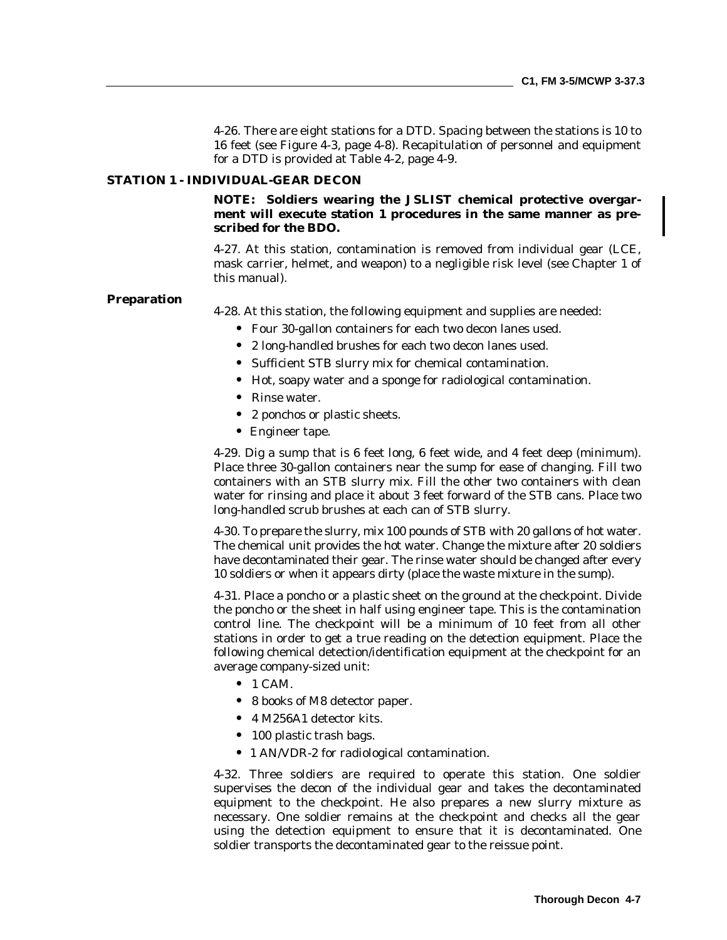4-26. There are eight stations for a DTD. Spacing between the stations is 10 to 16 feet (see Figure 4-3, page 4-8). Recapitulation of personnel and equipment for a DTD is provided at Table 4-2, page 4-9.

### **STATION 1 - INDIVIDUAL-GEAR DECON**

**NOTE: Soldiers wearing the JSLIST chemical protective overgarment will execute station 1 procedures in the same manner as prescribed for the BDO.**

4-27. At this station, contamination is removed from individual gear (LCE, mask carrier, helmet, and weapon) to a negligible risk level (see Chapter 1 of this manual).

### **Preparation**

4-28. At this station, the following equipment and supplies are needed:

- **•** Four 30-gallon containers for each two decon lanes used.
- **•** 2 long-handled brushes for each two decon lanes used.
- **•** Sufficient STB slurry mix for chemical contamination.
- **•** Hot, soapy water and a sponge for radiological contamination.
- **•** Rinse water.
- **•** 2 ponchos or plastic sheets.
- **•** Engineer tape.

4-29. Dig a sump that is 6 feet long, 6 feet wide, and 4 feet deep (minimum). Place three 30-gallon containers near the sump for ease of changing. Fill two containers with an STB slurry mix. Fill the other two containers with clean water for rinsing and place it about 3 feet forward of the STB cans. Place two long-handled scrub brushes at each can of STB slurry.

4-30. To prepare the slurry, mix 100 pounds of STB with 20 gallons of hot water. The chemical unit provides the hot water. Change the mixture after 20 soldiers have decontaminated their gear. The rinse water should be changed after every 10 soldiers or when it appears dirty (place the waste mixture in the sump).

4-31. Place a poncho or a plastic sheet on the ground at the checkpoint. Divide the poncho or the sheet in half using engineer tape. This is the contamination control line. The checkpoint will be a minimum of 10 feet from all other stations in order to get a true reading on the detection equipment. Place the following chemical detection/identification equipment at the checkpoint for an average company-sized unit:

- **•** 1 CAM.
- **•** 8 books of M8 detector paper.
- **•** 4 M256A1 detector kits.
- **•** 100 plastic trash bags.
- **•** 1 AN/VDR-2 for radiological contamination.

4-32. Three soldiers are required to operate this station. One soldier supervises the decon of the individual gear and takes the decontaminated equipment to the checkpoint. He also prepares a new slurry mixture as necessary. One soldier remains at the checkpoint and checks all the gear using the detection equipment to ensure that it is decontaminated. One soldier transports the decontaminated gear to the reissue point.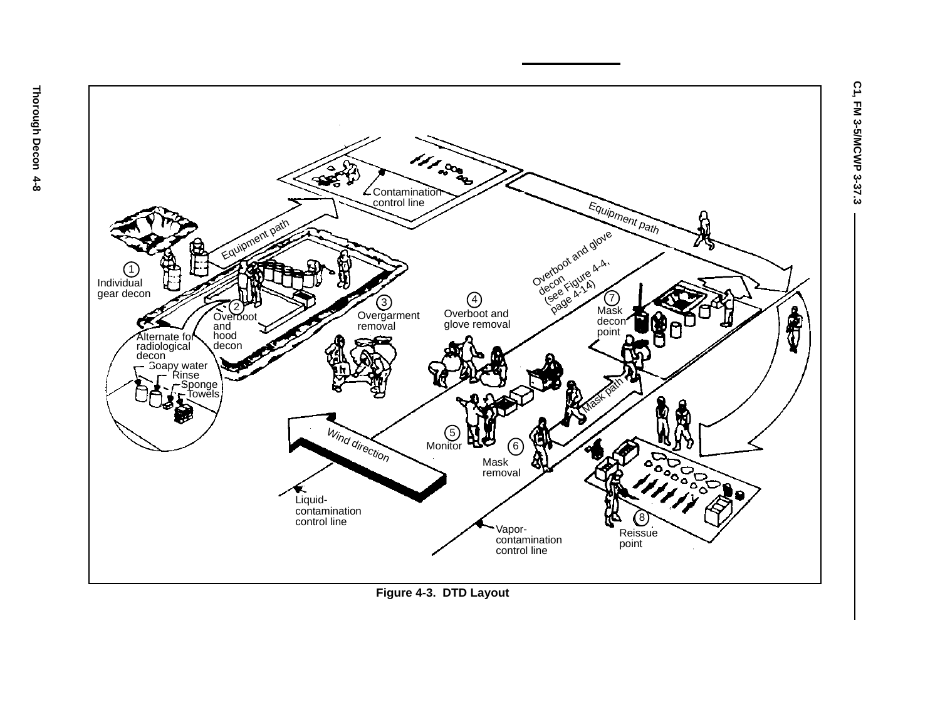

**C1, FM 3-5/MCWP 3-37.3**

C1, FM 3-5/MCWP 3-37.3

**Figure 4-3. DTD Layout**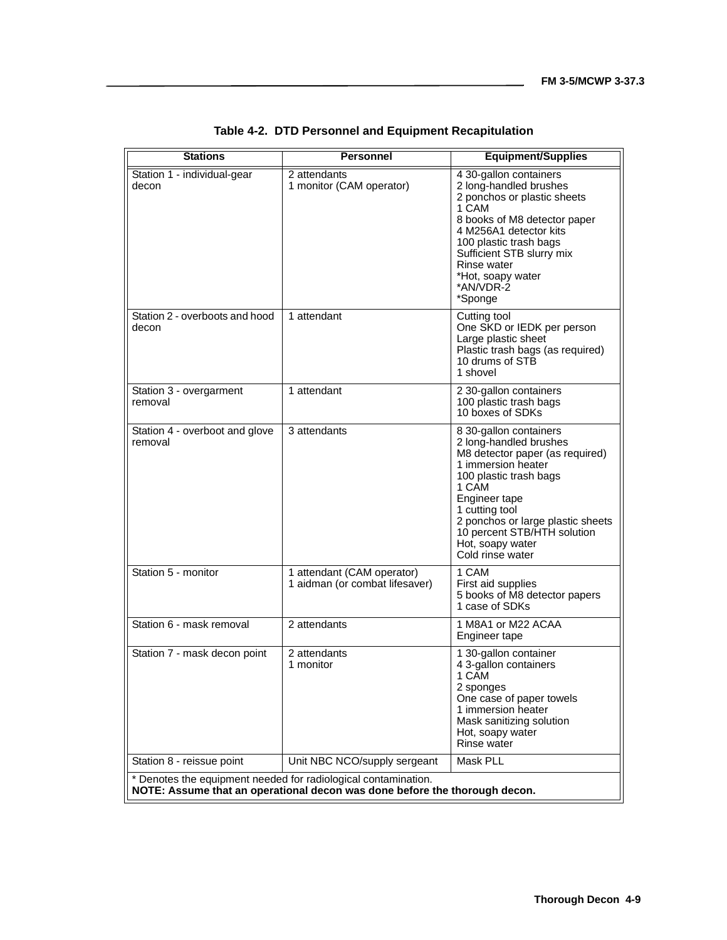| <b>Stations</b>                                                                                                                              | <b>Personnel</b>                                             | <b>Equipment/Supplies</b>                                                                                                                                                                                                                                                                   |  |  |  |
|----------------------------------------------------------------------------------------------------------------------------------------------|--------------------------------------------------------------|---------------------------------------------------------------------------------------------------------------------------------------------------------------------------------------------------------------------------------------------------------------------------------------------|--|--|--|
| Station 1 - individual-gear<br>decon                                                                                                         | 2 attendants<br>1 monitor (CAM operator)                     | 4 30-gallon containers<br>2 long-handled brushes<br>2 ponchos or plastic sheets<br>1 CAM<br>8 books of M8 detector paper<br>4 M256A1 detector kits<br>100 plastic trash bags<br>Sufficient STB slurry mix<br>Rinse water<br>*Hot, soapy water<br>*AN/VDR-2<br>*Sponge                       |  |  |  |
| Station 2 - overboots and hood<br>decon                                                                                                      | 1 attendant                                                  | Cutting tool<br>One SKD or IEDK per person<br>Large plastic sheet<br>Plastic trash bags (as required)<br>10 drums of STB<br>1 shovel                                                                                                                                                        |  |  |  |
| Station 3 - overgarment<br>removal                                                                                                           | 1 attendant                                                  | 2 30-gallon containers<br>100 plastic trash bags<br>10 boxes of SDKs                                                                                                                                                                                                                        |  |  |  |
| Station 4 - overboot and glove<br>removal                                                                                                    | 3 attendants                                                 | 8 30-gallon containers<br>2 long-handled brushes<br>M8 detector paper (as required)<br>1 immersion heater<br>100 plastic trash bags<br>1 CAM<br>Engineer tape<br>1 cutting tool<br>2 ponchos or large plastic sheets<br>10 percent STB/HTH solution<br>Hot, soapy water<br>Cold rinse water |  |  |  |
| Station 5 - monitor                                                                                                                          | 1 attendant (CAM operator)<br>1 aidman (or combat lifesaver) | 1 CAM<br>First aid supplies<br>5 books of M8 detector papers<br>1 case of SDKs                                                                                                                                                                                                              |  |  |  |
| Station 6 - mask removal                                                                                                                     | 2 attendants                                                 | 1 M8A1 or M22 ACAA<br>Engineer tape                                                                                                                                                                                                                                                         |  |  |  |
| Station 7 - mask decon point                                                                                                                 | 2 attendants<br>1 monitor                                    | 1 30-gallon container<br>4 3-gallon containers<br>1 CAM<br>2 sponges<br>One case of paper towels<br>1 immersion heater<br>Mask sanitizing solution<br>Hot, soapy water<br>Rinse water                                                                                                       |  |  |  |
| Station 8 - reissue point                                                                                                                    | Unit NBC NCO/supply sergeant                                 | Mask PLL                                                                                                                                                                                                                                                                                    |  |  |  |
| * Denotes the equipment needed for radiological contamination.<br>NOTE: Assume that an operational decon was done before the thorough decon. |                                                              |                                                                                                                                                                                                                                                                                             |  |  |  |

# **Table 4-2. DTD Personnel and Equipment Recapitulation**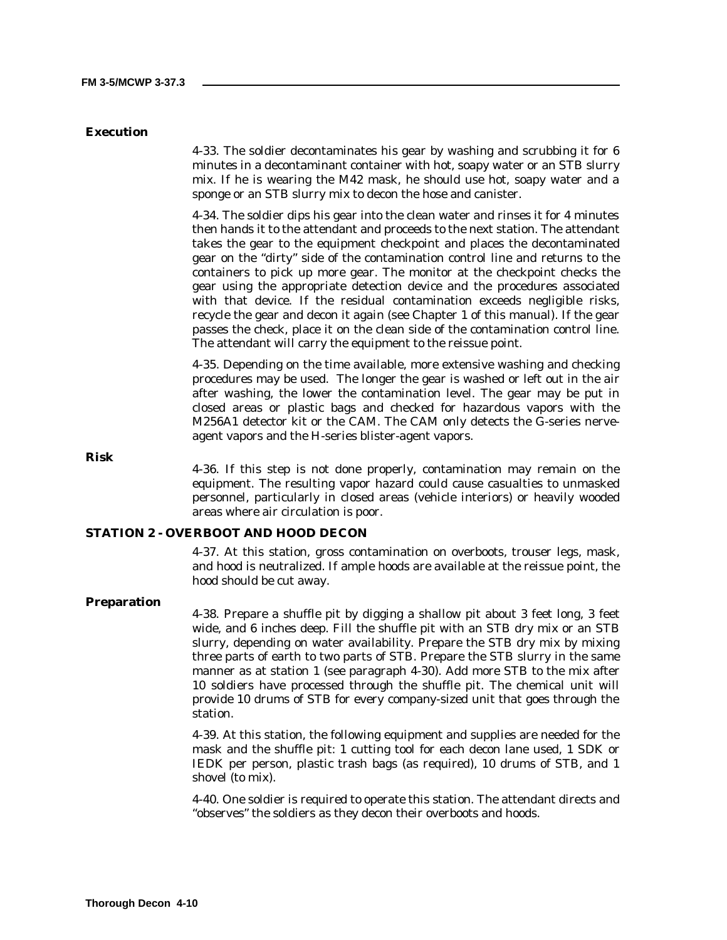### **Execution**

4-33. The soldier decontaminates his gear by washing and scrubbing it for 6 minutes in a decontaminant container with hot, soapy water or an STB slurry mix. If he is wearing the M42 mask, he should use hot, soapy water and a sponge or an STB slurry mix to decon the hose and canister.

4-34. The soldier dips his gear into the clean water and rinses it for 4 minutes then hands it to the attendant and proceeds to the next station. The attendant takes the gear to the equipment checkpoint and places the decontaminated gear on the "dirty" side of the contamination control line and returns to the containers to pick up more gear. The monitor at the checkpoint checks the gear using the appropriate detection device and the procedures associated with that device. If the residual contamination exceeds negligible risks, recycle the gear and decon it again (see Chapter 1 of this manual). If the gear passes the check, place it on the clean side of the contamination control line. The attendant will carry the equipment to the reissue point.

4-35. Depending on the time available, more extensive washing and checking procedures may be used. The longer the gear is washed or left out in the air after washing, the lower the contamination level. The gear may be put in closed areas or plastic bags and checked for hazardous vapors with the M256A1 detector kit or the CAM. The CAM only detects the G-series nerveagent vapors and the H-series blister-agent vapors.

**Risk**

4-36. If this step is not done properly, contamination may remain on the equipment. The resulting vapor hazard could cause casualties to unmasked personnel, particularly in closed areas (vehicle interiors) or heavily wooded areas where air circulation is poor.

### **STATION 2 - OVERBOOT AND HOOD DECON**

4-37. At this station, gross contamination on overboots, trouser legs, mask, and hood is neutralized. If ample hoods are available at the reissue point, the hood should be cut away.

### **Preparation**

4-38. Prepare a shuffle pit by digging a shallow pit about 3 feet long, 3 feet wide, and 6 inches deep. Fill the shuffle pit with an STB dry mix or an STB slurry, depending on water availability. Prepare the STB dry mix by mixing three parts of earth to two parts of STB. Prepare the STB slurry in the same manner as at station 1 (see paragraph 4-30). Add more STB to the mix after 10 soldiers have processed through the shuffle pit. The chemical unit will provide 10 drums of STB for every company-sized unit that goes through the station.

4-39. At this station, the following equipment and supplies are needed for the mask and the shuffle pit: 1 cutting tool for each decon lane used, 1 SDK or IEDK per person, plastic trash bags (as required), 10 drums of STB, and 1 shovel (to mix).

4-40. One soldier is required to operate this station. The attendant directs and "observes" the soldiers as they decon their overboots and hoods.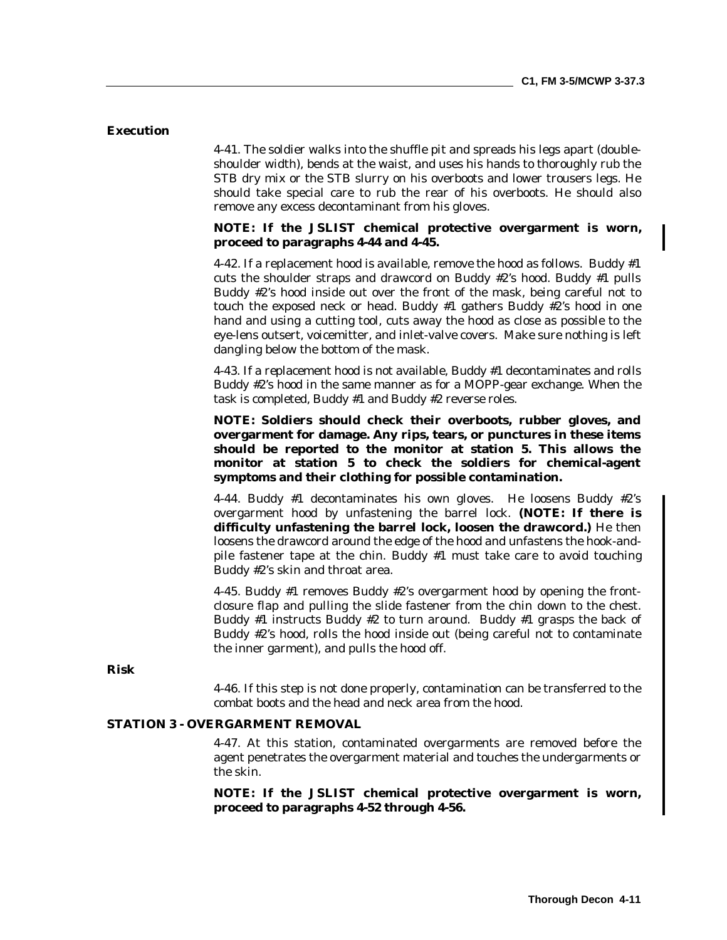### **Execution**

4-41. The soldier walks into the shuffle pit and spreads his legs apart (doubleshoulder width), bends at the waist, and uses his hands to thoroughly rub the STB dry mix or the STB slurry on his overboots and lower trousers legs. He should take special care to rub the rear of his overboots. He should also remove any excess decontaminant from his gloves.

### **NOTE: If the JSLIST chemical protective overgarment is worn, proceed to paragraphs 4-44 and 4-45.**

4-42. If a replacement hood is available, remove the hood as follows. Buddy #1 cuts the shoulder straps and drawcord on Buddy #2's hood. Buddy #1 pulls Buddy #2's hood inside out over the front of the mask, being careful not to touch the exposed neck or head. Buddy #1 gathers Buddy #2's hood in one hand and using a cutting tool, cuts away the hood as close as possible to the eye-lens outsert, voicemitter, and inlet-valve covers. Make sure nothing is left dangling below the bottom of the mask.

4-43. If a replacement hood is not available, Buddy #1 decontaminates and rolls Buddy #2's hood in the same manner as for a MOPP-gear exchange. When the task is completed, Buddy #1 and Buddy #2 reverse roles.

**NOTE: Soldiers should check their overboots, rubber gloves, and overgarment for damage. Any rips, tears, or punctures in these items should be reported to the monitor at station 5. This allows the monitor at station 5 to check the soldiers for chemical-agent symptoms and their clothing for possible contamination.**

4-44. Buddy #1 decontaminates his own gloves. He loosens Buddy #2's overgarment hood by unfastening the barrel lock. **(NOTE: If there is difficulty unfastening the barrel lock, loosen the drawcord.)** He then loosens the drawcord around the edge of the hood and unfastens the hook-andpile fastener tape at the chin. Buddy #1 must take care to avoid touching Buddy #2's skin and throat area.

4-45. Buddy #1 removes Buddy #2's overgarment hood by opening the frontclosure flap and pulling the slide fastener from the chin down to the chest. Buddy #1 instructs Buddy #2 to turn around. Buddy #1 grasps the back of Buddy #2's hood, rolls the hood inside out (being careful not to contaminate the inner garment), and pulls the hood off.

**Risk**

4-46. If this step is not done properly, contamination can be transferred to the combat boots and the head and neck area from the hood.

### **STATION 3 - OVERGARMENT REMOVAL**

4-47. At this station, contaminated overgarments are removed before the agent penetrates the overgarment material and touches the undergarments or the skin.

**NOTE: If the JSLIST chemical protective overgarment is worn, proceed to paragraphs 4-52 through 4-56.**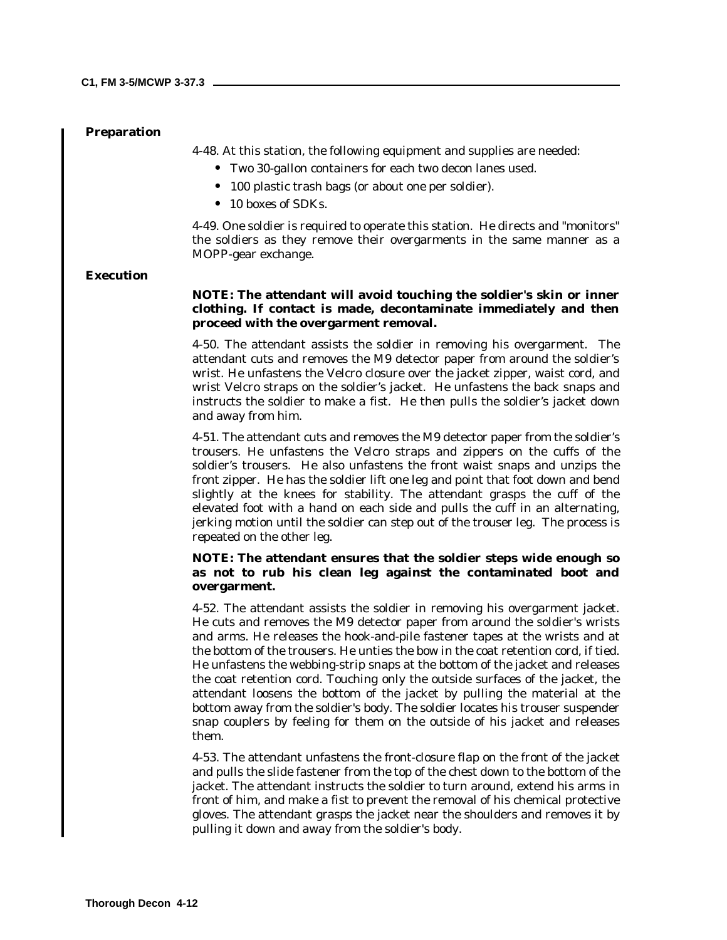### **Preparation**

4-48. At this station, the following equipment and supplies are needed:

- **•** Two 30-gallon containers for each two decon lanes used.
- **•** 100 plastic trash bags (or about one per soldier).
- **•** 10 boxes of SDKs.

4-49. One soldier is required to operate this station. He directs and "monitors" the soldiers as they remove their overgarments in the same manner as a MOPP-gear exchange.

**Execution**

### **NOTE: The attendant will avoid touching the soldier's skin or inner clothing. If contact is made, decontaminate immediately and then proceed with the overgarment removal.**

4-50. The attendant assists the soldier in removing his overgarment. The attendant cuts and removes the M9 detector paper from around the soldier's wrist. He unfastens the Velcro closure over the jacket zipper, waist cord, and wrist Velcro straps on the soldier's jacket. He unfastens the back snaps and instructs the soldier to make a fist. He then pulls the soldier's jacket down and away from him.

4-51. The attendant cuts and removes the M9 detector paper from the soldier's trousers. He unfastens the Velcro straps and zippers on the cuffs of the soldier's trousers. He also unfastens the front waist snaps and unzips the front zipper. He has the soldier lift one leg and point that foot down and bend slightly at the knees for stability. The attendant grasps the cuff of the elevated foot with a hand on each side and pulls the cuff in an alternating, jerking motion until the soldier can step out of the trouser leg. The process is repeated on the other leg.

### **NOTE: The attendant ensures that the soldier steps wide enough so as not to rub his clean leg against the contaminated boot and overgarment.**

4-52. The attendant assists the soldier in removing his overgarment jacket. He cuts and removes the M9 detector paper from around the soldier's wrists and arms. He releases the hook-and-pile fastener tapes at the wrists and at the bottom of the trousers. He unties the bow in the coat retention cord, if tied. He unfastens the webbing-strip snaps at the bottom of the jacket and releases the coat retention cord. Touching only the outside surfaces of the jacket, the attendant loosens the bottom of the jacket by pulling the material at the bottom away from the soldier's body. The soldier locates his trouser suspender snap couplers by feeling for them on the outside of his jacket and releases them.

4-53. The attendant unfastens the front-closure flap on the front of the jacket and pulls the slide fastener from the top of the chest down to the bottom of the jacket. The attendant instructs the soldier to turn around, extend his arms in front of him, and make a fist to prevent the removal of his chemical protective gloves. The attendant grasps the jacket near the shoulders and removes it by pulling it down and away from the soldier's body.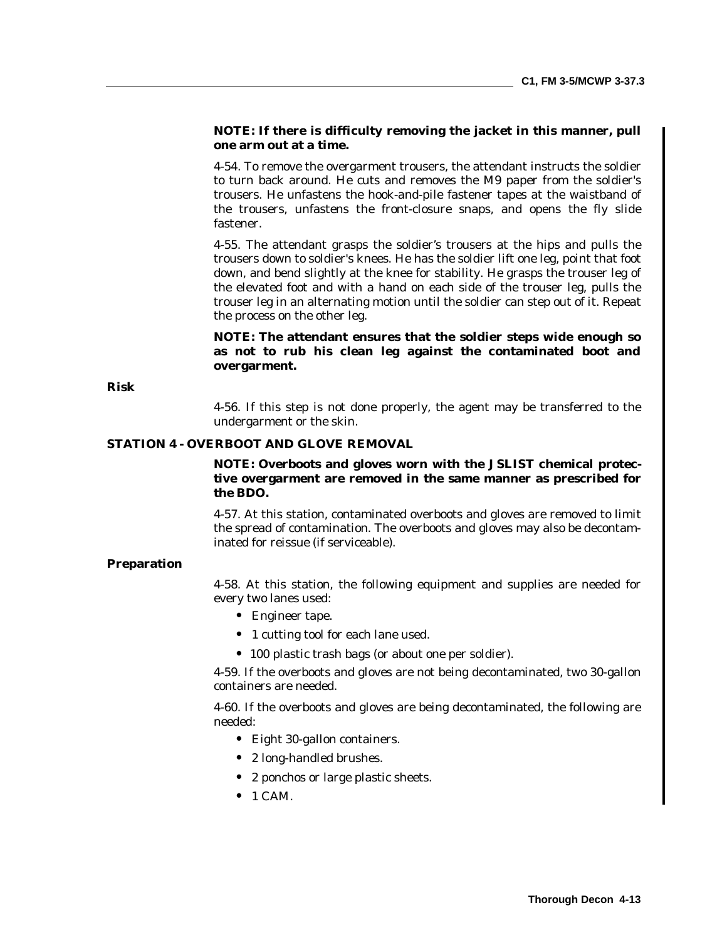### **NOTE: If there is difficulty removing the jacket in this manner, pull one arm out at a time.**

4-54. To remove the overgarment trousers, the attendant instructs the soldier to turn back around. He cuts and removes the M9 paper from the soldier's trousers. He unfastens the hook-and-pile fastener tapes at the waistband of the trousers, unfastens the front-closure snaps, and opens the fly slide fastener.

4-55. The attendant grasps the soldier's trousers at the hips and pulls the trousers down to soldier's knees. He has the soldier lift one leg, point that foot down, and bend slightly at the knee for stability. He grasps the trouser leg of the elevated foot and with a hand on each side of the trouser leg, pulls the trouser leg in an alternating motion until the soldier can step out of it. Repeat the process on the other leg.

### **NOTE: The attendant ensures that the soldier steps wide enough so as not to rub his clean leg against the contaminated boot and overgarment.**

### **Risk**

4-56. If this step is not done properly, the agent may be transferred to the undergarment or the skin.

### **STATION 4 - OVERBOOT AND GLOVE REMOVAL**

**NOTE: Overboots and gloves worn with the JSLIST chemical protective overgarment are removed in the same manner as prescribed for the BDO.**

4-57. At this station, contaminated overboots and gloves are removed to limit the spread of contamination. The overboots and gloves may also be decontaminated for reissue (if serviceable).

### **Preparation**

4-58. At this station, the following equipment and supplies are needed for every two lanes used:

- **•** Engineer tape.
- **•** 1 cutting tool for each lane used.
- **•** 100 plastic trash bags (or about one per soldier).

4-59. If the overboots and gloves are not being decontaminated, two 30-gallon containers are needed.

4-60. If the overboots and gloves are being decontaminated, the following are needed:

- **•** Eight 30-gallon containers.
- **•** 2 long-handled brushes.
- **•** 2 ponchos or large plastic sheets.
- **•** 1 CAM.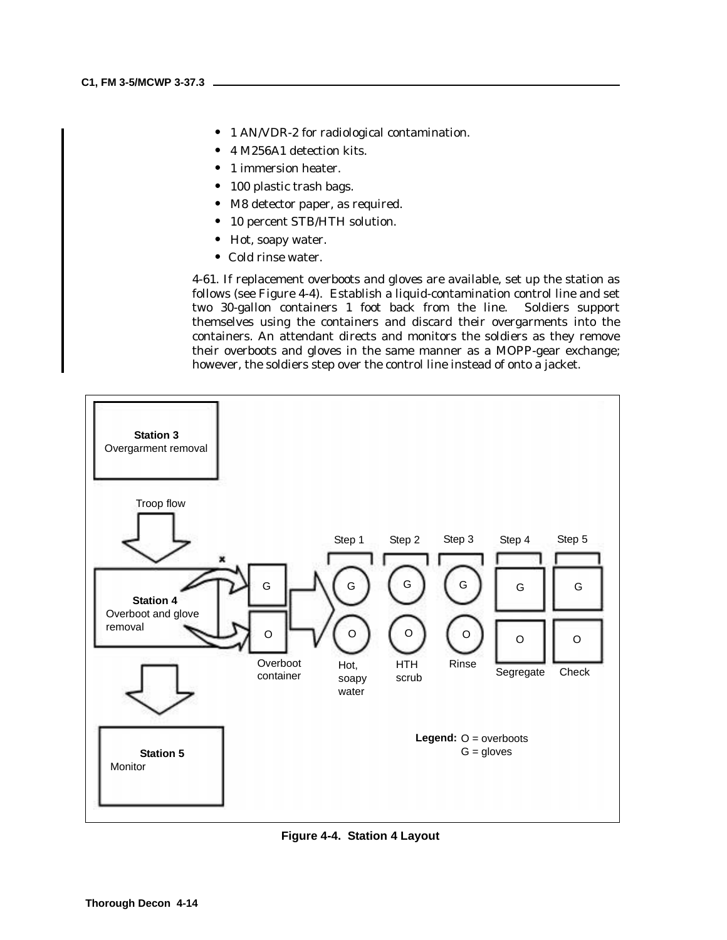- **•** 1 AN/VDR-2 for radiological contamination.
- **•** 4 M256A1 detection kits.
- **•** 1 immersion heater.
- **•** 100 plastic trash bags.
- **•** M8 detector paper, as required.
- **•** 10 percent STB/HTH solution.
- **•** Hot, soapy water.
- **•** Cold rinse water.

4-61. If replacement overboots and gloves are available, set up the station as follows (see Figure 4-4). Establish a liquid-contamination control line and set two 30-gallon containers 1 foot back from the line. Soldiers support themselves using the containers and discard their overgarments into the containers. An attendant directs and monitors the soldiers as they remove their overboots and gloves in the same manner as a MOPP-gear exchange; however, the soldiers step over the control line instead of onto a jacket.



**Figure 4-4. Station 4 Layout**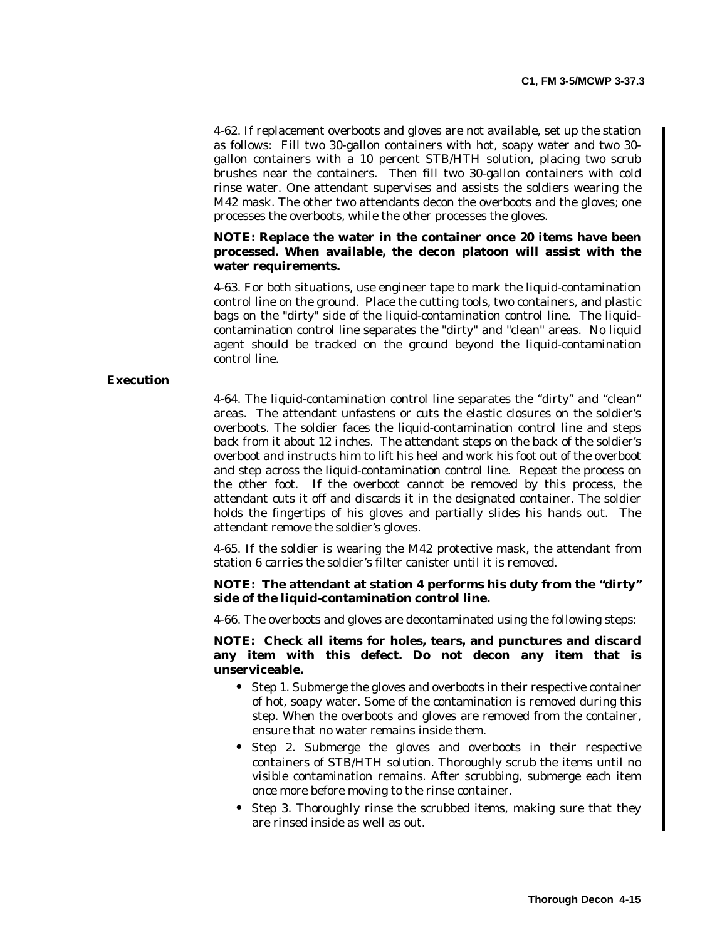4-62. If replacement overboots and gloves are not available, set up the station as follows: Fill two 30-gallon containers with hot, soapy water and two 30 gallon containers with a 10 percent STB/HTH solution, placing two scrub brushes near the containers. Then fill two 30-gallon containers with cold rinse water. One attendant supervises and assists the soldiers wearing the M42 mask. The other two attendants decon the overboots and the gloves; one processes the overboots, while the other processes the gloves.

### **NOTE: Replace the water in the container once 20 items have been processed. When available, the decon platoon will assist with the water requirements.**

4-63. For both situations, use engineer tape to mark the liquid-contamination control line on the ground. Place the cutting tools, two containers, and plastic bags on the "dirty" side of the liquid-contamination control line. The liquidcontamination control line separates the "dirty" and "clean" areas. No liquid agent should be tracked on the ground beyond the liquid-contamination control line.

### **Execution**

4-64. The liquid-contamination control line separates the "dirty" and "clean" areas. The attendant unfastens or cuts the elastic closures on the soldier's overboots. The soldier faces the liquid-contamination control line and steps back from it about 12 inches. The attendant steps on the back of the soldier's overboot and instructs him to lift his heel and work his foot out of the overboot and step across the liquid-contamination control line. Repeat the process on the other foot. If the overboot cannot be removed by this process, the attendant cuts it off and discards it in the designated container. The soldier holds the fingertips of his gloves and partially slides his hands out. The attendant remove the soldier's gloves.

4-65. If the soldier is wearing the M42 protective mask, the attendant from station 6 carries the soldier's filter canister until it is removed.

### **NOTE: The attendant at station 4 performs his duty from the "dirty" side of the liquid-contamination control line.**

4-66. The overboots and gloves are decontaminated using the following steps:

### **NOTE: Check all items for holes, tears, and punctures and discard any item with this defect. Do not decon any item that is unserviceable.**

- **•** Step 1. Submerge the gloves and overboots in their respective container of hot, soapy water. Some of the contamination is removed during this step. When the overboots and gloves are removed from the container, ensure that no water remains inside them.
- **•** Step 2. Submerge the gloves and overboots in their respective containers of STB/HTH solution. Thoroughly scrub the items until no visible contamination remains. After scrubbing, submerge each item once more before moving to the rinse container.
- **•** Step 3. Thoroughly rinse the scrubbed items, making sure that they are rinsed inside as well as out.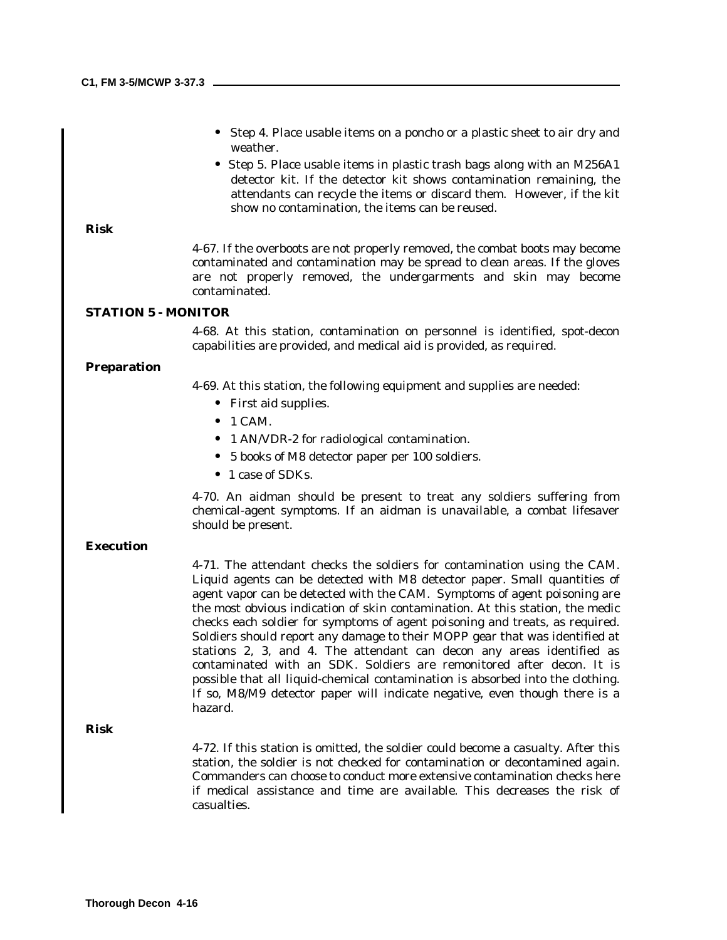- **•** Step 4. Place usable items on a poncho or a plastic sheet to air dry and weather.
- **•** Step 5. Place usable items in plastic trash bags along with an M256A1 detector kit. If the detector kit shows contamination remaining, the attendants can recycle the items or discard them. However, if the kit show no contamination, the items can be reused.

#### **Risk**

4-67. If the overboots are not properly removed, the combat boots may become contaminated and contamination may be spread to clean areas. If the gloves are not properly removed, the undergarments and skin may become contaminated.

#### **STATION 5 - MONITOR**

4-68. At this station, contamination on personnel is identified, spot-decon capabilities are provided, and medical aid is provided, as required.

#### **Preparation**

- 4-69. At this station, the following equipment and supplies are needed:
	- **•** First aid supplies.
	- **•** 1 CAM.
	- **•** 1 AN/VDR-2 for radiological contamination.
	- **•** 5 books of M8 detector paper per 100 soldiers.
	- **•** 1 case of SDKs.

4-70. An aidman should be present to treat any soldiers suffering from chemical-agent symptoms. If an aidman is unavailable, a combat lifesaver should be present.

#### **Execution**

4-71. The attendant checks the soldiers for contamination using the CAM. Liquid agents can be detected with M8 detector paper. Small quantities of agent vapor can be detected with the CAM. Symptoms of agent poisoning are the most obvious indication of skin contamination. At this station, the medic checks each soldier for symptoms of agent poisoning and treats, as required. Soldiers should report any damage to their MOPP gear that was identified at stations 2, 3, and 4. The attendant can decon any areas identified as contaminated with an SDK. Soldiers are remonitored after decon. It is possible that all liquid-chemical contamination is absorbed into the clothing. If so, M8/M9 detector paper will indicate negative, even though there is a hazard.

**Risk**

4-72. If this station is omitted, the soldier could become a casualty. After this station, the soldier is not checked for contamination or decontamined again. Commanders can choose to conduct more extensive contamination checks here if medical assistance and time are available. This decreases the risk of casualties.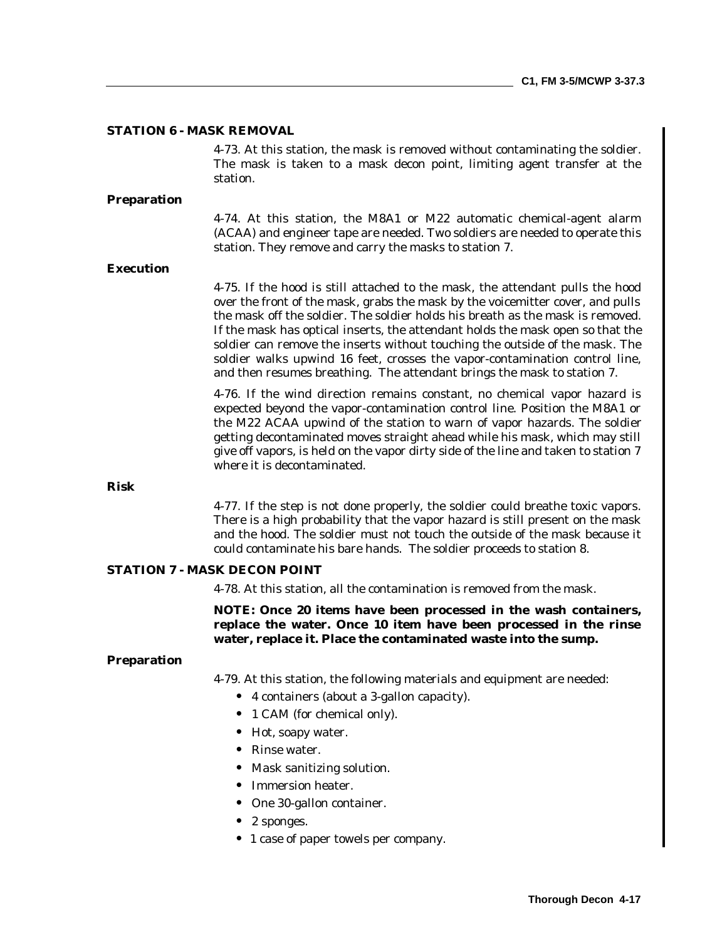#### **STATION 6 - MASK REMOVAL**

4-73. At this station, the mask is removed without contaminating the soldier. The mask is taken to a mask decon point, limiting agent transfer at the station.

#### **Preparation**

4-74. At this station, the M8A1 or M22 automatic chemical-agent alarm (ACAA) and engineer tape are needed. Two soldiers are needed to operate this station. They remove and carry the masks to station 7.

#### **Execution**

4-75. If the hood is still attached to the mask, the attendant pulls the hood over the front of the mask, grabs the mask by the voicemitter cover, and pulls the mask off the soldier. The soldier holds his breath as the mask is removed. If the mask has optical inserts, the attendant holds the mask open so that the soldier can remove the inserts without touching the outside of the mask. The soldier walks upwind 16 feet, crosses the vapor-contamination control line, and then resumes breathing. The attendant brings the mask to station 7.

4-76. If the wind direction remains constant, no chemical vapor hazard is expected beyond the vapor-contamination control line. Position the M8A1 or the M22 ACAA upwind of the station to warn of vapor hazards. The soldier getting decontaminated moves straight ahead while his mask, which may still give off vapors, is held on the vapor dirty side of the line and taken to station 7 where it is decontaminated.

#### **Risk**

4-77. If the step is not done properly, the soldier could breathe toxic vapors. There is a high probability that the vapor hazard is still present on the mask and the hood. The soldier must not touch the outside of the mask because it could contaminate his bare hands. The soldier proceeds to station 8.

#### **STATION 7 - MASK DECON POINT**

4-78. At this station, all the contamination is removed from the mask.

**NOTE: Once 20 items have been processed in the wash containers, replace the water. Once 10 item have been processed in the rinse water, replace it. Place the contaminated waste into the sump.**

#### **Preparation**

4-79. At this station, the following materials and equipment are needed:

- **•** 4 containers (about a 3-gallon capacity).
- **•** 1 CAM (for chemical only).
- **•** Hot, soapy water.
- **•** Rinse water.
- **•** Mask sanitizing solution.
- **•** Immersion heater.
- **•** One 30-gallon container.
- **•** 2 sponges.
- **•** 1 case of paper towels per company.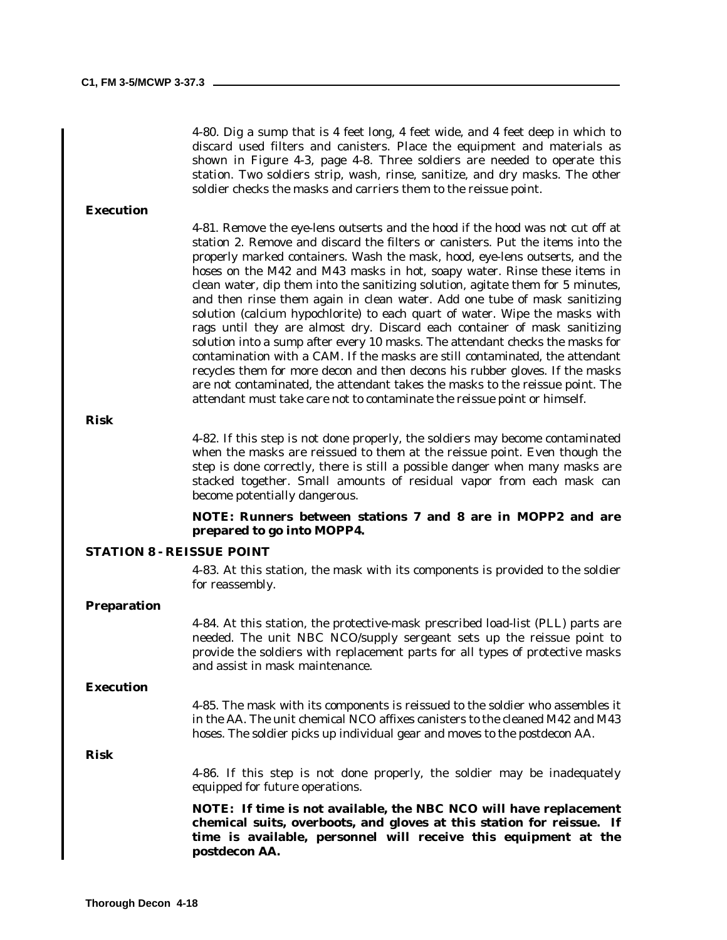4-80. Dig a sump that is 4 feet long, 4 feet wide, and 4 feet deep in which to discard used filters and canisters. Place the equipment and materials as shown in Figure 4-3, page 4-8. Three soldiers are needed to operate this station. Two soldiers strip, wash, rinse, sanitize, and dry masks. The other soldier checks the masks and carriers them to the reissue point.

#### **Execution**

4-81. Remove the eye-lens outserts and the hood if the hood was not cut off at station 2. Remove and discard the filters or canisters. Put the items into the properly marked containers. Wash the mask, hood, eye-lens outserts, and the hoses on the M42 and M43 masks in hot, soapy water. Rinse these items in clean water, dip them into the sanitizing solution, agitate them for 5 minutes, and then rinse them again in clean water. Add one tube of mask sanitizing solution (calcium hypochlorite) to each quart of water. Wipe the masks with rags until they are almost dry. Discard each container of mask sanitizing solution into a sump after every 10 masks. The attendant checks the masks for contamination with a CAM. If the masks are still contaminated, the attendant recycles them for more decon and then decons his rubber gloves. If the masks are not contaminated, the attendant takes the masks to the reissue point. The attendant must take care not to contaminate the reissue point or himself.

#### **Risk**

4-82. If this step is not done properly, the soldiers may become contaminated when the masks are reissued to them at the reissue point. Even though the step is done correctly, there is still a possible danger when many masks are stacked together. Small amounts of residual vapor from each mask can become potentially dangerous.

**NOTE: Runners between stations 7 and 8 are in MOPP2 and are prepared to go into MOPP4.**

#### **STATION 8 - REISSUE POINT**

4-83. At this station, the mask with its components is provided to the soldier for reassembly.

#### **Preparation**

4-84. At this station, the protective-mask prescribed load-list (PLL) parts are needed. The unit NBC NCO/supply sergeant sets up the reissue point to provide the soldiers with replacement parts for all types of protective masks and assist in mask maintenance.

#### **Execution**

4-85. The mask with its components is reissued to the soldier who assembles it in the AA. The unit chemical NCO affixes canisters to the cleaned M42 and M43 hoses. The soldier picks up individual gear and moves to the postdecon AA.

**Risk**

4-86. If this step is not done properly, the soldier may be inadequately equipped for future operations.

**NOTE: If time is not available, the NBC NCO will have replacement chemical suits, overboots, and gloves at this station for reissue. If time is available, personnel will receive this equipment at the postdecon AA.**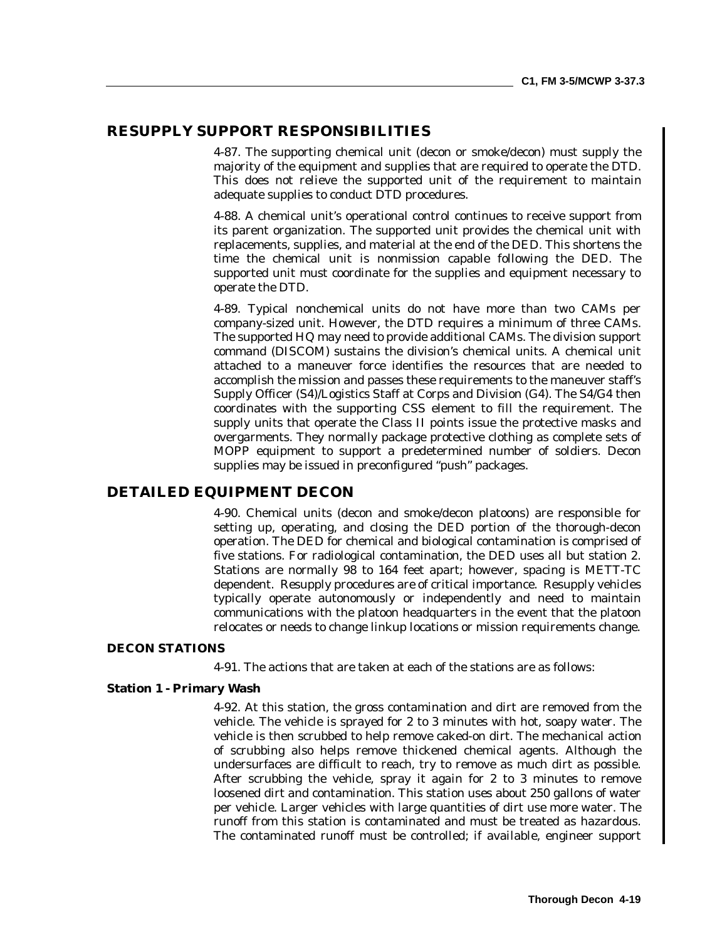#### **RESUPPLY SUPPORT RESPONSIBILITIES**

4-87. The supporting chemical unit (decon or smoke/decon) must supply the majority of the equipment and supplies that are required to operate the DTD. This does not relieve the supported unit of the requirement to maintain adequate supplies to conduct DTD procedures.

4-88. A chemical unit's operational control continues to receive support from its parent organization. The supported unit provides the chemical unit with replacements, supplies, and material at the end of the DED. This shortens the time the chemical unit is nonmission capable following the DED. The supported unit must coordinate for the supplies and equipment necessary to operate the DTD.

4-89. Typical nonchemical units do not have more than two CAMs per company-sized unit. However, the DTD requires a minimum of three CAMs. The supported HQ may need to provide additional CAMs. The division support command (DISCOM) sustains the division's chemical units. A chemical unit attached to a maneuver force identifies the resources that are needed to accomplish the mission and passes these requirements to the maneuver staff's Supply Officer (S4)/Logistics Staff at Corps and Division (G4). The S4/G4 then coordinates with the supporting CSS element to fill the requirement. The supply units that operate the Class II points issue the protective masks and overgarments. They normally package protective clothing as complete sets of MOPP equipment to support a predetermined number of soldiers. Decon supplies may be issued in preconfigured "push" packages.

#### **DETAILED EQUIPMENT DECON**

4-90. Chemical units (decon and smoke/decon platoons) are responsible for setting up, operating, and closing the DED portion of the thorough-decon operation. The DED for chemical and biological contamination is comprised of five stations. For radiological contamination, the DED uses all but station 2. Stations are normally 98 to 164 feet apart; however, spacing is METT-TC dependent. Resupply procedures are of critical importance. Resupply vehicles typically operate autonomously or independently and need to maintain communications with the platoon headquarters in the event that the platoon relocates or needs to change linkup locations or mission requirements change.

#### **DECON STATIONS**

4-91. The actions that are taken at each of the stations are as follows:

#### **Station 1 - Primary Wash**

4-92. At this station, the gross contamination and dirt are removed from the vehicle. The vehicle is sprayed for 2 to 3 minutes with hot, soapy water. The vehicle is then scrubbed to help remove caked-on dirt. The mechanical action of scrubbing also helps remove thickened chemical agents. Although the undersurfaces are difficult to reach, try to remove as much dirt as possible. After scrubbing the vehicle, spray it again for 2 to 3 minutes to remove loosened dirt and contamination. This station uses about 250 gallons of water per vehicle. Larger vehicles with large quantities of dirt use more water. The runoff from this station is contaminated and must be treated as hazardous. The contaminated runoff must be controlled; if available, engineer support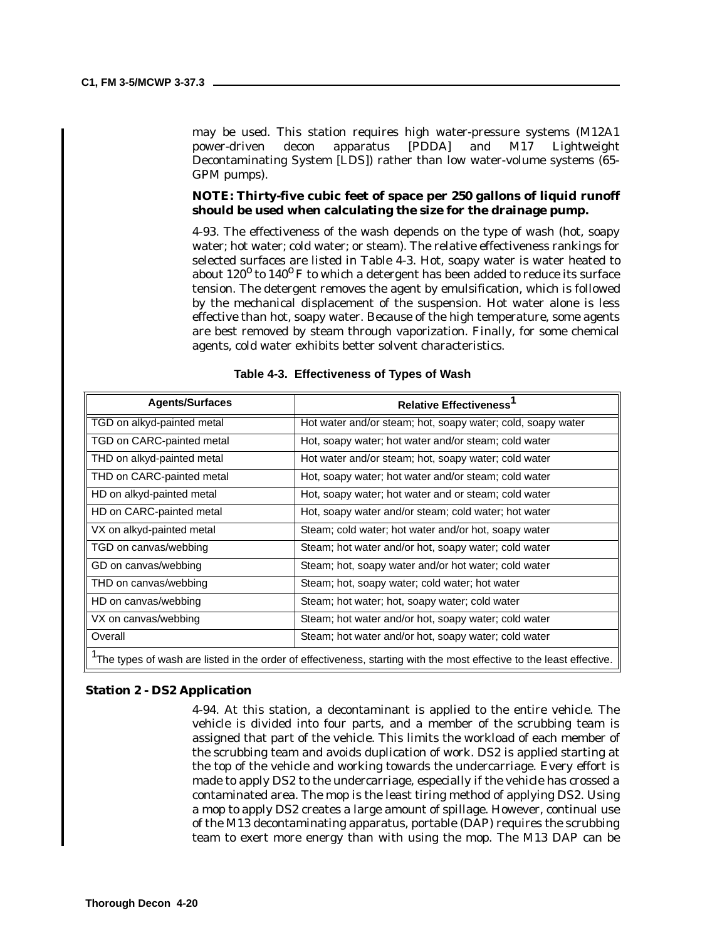may be used. This station requires high water-pressure systems (M12A1 power-driven decon apparatus [PDDA] and M17 Lightweight Decontaminating System [LDS]) rather than low water-volume systems (65- GPM pumps).

#### **NOTE: Thirty-five cubic feet of space per 250 gallons of liquid runoff should be used when calculating the size for the drainage pump.**

4-93. The effectiveness of the wash depends on the type of wash (hot, soapy water; hot water; cold water; or steam). The relative effectiveness rankings for selected surfaces are listed in Table 4-3. Hot, soapy water is water heated to about  $120^{\circ}$  to  $140^{\circ}$  F to which a detergent has been added to reduce its surface tension. The detergent removes the agent by emulsification, which is followed by the mechanical displacement of the suspension. Hot water alone is less effective than hot, soapy water. Because of the high temperature, some agents are best removed by steam through vaporization. Finally, for some chemical agents, cold water exhibits better solvent characteristics.

| <b>Agents/Surfaces</b>     | <b>Relative Effectiveness</b>                                                                                        |
|----------------------------|----------------------------------------------------------------------------------------------------------------------|
| TGD on alkyd-painted metal | Hot water and/or steam; hot, soapy water; cold, soapy water                                                          |
| TGD on CARC-painted metal  | Hot, soapy water; hot water and/or steam; cold water                                                                 |
| THD on alkyd-painted metal | Hot water and/or steam; hot, soapy water; cold water                                                                 |
| THD on CARC-painted metal  | Hot, soapy water; hot water and/or steam; cold water                                                                 |
| HD on alkyd-painted metal  | Hot, soapy water; hot water and or steam; cold water                                                                 |
| HD on CARC-painted metal   | Hot, soapy water and/or steam; cold water; hot water                                                                 |
| VX on alkyd-painted metal  | Steam; cold water; hot water and/or hot, soapy water                                                                 |
| TGD on canvas/webbing      | Steam; hot water and/or hot, soapy water; cold water                                                                 |
| GD on canvas/webbing       | Steam; hot, soapy water and/or hot water; cold water                                                                 |
| THD on canvas/webbing      | Steam; hot, soapy water; cold water; hot water                                                                       |
| HD on canvas/webbing       | Steam; hot water; hot, soapy water; cold water                                                                       |
| VX on canvas/webbing       | Steam; hot water and/or hot, soapy water; cold water                                                                 |
| Overall                    | Steam; hot water and/or hot, soapy water; cold water                                                                 |
|                            | The types of wash are listed in the order of effectiveness, starting with the most effective to the least effective. |

**Table 4-3. Effectiveness of Types of Wash**

#### **Station 2 - DS2 Application**

4-94. At this station, a decontaminant is applied to the entire vehicle. The vehicle is divided into four parts, and a member of the scrubbing team is assigned that part of the vehicle. This limits the workload of each member of the scrubbing team and avoids duplication of work. DS2 is applied starting at the top of the vehicle and working towards the undercarriage. Every effort is made to apply DS2 to the undercarriage, especially if the vehicle has crossed a contaminated area. The mop is the least tiring method of applying DS2. Using a mop to apply DS2 creates a large amount of spillage. However, continual use of the M13 decontaminating apparatus, portable (DAP) requires the scrubbing team to exert more energy than with using the mop. The M13 DAP can be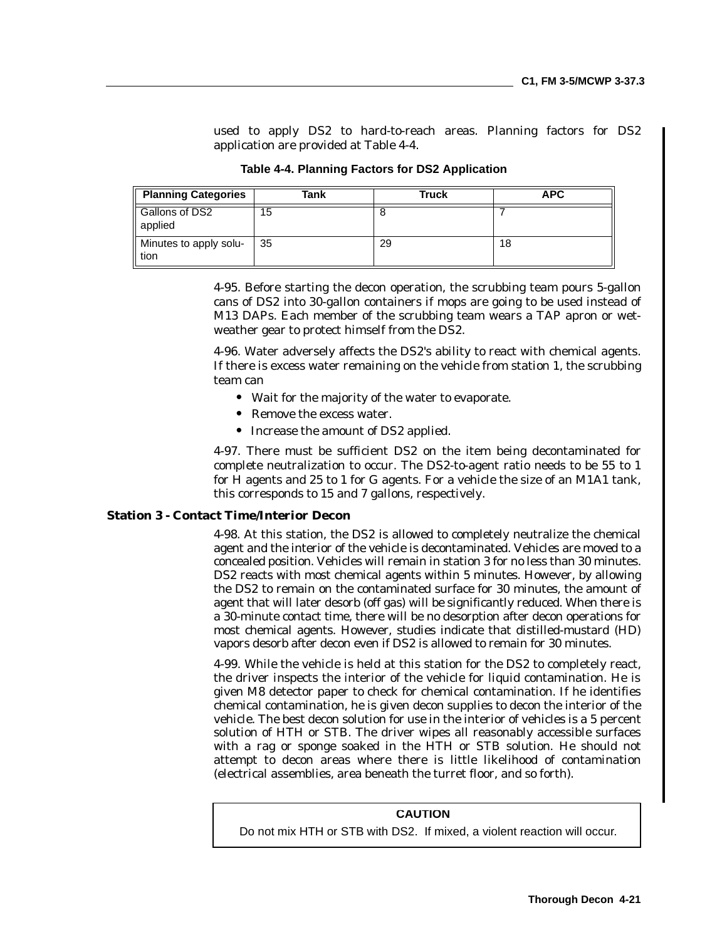used to apply DS2 to hard-to-reach areas. Planning factors for DS2 application are provided at Table 4-4.

| Table 4-4. Planning Factors for DS2 Application |  |  |  |  |  |
|-------------------------------------------------|--|--|--|--|--|
|-------------------------------------------------|--|--|--|--|--|

| Planning Categories              | Tank | Truck | APC |
|----------------------------------|------|-------|-----|
| Gallons of DS2<br>applied        | 15   |       |     |
| Minutes to apply solu-<br>l tion | - 35 | 29    | 18  |

4-95. Before starting the decon operation, the scrubbing team pours 5-gallon cans of DS2 into 30-gallon containers if mops are going to be used instead of M13 DAPs. Each member of the scrubbing team wears a TAP apron or wetweather gear to protect himself from the DS2.

4-96. Water adversely affects the DS2's ability to react with chemical agents. If there is excess water remaining on the vehicle from station 1, the scrubbing team can

- **•** Wait for the majority of the water to evaporate.
- **•** Remove the excess water.
- **•** Increase the amount of DS2 applied.

4-97. There must be sufficient DS2 on the item being decontaminated for complete neutralization to occur. The DS2-to-agent ratio needs to be 55 to 1 for H agents and 25 to 1 for G agents. For a vehicle the size of an M1A1 tank, this corresponds to 15 and 7 gallons, respectively.

#### **Station 3 - Contact Time/Interior Decon**

4-98. At this station, the DS2 is allowed to completely neutralize the chemical agent and the interior of the vehicle is decontaminated. Vehicles are moved to a concealed position. Vehicles will remain in station 3 for no less than 30 minutes. DS2 reacts with most chemical agents within 5 minutes. However, by allowing the DS2 to remain on the contaminated surface for 30 minutes, the amount of agent that will later desorb (off gas) will be significantly reduced. When there is a 30-minute contact time, there will be no desorption after decon operations for most chemical agents. However, studies indicate that distilled-mustard (HD) vapors desorb after decon even if DS2 is allowed to remain for 30 minutes.

4-99. While the vehicle is held at this station for the DS2 to completely react, the driver inspects the interior of the vehicle for liquid contamination. He is given M8 detector paper to check for chemical contamination. If he identifies chemical contamination, he is given decon supplies to decon the interior of the vehicle. The best decon solution for use in the interior of vehicles is a 5 percent solution of HTH or STB. The driver wipes all reasonably accessible surfaces with a rag or sponge soaked in the HTH or STB solution. He should not attempt to decon areas where there is little likelihood of contamination (electrical assemblies, area beneath the turret floor, and so forth).

#### **CAUTION**

Do not mix HTH or STB with DS2. If mixed, a violent reaction will occur.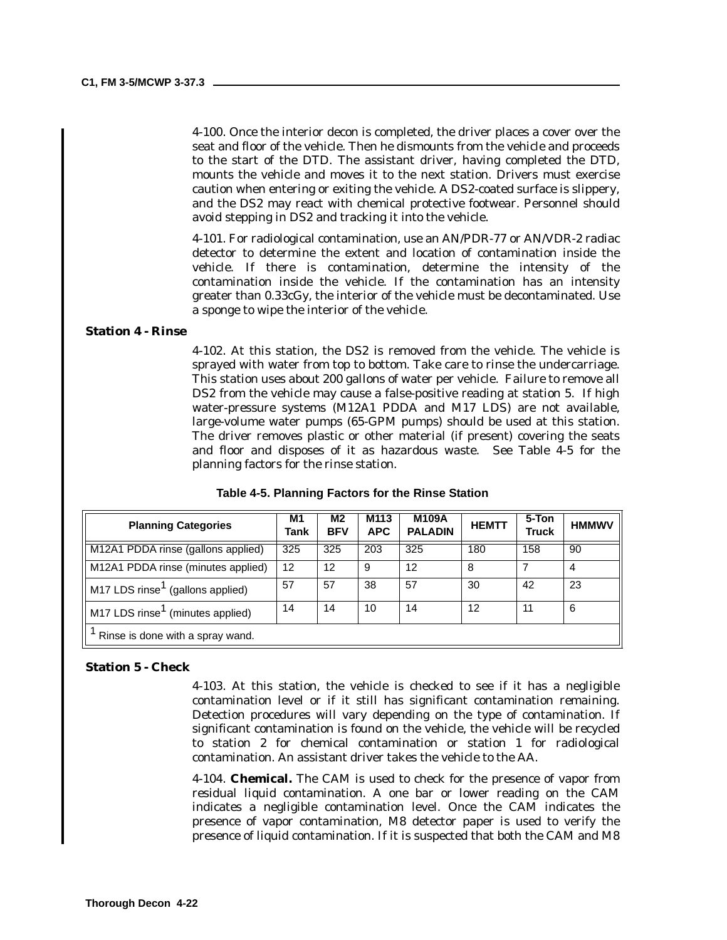4-100. Once the interior decon is completed, the driver places a cover over the seat and floor of the vehicle. Then he dismounts from the vehicle and proceeds to the start of the DTD. The assistant driver, having completed the DTD, mounts the vehicle and moves it to the next station. Drivers must exercise caution when entering or exiting the vehicle. A DS2-coated surface is slippery, and the DS2 may react with chemical protective footwear. Personnel should avoid stepping in DS2 and tracking it into the vehicle.

4-101. For radiological contamination, use an AN/PDR-77 or AN/VDR-2 radiac detector to determine the extent and location of contamination inside the vehicle. If there is contamination, determine the intensity of the contamination inside the vehicle. If the contamination has an intensity greater than 0.33cGy, the interior of the vehicle must be decontaminated. Use a sponge to wipe the interior of the vehicle.

#### **Station 4 - Rinse**

4-102. At this station, the DS2 is removed from the vehicle. The vehicle is sprayed with water from top to bottom. Take care to rinse the undercarriage. This station uses about 200 gallons of water per vehicle. Failure to remove all DS2 from the vehicle may cause a false-positive reading at station 5. If high water-pressure systems (M12A1 PDDA and M17 LDS) are not available, large-volume water pumps (65-GPM pumps) should be used at this station. The driver removes plastic or other material (if present) covering the seats and floor and disposes of it as hazardous waste. See Table 4-5 for the planning factors for the rinse station.

| <b>Planning Categories</b>                   | M1<br>Tank | M2<br><b>BFV</b> | M <sub>113</sub><br><b>APC</b> | <b>M109A</b><br><b>PALADIN</b> | <b>HEMTT</b> | 5-Ton<br><b>Truck</b> | <b>HMMWV</b> |
|----------------------------------------------|------------|------------------|--------------------------------|--------------------------------|--------------|-----------------------|--------------|
| M12A1 PDDA rinse (gallons applied)           | 325        | 325              | 203                            | 325                            | 180          | 158                   | 90           |
| M12A1 PDDA rinse (minutes applied)           | 12         | 12               | 9                              | $12 \overline{ }$              | 8            |                       | 4            |
| M17 LDS rinse <sup>1</sup> (gallons applied) | 57         | 57               | 38                             | 57                             | 30           | 42                    | 23           |
| M17 LDS rinse <sup>1</sup> (minutes applied) | 14         | 14               | 10                             | 14                             | 12           | 11                    | 6            |
| Rinse is done with a spray wand.             |            |                  |                                |                                |              |                       |              |

**Table 4-5. Planning Factors for the Rinse Station**

#### **Station 5 - Check**

4-103. At this station, the vehicle is checked to see if it has a negligible contamination level or if it still has significant contamination remaining. Detection procedures will vary depending on the type of contamination. If significant contamination is found on the vehicle, the vehicle will be recycled to station 2 for chemical contamination or station 1 for radiological contamination. An assistant driver takes the vehicle to the AA.

4-104. **Chemical.** The CAM is used to check for the presence of vapor from residual liquid contamination. A one bar or lower reading on the CAM indicates a negligible contamination level. Once the CAM indicates the presence of vapor contamination, M8 detector paper is used to verify the presence of liquid contamination. If it is suspected that both the CAM and M8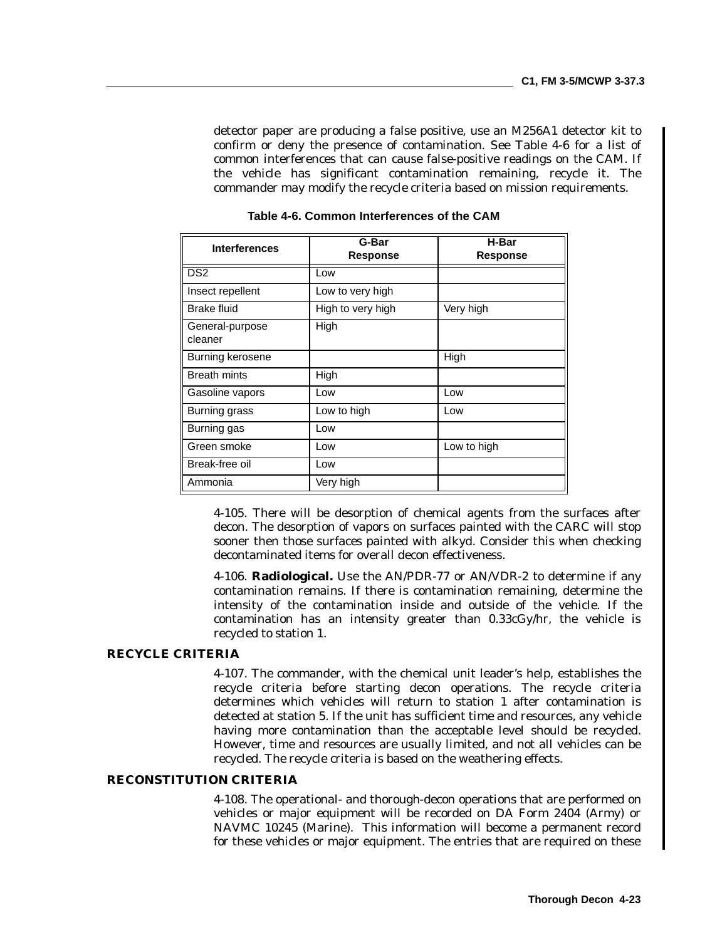detector paper are producing a false positive, use an M256A1 detector kit to confirm or deny the presence of contamination. See Table 4-6 for a list of common interferences that can cause false-positive readings on the CAM. If the vehicle has significant contamination remaining, recycle it. The commander may modify the recycle criteria based on mission requirements.

| <b>Interferences</b>       | G-Bar<br><b>Response</b> | H-Bar<br><b>Response</b> |
|----------------------------|--------------------------|--------------------------|
| D <sub>S2</sub>            | Low                      |                          |
| Insect repellent           | Low to very high         |                          |
| <b>Brake fluid</b>         | High to very high        | Very high                |
| General-purpose<br>cleaner | High                     |                          |
| Burning kerosene           |                          | High                     |
| <b>Breath mints</b>        | High                     |                          |
| Gasoline vapors            | Low                      | Low                      |
| Burning grass              | Low to high              | Low                      |
| Burning gas                | Low                      |                          |
| Green smoke                | Low                      | Low to high              |
| Break-free oil             | Low                      |                          |
| Ammonia                    | Very high                |                          |

**Table 4-6. Common Interferences of the CAM**

4-105. There will be desorption of chemical agents from the surfaces after decon. The desorption of vapors on surfaces painted with the CARC will stop sooner then those surfaces painted with alkyd. Consider this when checking decontaminated items for overall decon effectiveness.

4-106. **Radiological.** Use the AN/PDR-77 or AN/VDR-2 to determine if any contamination remains. If there is contamination remaining, determine the intensity of the contamination inside and outside of the vehicle. If the contamination has an intensity greater than 0.33cGy/hr, the vehicle is recycled to station 1.

#### **RECYCLE CRITERIA**

4-107. The commander, with the chemical unit leader's help, establishes the recycle criteria before starting decon operations. The recycle criteria determines which vehicles will return to station 1 after contamination is detected at station 5. If the unit has sufficient time and resources, any vehicle having more contamination than the acceptable level should be recycled. However, time and resources are usually limited, and not all vehicles can be recycled. The recycle criteria is based on the weathering effects.

#### **RECONSTITUTION CRITERIA**

4-108. The operational- and thorough-decon operations that are performed on vehicles or major equipment will be recorded on DA Form 2404 (Army) or NAVMC 10245 (Marine). This information will become a permanent record for these vehicles or major equipment. The entries that are required on these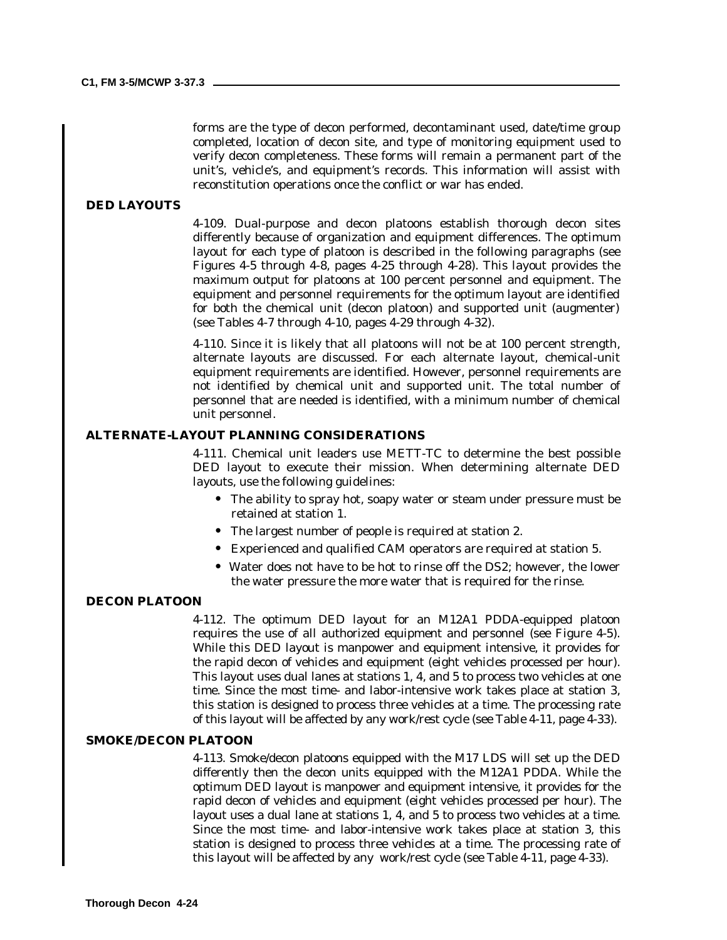forms are the type of decon performed, decontaminant used, date/time group completed, location of decon site, and type of monitoring equipment used to verify decon completeness. These forms will remain a permanent part of the unit's, vehicle's, and equipment's records. This information will assist with reconstitution operations once the conflict or war has ended.

#### **DED LAYOUTS**

4-109. Dual-purpose and decon platoons establish thorough decon sites differently because of organization and equipment differences. The optimum layout for each type of platoon is described in the following paragraphs (see Figures 4-5 through 4-8, pages 4-25 through 4-28). This layout provides the maximum output for platoons at 100 percent personnel and equipment. The equipment and personnel requirements for the optimum layout are identified for both the chemical unit (decon platoon) and supported unit (augmenter) (see Tables 4-7 through 4-10, pages 4-29 through 4-32).

4-110. Since it is likely that all platoons will not be at 100 percent strength, alternate layouts are discussed. For each alternate layout, chemical-unit equipment requirements are identified. However, personnel requirements are not identified by chemical unit and supported unit. The total number of personnel that are needed is identified, with a minimum number of chemical unit personnel.

#### **ALTERNATE-LAYOUT PLANNING CONSIDERATIONS**

4-111. Chemical unit leaders use METT-TC to determine the best possible DED layout to execute their mission. When determining alternate DED layouts, use the following guidelines:

- **•** The ability to spray hot, soapy water or steam under pressure must be retained at station 1.
- **•** The largest number of people is required at station 2.
- **•** Experienced and qualified CAM operators are required at station 5.
- **•** Water does not have to be hot to rinse off the DS2; however, the lower the water pressure the more water that is required for the rinse.

#### **DECON PLATOON**

4-112. The optimum DED layout for an M12A1 PDDA-equipped platoon requires the use of all authorized equipment and personnel (see Figure 4-5). While this DED layout is manpower and equipment intensive, it provides for the rapid decon of vehicles and equipment (eight vehicles processed per hour). This layout uses dual lanes at stations 1, 4, and 5 to process two vehicles at one time. Since the most time- and labor-intensive work takes place at station 3, this station is designed to process three vehicles at a time. The processing rate of this layout will be affected by any work/rest cycle (see Table 4-11, page 4-33).

#### **SMOKE/DECON PLATOON**

4-113. Smoke/decon platoons equipped with the M17 LDS will set up the DED differently then the decon units equipped with the M12A1 PDDA. While the optimum DED layout is manpower and equipment intensive, it provides for the rapid decon of vehicles and equipment (eight vehicles processed per hour). The layout uses a dual lane at stations 1, 4, and 5 to process two vehicles at a time. Since the most time- and labor-intensive work takes place at station 3, this station is designed to process three vehicles at a time. The processing rate of this layout will be affected by any work/rest cycle (see Table 4-11, page 4-33).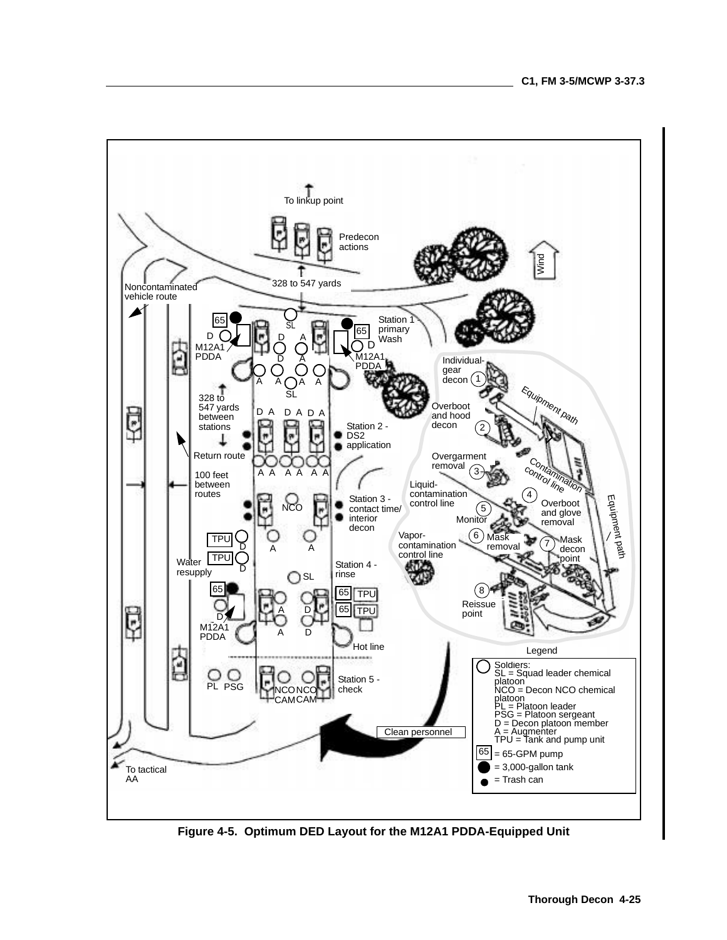

**Figure 4-5. Optimum DED Layout for the M12A1 PDDA-Equipped Unit**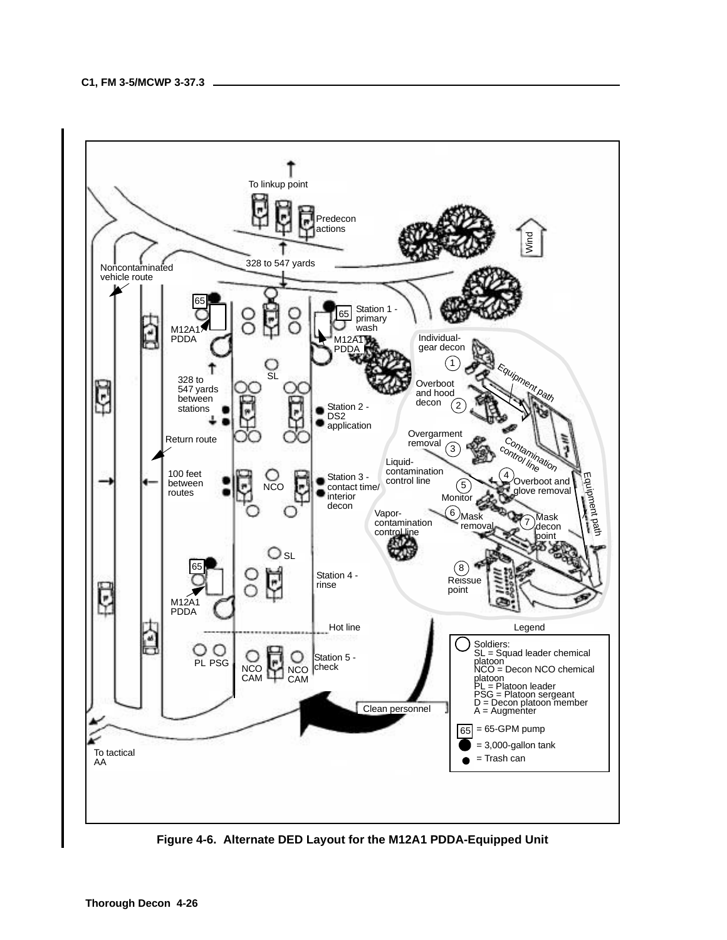

**Figure 4-6. Alternate DED Layout for the M12A1 PDDA-Equipped Unit**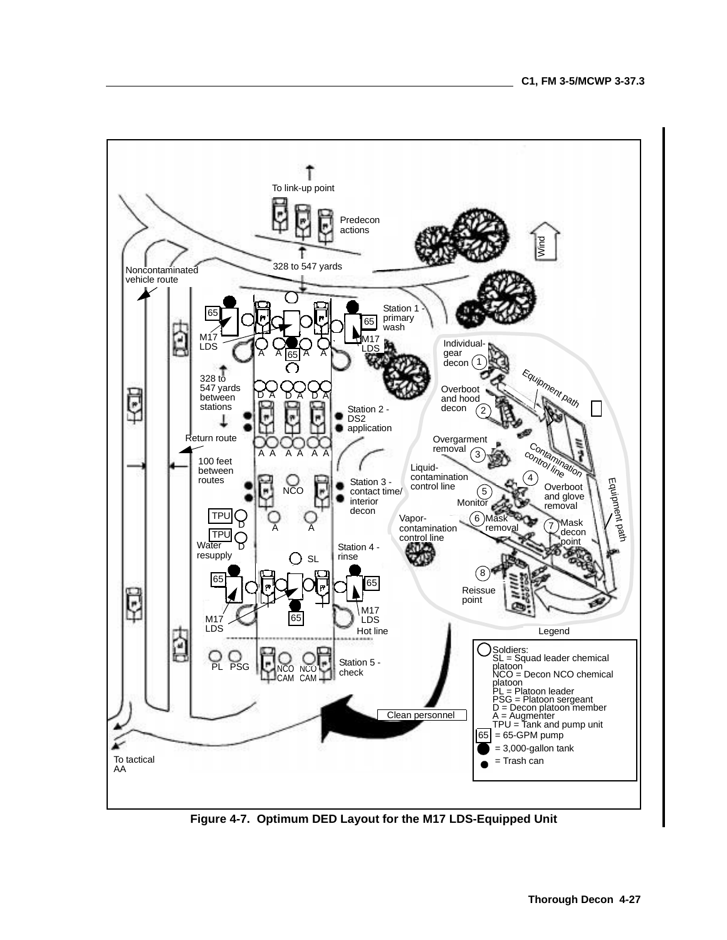

**Figure 4-7. Optimum DED Layout for the M17 LDS-Equipped Unit**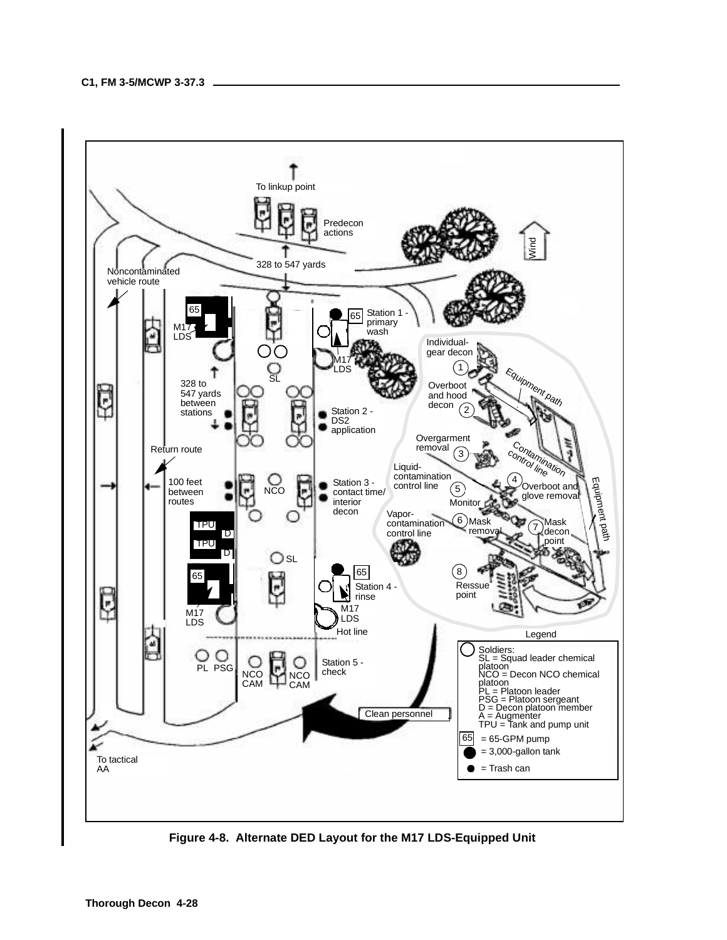

**Figure 4-8. Alternate DED Layout for the M17 LDS-Equipped Unit**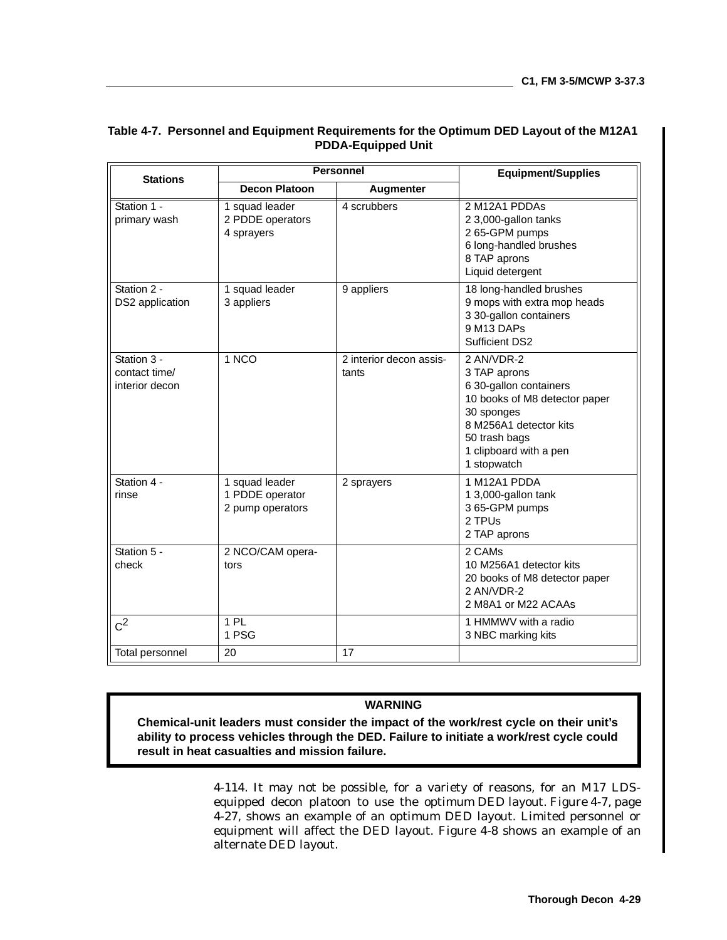| <b>Stations</b>                                |                                                       | <b>Personnel</b>                 | <b>Equipment/Supplies</b>                                                                                                                                                               |
|------------------------------------------------|-------------------------------------------------------|----------------------------------|-----------------------------------------------------------------------------------------------------------------------------------------------------------------------------------------|
|                                                | <b>Decon Platoon</b>                                  | Augmenter                        |                                                                                                                                                                                         |
| Station 1 -<br>primary wash                    | 1 squad leader<br>2 PDDE operators<br>4 sprayers      | 4 scrubbers                      | 2 M12A1 PDDAs<br>2 3,000-gallon tanks<br>2 65-GPM pumps<br>6 long-handled brushes<br>8 TAP aprons<br>Liquid detergent                                                                   |
| Station 2 -<br>DS2 application                 | 1 squad leader<br>3 appliers                          | 9 appliers                       | 18 long-handled brushes<br>9 mops with extra mop heads<br>3 30-gallon containers<br>9 M13 DAPs<br>Sufficient DS2                                                                        |
| Station 3 -<br>contact time/<br>interior decon | 1 NCO                                                 | 2 interior decon assis-<br>tants | 2 AN/VDR-2<br>3 TAP aprons<br>6 30-gallon containers<br>10 books of M8 detector paper<br>30 sponges<br>8 M256A1 detector kits<br>50 trash bags<br>1 clipboard with a pen<br>1 stopwatch |
| Station 4 -<br>rinse                           | 1 squad leader<br>1 PDDE operator<br>2 pump operators | 2 sprayers                       | 1 M12A1 PDDA<br>1 3,000-gallon tank<br>3 65-GPM pumps<br>2 TPUs<br>2 TAP aprons                                                                                                         |
| Station 5 -<br>check                           | 2 NCO/CAM opera-<br>tors                              |                                  | 2 CAMs<br>10 M256A1 detector kits<br>20 books of M8 detector paper<br>2 AN/VDR-2<br>2 M8A1 or M22 ACAAs                                                                                 |
| $c^2$                                          | 1 PL<br>1 PSG                                         |                                  | 1 HMMWV with a radio<br>3 NBC marking kits                                                                                                                                              |
| Total personnel                                | 20                                                    | 17                               |                                                                                                                                                                                         |

#### **Table 4-7. Personnel and Equipment Requirements for the Optimum DED Layout of the M12A1 PDDA-Equipped Unit**

#### **WARNING**

**Chemical-unit leaders must consider the impact of the work/rest cycle on their unit's ability to process vehicles through the DED. Failure to initiate a work/rest cycle could result in heat casualties and mission failure.**

> 4-114. It may not be possible, for a variety of reasons, for an M17 LDSequipped decon platoon to use the optimum DED layout. Figure 4-7, page 4-27, shows an example of an optimum DED layout. Limited personnel or equipment will affect the DED layout. Figure 4-8 shows an example of an alternate DED layout.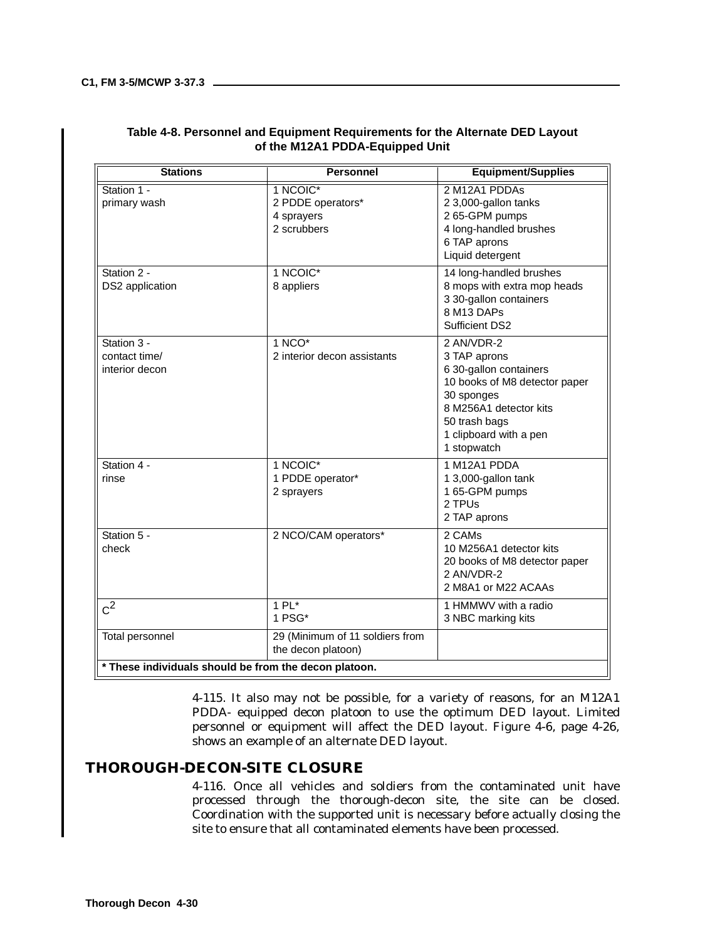| 1 NCOIC*<br>2 PDDE operators*<br>4 sprayers<br>2 scrubbers<br>1 NCOIC* | 2 M12A1 PDDAs<br>2 3,000-gallon tanks<br>2 65-GPM pumps<br>4 long-handled brushes<br>6 TAP aprons<br>Liquid detergent                                                                   |
|------------------------------------------------------------------------|-----------------------------------------------------------------------------------------------------------------------------------------------------------------------------------------|
|                                                                        |                                                                                                                                                                                         |
|                                                                        | 14 long-handled brushes<br>8 mops with extra mop heads<br>3 30-gallon containers<br>8 M13 DAPs<br>Sufficient DS2                                                                        |
| 1 NCO*<br>2 interior decon assistants                                  | 2 AN/VDR-2<br>3 TAP aprons<br>6 30-gallon containers<br>10 books of M8 detector paper<br>30 sponges<br>8 M256A1 detector kits<br>50 trash bags<br>1 clipboard with a pen<br>1 stopwatch |
| 1 NCOIC*<br>1 PDDE operator*<br>2 sprayers                             | 1 M12A1 PDDA<br>1 3,000-gallon tank<br>165-GPM pumps<br>2 TPUs<br>2 TAP aprons                                                                                                          |
| 2 NCO/CAM operators*                                                   | 2 CAMs<br>10 M256A1 detector kits<br>20 books of M8 detector paper<br>2 AN/VDR-2<br>2 M8A1 or M22 ACAAs                                                                                 |
| $1PL*$<br>1 PSG*                                                       | 1 HMMWV with a radio<br>3 NBC marking kits                                                                                                                                              |
| 29 (Minimum of 11 soldiers from<br>the decon platoon)                  |                                                                                                                                                                                         |
|                                                                        | 8 appliers<br>* These individuals should be from the decon platoon.                                                                                                                     |

#### **Table 4-8. Personnel and Equipment Requirements for the Alternate DED Layout of the M12A1 PDDA-Equipped Unit**

4-115. It also may not be possible, for a variety of reasons, for an M12A1 PDDA- equipped decon platoon to use the optimum DED layout. Limited personnel or equipment will affect the DED layout. Figure 4-6, page 4-26, shows an example of an alternate DED layout.

#### **THOROUGH-DECON-SITE CLOSURE**

4-116. Once all vehicles and soldiers from the contaminated unit have processed through the thorough-decon site, the site can be closed. Coordination with the supported unit is necessary before actually closing the site to ensure that all contaminated elements have been processed.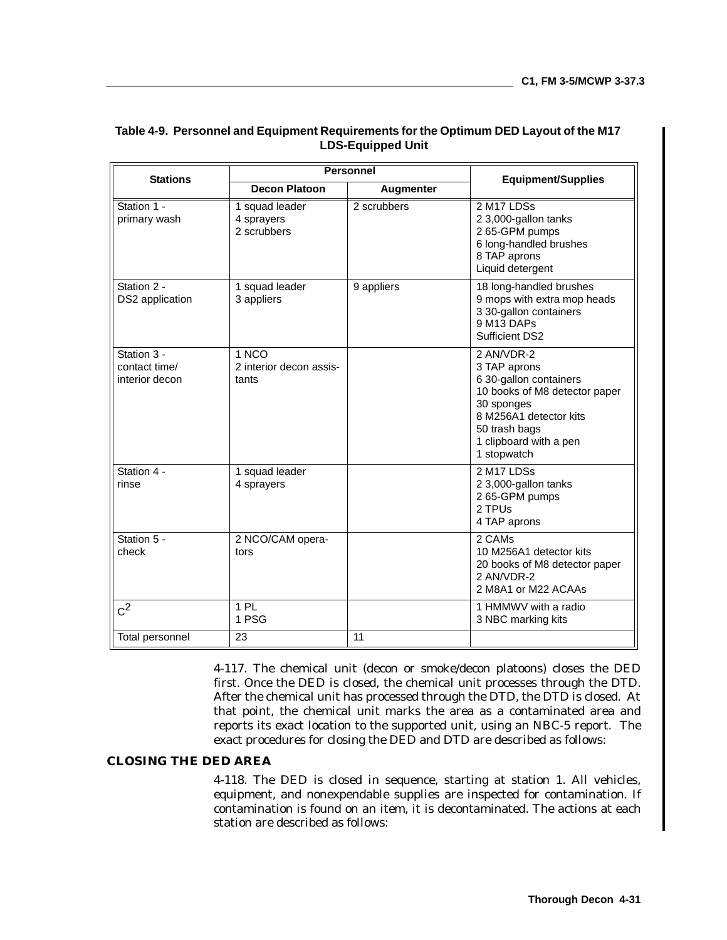| <b>Stations</b>                                |                                             | <b>Personnel</b> | <b>Equipment/Supplies</b>                                                                                                                                                               |
|------------------------------------------------|---------------------------------------------|------------------|-----------------------------------------------------------------------------------------------------------------------------------------------------------------------------------------|
|                                                | <b>Decon Platoon</b>                        | Augmenter        |                                                                                                                                                                                         |
| Station 1 -<br>primary wash                    | 1 squad leader<br>4 sprayers<br>2 scrubbers | 2 scrubbers      | 2 M17 LDSs<br>2 3,000-gallon tanks<br>2 65-GPM pumps<br>6 long-handled brushes<br>8 TAP aprons<br>Liquid detergent                                                                      |
| Station 2 -<br>DS2 application                 | 1 squad leader<br>3 appliers                | 9 appliers       | 18 long-handled brushes<br>9 mops with extra mop heads<br>3 30-gallon containers<br>9 M13 DAPs<br>Sufficient DS2                                                                        |
| Station 3 -<br>contact time/<br>interior decon | 1 NCO<br>2 interior decon assis-<br>tants   |                  | 2 AN/VDR-2<br>3 TAP aprons<br>6 30-gallon containers<br>10 books of M8 detector paper<br>30 sponges<br>8 M256A1 detector kits<br>50 trash bags<br>1 clipboard with a pen<br>1 stopwatch |
| Station 4 -<br>rinse                           | 1 squad leader<br>4 sprayers                |                  | $2$ M <sub>17</sub> LDSs<br>2 3,000-gallon tanks<br>265-GPM pumps<br>2 TPUs<br>4 TAP aprons                                                                                             |
| Station 5 -<br>check                           | 2 NCO/CAM opera-<br>tors                    |                  | 2 CAMs<br>10 M256A1 detector kits<br>20 books of M8 detector paper<br>2 AN/VDR-2<br>2 M8A1 or M22 ACAAs                                                                                 |
| c <sup>2</sup>                                 | 1 PL<br>1 PSG                               |                  | 1 HMMWV with a radio<br>3 NBC marking kits                                                                                                                                              |
| Total personnel                                | 23                                          | 11               |                                                                                                                                                                                         |

#### **Table 4-9. Personnel and Equipment Requirements for the Optimum DED Layout of the M17 LDS-Equipped Unit**

4-117. The chemical unit (decon or smoke/decon platoons) closes the DED first. Once the DED is closed, the chemical unit processes through the DTD. After the chemical unit has processed through the DTD, the DTD is closed. At that point, the chemical unit marks the area as a contaminated area and reports its exact location to the supported unit, using an NBC-5 report. The exact procedures for closing the DED and DTD are described as follows:

#### **CLOSING THE DED AREA**

4-118. The DED is closed in sequence, starting at station 1. All vehicles, equipment, and nonexpendable supplies are inspected for contamination. If contamination is found on an item, it is decontaminated. The actions at each station are described as follows: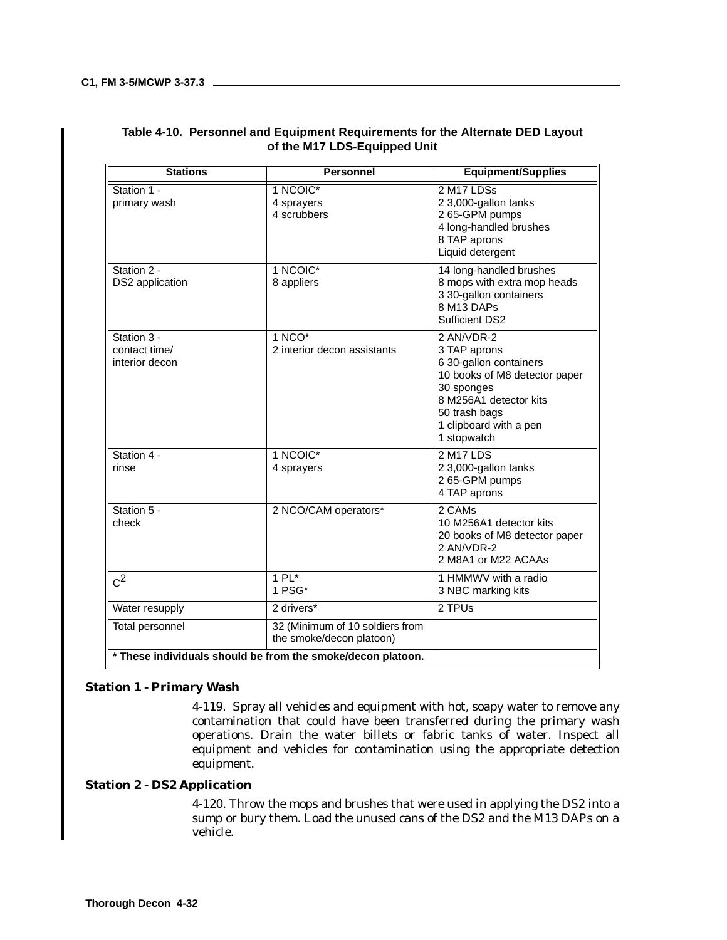| <b>Stations</b>                                | <b>Personnel</b>                                            | <b>Equipment/Supplies</b>                                                                                                                                                               |
|------------------------------------------------|-------------------------------------------------------------|-----------------------------------------------------------------------------------------------------------------------------------------------------------------------------------------|
| Station 1 -<br>primary wash                    | 1 NCOIC <sup>*</sup><br>4 sprayers<br>4 scrubbers           | 2 M <sub>17</sub> LD <sub>Ss</sub><br>2 3,000-gallon tanks<br>2 65-GPM pumps<br>4 long-handled brushes<br>8 TAP aprons<br>Liquid detergent                                              |
| Station 2 -<br>DS2 application                 | 1 NCOIC*<br>8 appliers                                      | 14 long-handled brushes<br>8 mops with extra mop heads<br>3 30-gallon containers<br>8 M13 DAPs<br><b>Sufficient DS2</b>                                                                 |
| Station 3 -<br>contact time/<br>interior decon | 1 NCO*<br>2 interior decon assistants                       | 2 AN/VDR-2<br>3 TAP aprons<br>6 30-gallon containers<br>10 books of M8 detector paper<br>30 sponges<br>8 M256A1 detector kits<br>50 trash bags<br>1 clipboard with a pen<br>1 stopwatch |
| Station 4 -<br>rinse                           | 1 NCOIC*<br>4 sprayers                                      | 2 M17 LDS<br>2 3,000-gallon tanks<br>2 65-GPM pumps<br>4 TAP aprons                                                                                                                     |
| Station 5 -<br>check                           | 2 NCO/CAM operators*                                        | 2 CAMs<br>10 M256A1 detector kits<br>20 books of M8 detector paper<br>2 AN/VDR-2<br>2 M8A1 or M22 ACAAs                                                                                 |
| c <sup>2</sup>                                 | $1PL*$<br>1 PSG*                                            | 1 HMMWV with a radio<br>3 NBC marking kits                                                                                                                                              |
| Water resupply                                 | 2 drivers*                                                  | 2 TPUs                                                                                                                                                                                  |
| Total personnel                                | 32 (Minimum of 10 soldiers from<br>the smoke/decon platoon) |                                                                                                                                                                                         |
|                                                | * These individuals should be from the smoke/decon platoon. |                                                                                                                                                                                         |

#### **Table 4-10. Personnel and Equipment Requirements for the Alternate DED Layout of the M17 LDS-Equipped Unit**

#### **Station 1 - Primary Wash**

4-119. Spray all vehicles and equipment with hot, soapy water to remove any contamination that could have been transferred during the primary wash operations. Drain the water billets or fabric tanks of water. Inspect all equipment and vehicles for contamination using the appropriate detection equipment.

#### **Station 2 - DS2 Application**

4-120. Throw the mops and brushes that were used in applying the DS2 into a sump or bury them. Load the unused cans of the DS2 and the M13 DAPs on a vehicle.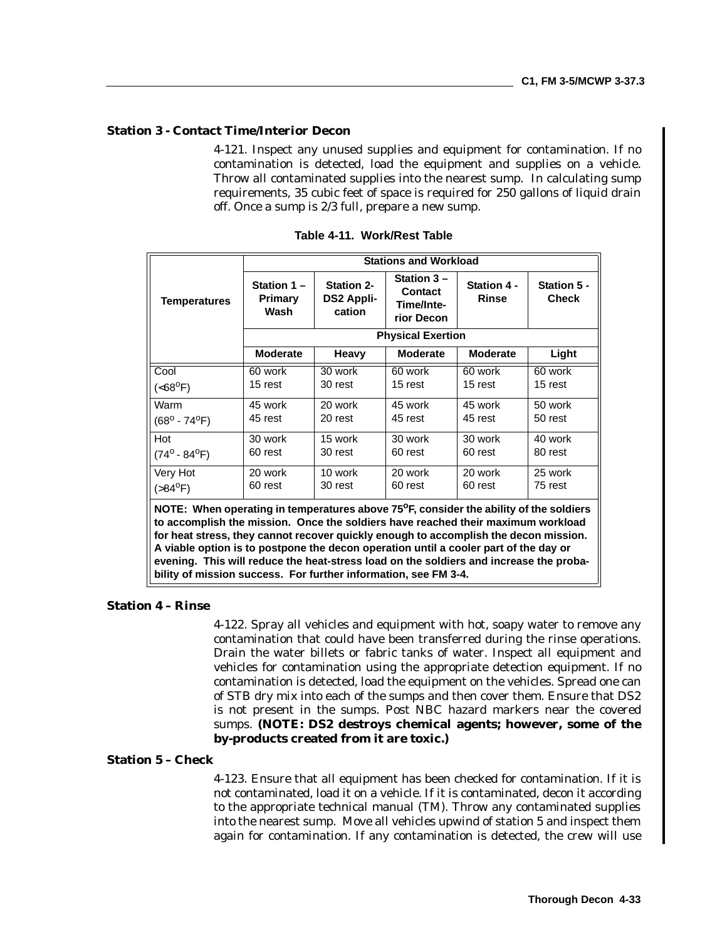#### **Station 3 - Contact Time/Interior Decon**

4-121. Inspect any unused supplies and equipment for contamination. If no contamination is detected, load the equipment and supplies on a vehicle. Throw all contaminated supplies into the nearest sump. In calculating sump requirements, 35 cubic feet of space is required for 250 gallons of liquid drain off. Once a sump is 2/3 full, prepare a new sump.

|                                                                                                                                                                                                                                                                                                                                                                                                                                                                                                                                     |                                      | <b>Stations and Workload</b>                     |                                                   |                             |                             |
|-------------------------------------------------------------------------------------------------------------------------------------------------------------------------------------------------------------------------------------------------------------------------------------------------------------------------------------------------------------------------------------------------------------------------------------------------------------------------------------------------------------------------------------|--------------------------------------|--------------------------------------------------|---------------------------------------------------|-----------------------------|-----------------------------|
| <b>Temperatures</b>                                                                                                                                                                                                                                                                                                                                                                                                                                                                                                                 | Station 1-<br><b>Primary</b><br>Wash | <b>Station 2-</b><br><b>DS2 Appli-</b><br>cation | Station 3-<br>Contact<br>Time/Inte-<br>rior Decon | Station 4 -<br><b>Rinse</b> | Station 5 -<br><b>Check</b> |
|                                                                                                                                                                                                                                                                                                                                                                                                                                                                                                                                     |                                      |                                                  | <b>Physical Exertion</b>                          |                             |                             |
|                                                                                                                                                                                                                                                                                                                                                                                                                                                                                                                                     | <b>Moderate</b>                      | Heavy                                            | <b>Moderate</b>                                   | <b>Moderate</b>             | Light                       |
| Cool<br>( <b>68°F</b> )                                                                                                                                                                                                                                                                                                                                                                                                                                                                                                             | 60 work<br>15 rest                   | 30 work<br>30 rest                               | 60 work<br>15 rest                                | 60 work<br>15 rest          | 60 work<br>15 rest          |
| Warm<br>$(68^{\circ} - 74^{\circ}F)$                                                                                                                                                                                                                                                                                                                                                                                                                                                                                                | 45 work<br>45 rest                   | 20 work<br>20 rest                               | 45 work<br>45 rest                                | 45 work<br>45 rest          | 50 work<br>50 rest          |
| Hot<br>$(74^{\circ} - 84^{\circ}F)$                                                                                                                                                                                                                                                                                                                                                                                                                                                                                                 | 30 work<br>60 rest                   | 15 work<br>30 rest                               | 30 work<br>60 rest                                | 30 work<br>60 rest          | 40 work<br>80 rest          |
| Very Hot<br>$( > 84^{\circ}F)$                                                                                                                                                                                                                                                                                                                                                                                                                                                                                                      | 20 work<br>60 rest                   | 10 work<br>30 rest                               | 20 work<br>60 rest                                | 20 work<br>60 rest          | 25 work<br>75 rest          |
| NOTE: When operating in temperatures above 75 <sup>o</sup> F, consider the ability of the soldiers<br>to accomplish the mission. Once the soldiers have reached their maximum workload<br>for heat stress, they cannot recover quickly enough to accomplish the decon mission.<br>A viable option is to postpone the decon operation until a cooler part of the day or<br>evening. This will reduce the heat-stress load on the soldiers and increase the proba-<br>bility of mission success. For further information, see FM 3-4. |                                      |                                                  |                                                   |                             |                             |

**Table 4-11. Work/Rest Table**

#### **Station 4 – Rinse**

4-122. Spray all vehicles and equipment with hot, soapy water to remove any contamination that could have been transferred during the rinse operations. Drain the water billets or fabric tanks of water. Inspect all equipment and vehicles for contamination using the appropriate detection equipment. If no contamination is detected, load the equipment on the vehicles. Spread one can of STB dry mix into each of the sumps and then cover them. Ensure that DS2 is not present in the sumps. Post NBC hazard markers near the covered sumps. **(NOTE: DS2 destroys chemical agents; however, some of the by-products created from it are toxic.)**

#### **Station 5 – Check**

4-123. Ensure that all equipment has been checked for contamination. If it is not contaminated, load it on a vehicle. If it is contaminated, decon it according to the appropriate technical manual (TM). Throw any contaminated supplies into the nearest sump. Move all vehicles upwind of station 5 and inspect them again for contamination. If any contamination is detected, the crew will use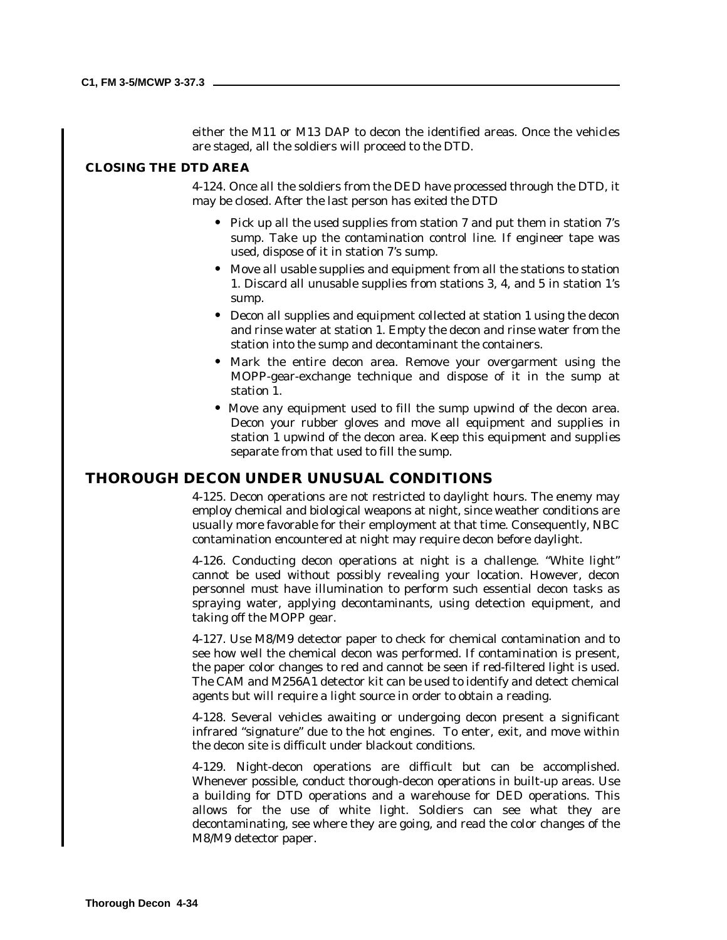either the M11 or M13 DAP to decon the identified areas. Once the vehicles are staged, all the soldiers will proceed to the DTD.

#### **CLOSING THE DTD AREA**

4-124. Once all the soldiers from the DED have processed through the DTD, it may be closed. After the last person has exited the DTD

- **•** Pick up all the used supplies from station 7 and put them in station 7's sump. Take up the contamination control line. If engineer tape was used, dispose of it in station 7's sump.
- **•** Move all usable supplies and equipment from all the stations to station 1. Discard all unusable supplies from stations 3, 4, and 5 in station 1's sump.
- **•** Decon all supplies and equipment collected at station 1 using the decon and rinse water at station 1. Empty the decon and rinse water from the station into the sump and decontaminant the containers.
- **•** Mark the entire decon area. Remove your overgarment using the MOPP-gear-exchange technique and dispose of it in the sump at station 1.
- **•** Move any equipment used to fill the sump upwind of the decon area. Decon your rubber gloves and move all equipment and supplies in station 1 upwind of the decon area. Keep this equipment and supplies separate from that used to fill the sump.

#### **THOROUGH DECON UNDER UNUSUAL CONDITIONS**

4-125. Decon operations are not restricted to daylight hours. The enemy may employ chemical and biological weapons at night, since weather conditions are usually more favorable for their employment at that time. Consequently, NBC contamination encountered at night may require decon before daylight.

4-126. Conducting decon operations at night is a challenge. "White light" cannot be used without possibly revealing your location. However, decon personnel must have illumination to perform such essential decon tasks as spraying water, applying decontaminants, using detection equipment, and taking off the MOPP gear.

4-127. Use M8/M9 detector paper to check for chemical contamination and to see how well the chemical decon was performed. If contamination is present, the paper color changes to red and cannot be seen if red-filtered light is used. The CAM and M256A1 detector kit can be used to identify and detect chemical agents but will require a light source in order to obtain a reading.

4-128. Several vehicles awaiting or undergoing decon present a significant infrared "signature" due to the hot engines. To enter, exit, and move within the decon site is difficult under blackout conditions.

4-129. Night-decon operations are difficult but can be accomplished. Whenever possible, conduct thorough-decon operations in built-up areas. Use a building for DTD operations and a warehouse for DED operations. This allows for the use of white light. Soldiers can see what they are decontaminating, see where they are going, and read the color changes of the M8/M9 detector paper.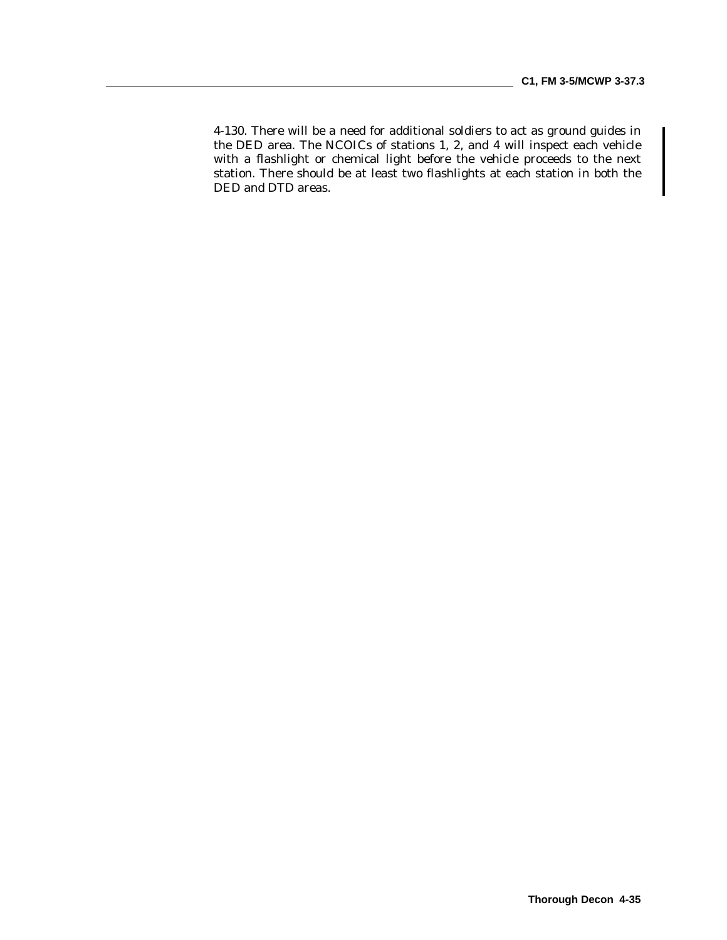4-130. There will be a need for additional soldiers to act as ground guides in the DED area. The NCOICs of stations 1, 2, and 4 will inspect each vehicle with a flashlight or chemical light before the vehicle proceeds to the next station. There should be at least two flashlights at each station in both the DED and DTD areas.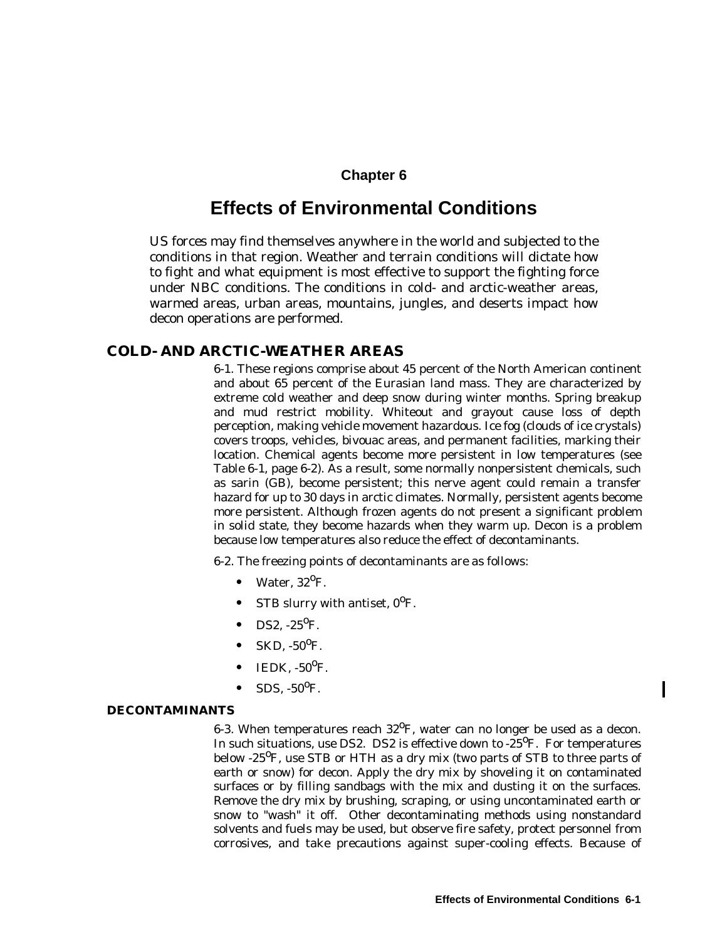#### **Chapter 6**

### **Effects of Environmental Conditions**

US forces may find themselves anywhere in the world and subjected to the conditions in that region. Weather and terrain conditions will dictate how to fight and what equipment is most effective to support the fighting force under NBC conditions. The conditions in cold- and arctic-weather areas, warmed areas, urban areas, mountains, jungles, and deserts impact how decon operations are performed.

#### **COLD- AND ARCTIC-WEATHER AREAS**

6-1. These regions comprise about 45 percent of the North American continent and about 65 percent of the Eurasian land mass. They are characterized by extreme cold weather and deep snow during winter months. Spring breakup and mud restrict mobility. Whiteout and grayout cause loss of depth perception, making vehicle movement hazardous. Ice fog (clouds of ice crystals) covers troops, vehicles, bivouac areas, and permanent facilities, marking their location. Chemical agents become more persistent in low temperatures (see Table 6-1, page 6-2). As a result, some normally nonpersistent chemicals, such as sarin (GB), become persistent; this nerve agent could remain a transfer hazard for up to 30 days in arctic climates. Normally, persistent agents become more persistent. Although frozen agents do not present a significant problem in solid state, they become hazards when they warm up. Decon is a problem because low temperatures also reduce the effect of decontaminants.

6-2. The freezing points of decontaminants are as follows:

- Water,  $32^0$ F.
- STB slurry with antiset,  $0^0$ F.
- DS2,  $-25^{\circ}$ F.
- SKD, -50<sup>o</sup>F.
- IEDK, -50<sup>o</sup>F.
- SDS, -50<sup>o</sup>F.

#### **DECONTAMINANTS**

6-3. When temperatures reach  $32^{\circ}$ F, water can no longer be used as a decon. In such situations, use DS2. DS2 is effective down to -25<sup>o</sup>F. For temperatures below -25 ${}^{0}$ F, use STB or HTH as a dry mix (two parts of STB to three parts of earth or snow) for decon. Apply the dry mix by shoveling it on contaminated surfaces or by filling sandbags with the mix and dusting it on the surfaces. Remove the dry mix by brushing, scraping, or using uncontaminated earth or snow to "wash" it off. Other decontaminating methods using nonstandard solvents and fuels may be used, but observe fire safety, protect personnel from corrosives, and take precautions against super-cooling effects. Because of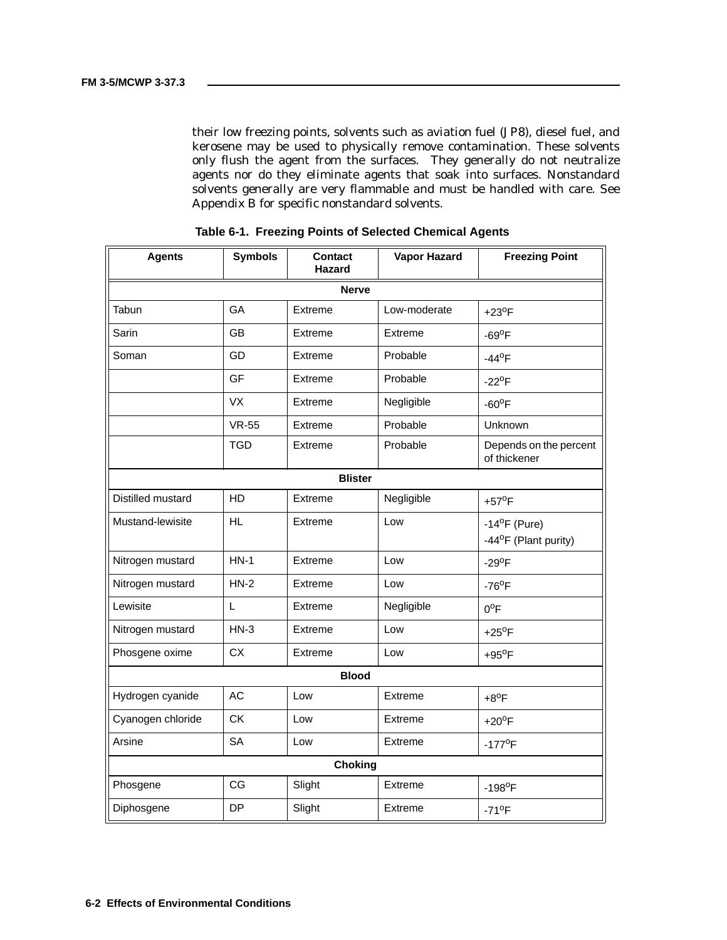their low freezing points, solvents such as aviation fuel (JP8), diesel fuel, and kerosene may be used to physically remove contamination. These solvents only flush the agent from the surfaces. They generally do not neutralize agents nor do they eliminate agents that soak into surfaces. Nonstandard solvents generally are very flammable and must be handled with care. See Appendix B for specific nonstandard solvents.

| <b>Agents</b>     | <b>Symbols</b> | Contact<br>Hazard | <b>Vapor Hazard</b> | <b>Freezing Point</b>                          |
|-------------------|----------------|-------------------|---------------------|------------------------------------------------|
|                   |                | <b>Nerve</b>      |                     |                                                |
| Tabun             | GA             | Extreme           | Low-moderate        | $+23^{\circ}F$                                 |
| Sarin             | GB             | Extreme           | Extreme             | $-69^{\circ}F$                                 |
| Soman             | GD             | Extreme           | Probable            | $-44^{\circ}F$                                 |
|                   | GF             | Extreme           | Probable            | $-22$ <sup>o</sup> F                           |
|                   | <b>VX</b>      | Extreme           | Negligible          | $-60^{\circ}$ F                                |
|                   | <b>VR-55</b>   | Extreme           | Probable            | Unknown                                        |
|                   | <b>TGD</b>     | Extreme           | Probable            | Depends on the percent<br>of thickener         |
|                   |                | <b>Blister</b>    |                     |                                                |
| Distilled mustard | HD             | Extreme           | Negligible          | $+57^{\circ}F$                                 |
| Mustand-lewisite  | <b>HL</b>      | Extreme           | Low                 | $-14^{\circ}$ F (Pure)<br>-44°F (Plant purity) |
| Nitrogen mustard  | $HN-1$         | Extreme           | Low                 | $-29^{\circ}F$                                 |
| Nitrogen mustard  | $HN-2$         | <b>Extreme</b>    | Low                 | $-76$ <sup>o</sup> F                           |
| Lewisite          | L              | Extreme           | Negligible          | $0^{\circ}$ F                                  |
| Nitrogen mustard  | $HN-3$         | Extreme           | Low                 | $+25^{\circ}F$                                 |
| Phosgene oxime    | <b>CX</b>      | Extreme           | Low                 | $+95^{\circ}F$                                 |
|                   |                | <b>Blood</b>      |                     |                                                |
| Hydrogen cyanide  | <b>AC</b>      | Low               | Extreme             | $+8$ <sup>o</sup> F                            |
| Cyanogen chloride | <b>CK</b>      | Low               | <b>Extreme</b>      | $+20$ <sup>o</sup> F                           |
| Arsine            | <b>SA</b>      | Low               | Extreme             | $-177$ <sup>o</sup> F                          |
|                   |                | <b>Choking</b>    |                     |                                                |
| Phosgene          | CG             | Slight            | Extreme             | $-198$ <sup>o</sup> F                          |
| Diphosgene        | DP             | Slight            | <b>Extreme</b>      | $-71$ <sup>o</sup> F                           |

**Table 6-1. Freezing Points of Selected Chemical Agents**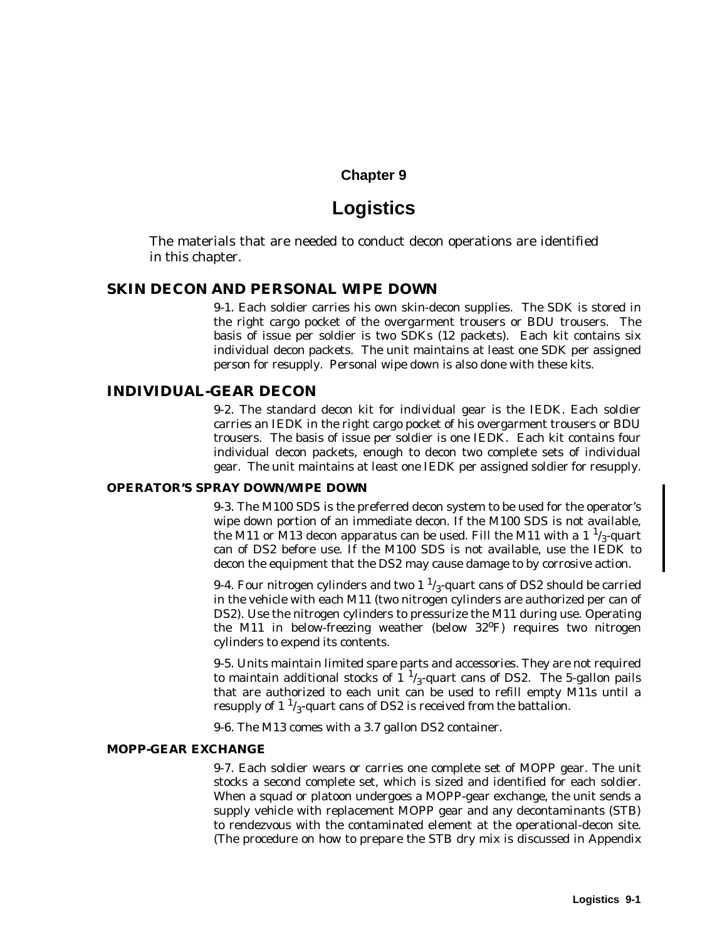#### **Chapter 9**

## **Logistics**

The materials that are needed to conduct decon operations are identified in this chapter.

#### **SKIN DECON AND PERSONAL WIPE DOWN**

9-1. Each soldier carries his own skin-decon supplies. The SDK is stored in the right cargo pocket of the overgarment trousers or BDU trousers. The basis of issue per soldier is two SDKs (12 packets). Each kit contains six individual decon packets. The unit maintains at least one SDK per assigned person for resupply. Personal wipe down is also done with these kits.

#### **INDIVIDUAL-GEAR DECON**

9-2. The standard decon kit for individual gear is the IEDK. Each soldier carries an IEDK in the right cargo pocket of his overgarment trousers or BDU trousers. The basis of issue per soldier is one IEDK. Each kit contains four individual decon packets, enough to decon two complete sets of individual gear. The unit maintains at least one IEDK per assigned soldier for resupply.

#### **OPERATOR'S SPRAY DOWN/WIPE DOWN**

9-3. The M100 SDS is the preferred decon system to be used for the operator's wipe down portion of an immediate decon. If the M100 SDS is not available, the M11 or M13 decon apparatus can be used. Fill the M11 with a 1  $\frac{1}{3}$ -quart can of DS2 before use. If the M100 SDS is not available, use the IEDK to decon the equipment that the DS2 may cause damage to by corrosive action.

9-4. Four nitrogen cylinders and two 1  $\frac{1}{3}$ -quart cans of DS2 should be carried in the vehicle with each M11 (two nitrogen cylinders are authorized per can of DS2). Use the nitrogen cylinders to pressurize the M11 during use. Operating the M11 in below-freezing weather (below 32°F) requires two nitrogen cylinders to expend its contents.

9-5. Units maintain limited spare parts and accessories. They are not required to maintain additional stocks of 1  $\frac{1}{3}$ -quart cans of DS2. The 5-gallon pails that are authorized to each unit can be used to refill empty M11s until a resupply of  $1 \frac{1}{3}$ -quart cans of DS2 is received from the battalion.

9-6. The M13 comes with a 3.7 gallon DS2 container.

#### **MOPP-GEAR EXCHANGE**

9-7. Each soldier wears or carries one complete set of MOPP gear. The unit stocks a second complete set, which is sized and identified for each soldier. When a squad or platoon undergoes a MOPP-gear exchange, the unit sends a supply vehicle with replacement MOPP gear and any decontaminants (STB) to rendezvous with the contaminated element at the operational-decon site. (The procedure on how to prepare the STB dry mix is discussed in Appendix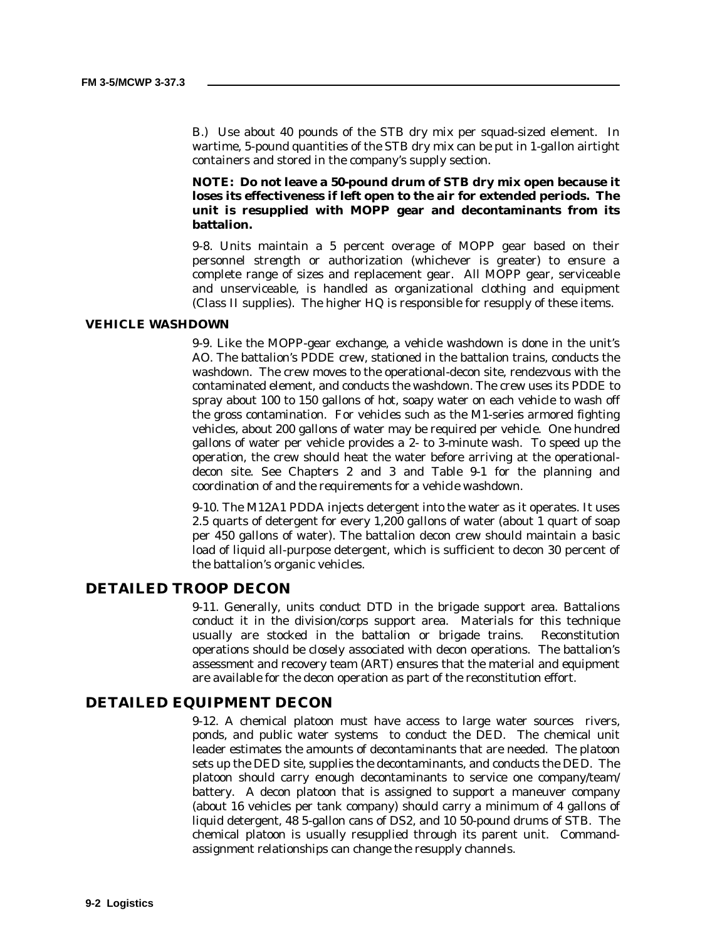B.) Use about 40 pounds of the STB dry mix per squad-sized element. In wartime, 5-pound quantities of the STB dry mix can be put in 1-gallon airtight containers and stored in the company's supply section.

**NOTE: Do not leave a 50-pound drum of STB dry mix open because it loses its effectiveness if left open to the air for extended periods. The unit is resupplied with MOPP gear and decontaminants from its battalion.**

9-8. Units maintain a 5 percent overage of MOPP gear based on their personnel strength or authorization (whichever is greater) to ensure a complete range of sizes and replacement gear. All MOPP gear, serviceable and unserviceable, is handled as organizational clothing and equipment (Class II supplies). The higher HQ is responsible for resupply of these items.

#### **VEHICLE WASHDOWN**

9-9. Like the MOPP-gear exchange, a vehicle washdown is done in the unit's AO. The battalion's PDDE crew, stationed in the battalion trains, conducts the washdown. The crew moves to the operational-decon site, rendezvous with the contaminated element, and conducts the washdown. The crew uses its PDDE to spray about 100 to 150 gallons of hot, soapy water on each vehicle to wash off the gross contamination. For vehicles such as the M1-series armored fighting vehicles, about 200 gallons of water may be required per vehicle. One hundred gallons of water per vehicle provides a 2- to 3-minute wash. To speed up the operation, the crew should heat the water before arriving at the operationaldecon site. See Chapters 2 and 3 and Table 9-1 for the planning and coordination of and the requirements for a vehicle washdown.

9-10. The M12A1 PDDA injects detergent into the water as it operates. It uses 2.5 quarts of detergent for every 1,200 gallons of water (about 1 quart of soap per 450 gallons of water). The battalion decon crew should maintain a basic load of liquid all-purpose detergent, which is sufficient to decon 30 percent of the battalion's organic vehicles.

#### **DETAILED TROOP DECON**

9-11. Generally, units conduct DTD in the brigade support area. Battalions conduct it in the division/corps support area. Materials for this technique usually are stocked in the battalion or brigade trains. Reconstitution operations should be closely associated with decon operations. The battalion's assessment and recovery team (ART) ensures that the material and equipment are available for the decon operation as part of the reconstitution effort.

#### **DETAILED EQUIPMENT DECON**

9-12. A chemical platoon must have access to large water sources—rivers, ponds, and public water systems—to conduct the DED. The chemical unit leader estimates the amounts of decontaminants that are needed. The platoon sets up the DED site, supplies the decontaminants, and conducts the DED. The platoon should carry enough decontaminants to service one company/team/ battery. A decon platoon that is assigned to support a maneuver company (about 16 vehicles per tank company) should carry a minimum of 4 gallons of liquid detergent, 48 5-gallon cans of DS2, and 10 50-pound drums of STB. The chemical platoon is usually resupplied through its parent unit. Commandassignment relationships can change the resupply channels.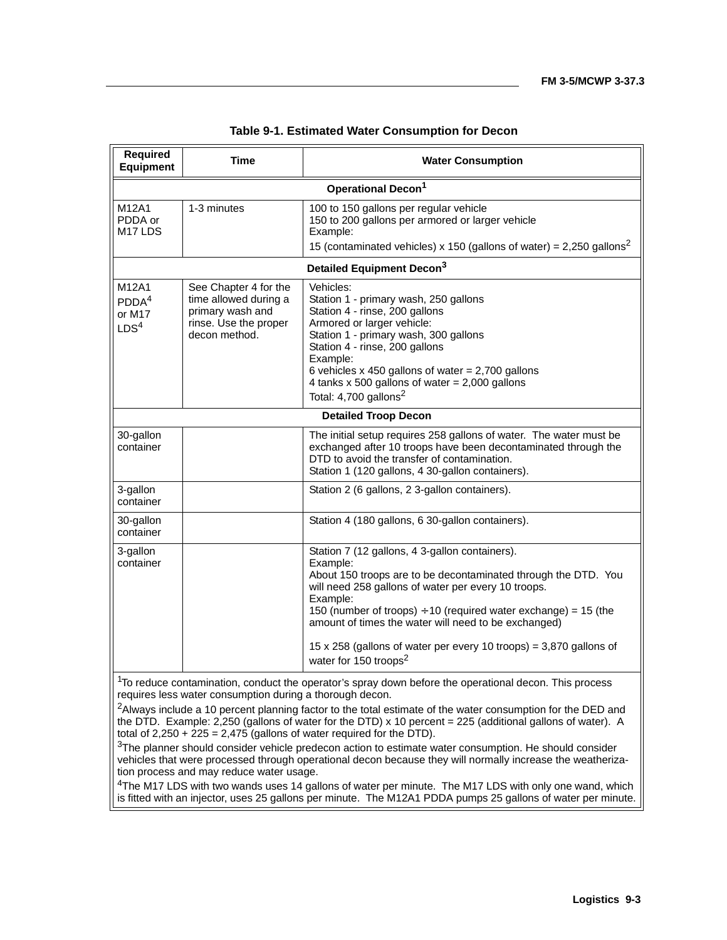| Required<br><b>Equipment</b>                             | Time                                                                                                         | <b>Water Consumption</b>                                                                                                                                                                                                                                                                                                                                                                                                                     |
|----------------------------------------------------------|--------------------------------------------------------------------------------------------------------------|----------------------------------------------------------------------------------------------------------------------------------------------------------------------------------------------------------------------------------------------------------------------------------------------------------------------------------------------------------------------------------------------------------------------------------------------|
|                                                          |                                                                                                              | Operational Decon <sup>1</sup>                                                                                                                                                                                                                                                                                                                                                                                                               |
| M12A1<br>PDDA or<br>M17 LDS                              | 1-3 minutes                                                                                                  | 100 to 150 gallons per regular vehicle<br>150 to 200 gallons per armored or larger vehicle<br>Example:<br>15 (contaminated vehicles) x 150 (gallons of water) = 2,250 gallons <sup>2</sup>                                                                                                                                                                                                                                                   |
|                                                          |                                                                                                              | Detailed Equipment Decon <sup>3</sup>                                                                                                                                                                                                                                                                                                                                                                                                        |
| M12A1<br>PDDA <sup>4</sup><br>or M17<br>LDS <sup>4</sup> | See Chapter 4 for the<br>time allowed during a<br>primary wash and<br>rinse. Use the proper<br>decon method. | Vehicles:<br>Station 1 - primary wash, 250 gallons<br>Station 4 - rinse, 200 gallons<br>Armored or larger vehicle:<br>Station 1 - primary wash, 300 gallons<br>Station 4 - rinse, 200 gallons<br>Example:<br>6 vehicles x 450 gallons of water = $2,700$ gallons<br>4 tanks $x$ 500 gallons of water = 2,000 gallons<br>Total: $4,700$ gallons <sup>2</sup>                                                                                  |
|                                                          |                                                                                                              | <b>Detailed Troop Decon</b>                                                                                                                                                                                                                                                                                                                                                                                                                  |
| 30-gallon<br>container                                   |                                                                                                              | The initial setup requires 258 gallons of water. The water must be<br>exchanged after 10 troops have been decontaminated through the<br>DTD to avoid the transfer of contamination.<br>Station 1 (120 gallons, 4 30-gallon containers).                                                                                                                                                                                                      |
| 3-gallon<br>container                                    |                                                                                                              | Station 2 (6 gallons, 2 3-gallon containers).                                                                                                                                                                                                                                                                                                                                                                                                |
| 30-gallon<br>container                                   |                                                                                                              | Station 4 (180 gallons, 6 30-gallon containers).                                                                                                                                                                                                                                                                                                                                                                                             |
| 3-gallon<br>container                                    |                                                                                                              | Station 7 (12 gallons, 4 3-gallon containers).<br>Example:<br>About 150 troops are to be decontaminated through the DTD. You<br>will need 258 gallons of water per every 10 troops.<br>Example:<br>150 (number of troops) $\div$ 10 (required water exchange) = 15 (the<br>amount of times the water will need to be exchanged)<br>15 x 258 (gallons of water per every 10 troops) = $3,870$ gallons of<br>water for 150 troops <sup>2</sup> |
|                                                          | requires less water consumption during a thorough decon.                                                     | <sup>1</sup> To reduce contamination, conduct the operator's spray down before the operational decon. This process<br><sup>2</sup> Always include a 10 percent planning factor to the total estimate of the water consumption for the DED and                                                                                                                                                                                                |

#### **Table 9-1. Estimated Water Consumption for Decon**

the DTD. Example: 2,250 (gallons of water for the DTD) x 10 percent = 225 (additional gallons of water). A total of  $2,250 + 225 = 2,475$  (gallons of water required for the DTD).

 $3$ The planner should consider vehicle predecon action to estimate water consumption. He should consider vehicles that were processed through operational decon because they will normally increase the weatherization process and may reduce water usage.

<sup>4</sup>The M17 LDS with two wands uses 14 gallons of water per minute. The M17 LDS with only one wand, which is fitted with an injector, uses 25 gallons per minute. The M12A1 PDDA pumps 25 gallons of water per minute.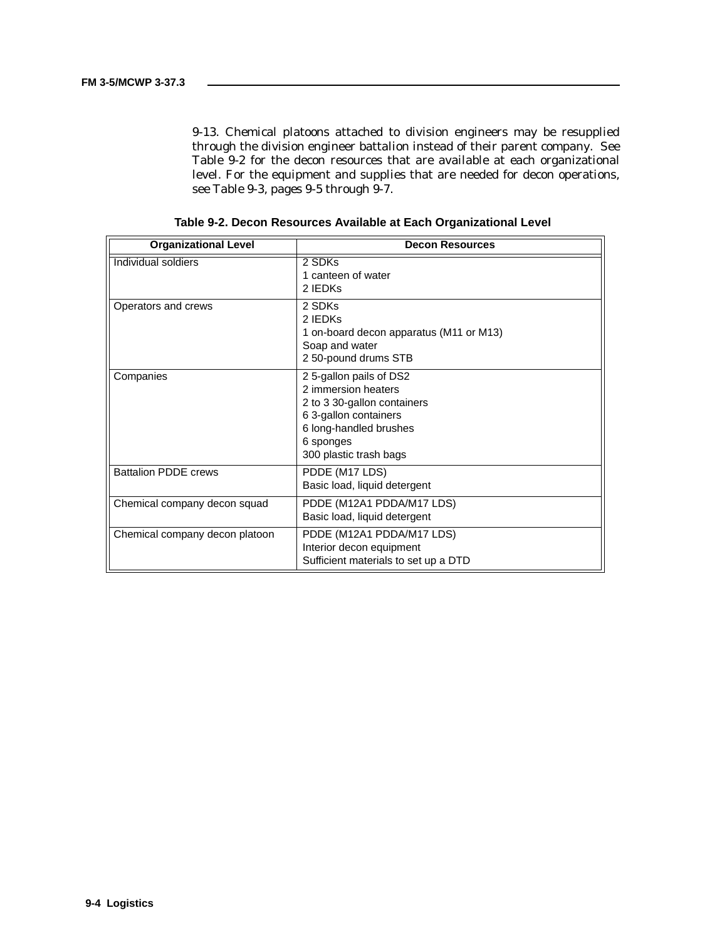9-13. Chemical platoons attached to division engineers may be resupplied through the division engineer battalion instead of their parent company. See Table 9-2 for the decon resources that are available at each organizational level. For the equipment and supplies that are needed for decon operations, see Table 9-3, pages 9-5 through 9-7.

| <b>Organizational Level</b>    | <b>Decon Resources</b>                                                                                                                                                 |
|--------------------------------|------------------------------------------------------------------------------------------------------------------------------------------------------------------------|
| Individual soldiers            | 2 SDKs<br>1 canteen of water<br>2 IEDKS                                                                                                                                |
| Operators and crews            | 2 SDKs<br>2 IEDKS<br>1 on-board decon apparatus (M11 or M13)<br>Soap and water<br>2 50-pound drums STB                                                                 |
| Companies                      | 25-gallon pails of DS2<br>2 immersion heaters<br>2 to 3 30-gallon containers<br>6 3-gallon containers<br>6 long-handled brushes<br>6 sponges<br>300 plastic trash bags |
| <b>Battalion PDDE crews</b>    | PDDE (M17 LDS)<br>Basic load, liquid detergent                                                                                                                         |
| Chemical company decon squad   | PDDE (M12A1 PDDA/M17 LDS)<br>Basic load, liquid detergent                                                                                                              |
| Chemical company decon platoon | PDDE (M12A1 PDDA/M17 LDS)<br>Interior decon equipment<br>Sufficient materials to set up a DTD                                                                          |

**Table 9-2. Decon Resources Available at Each Organizational Level**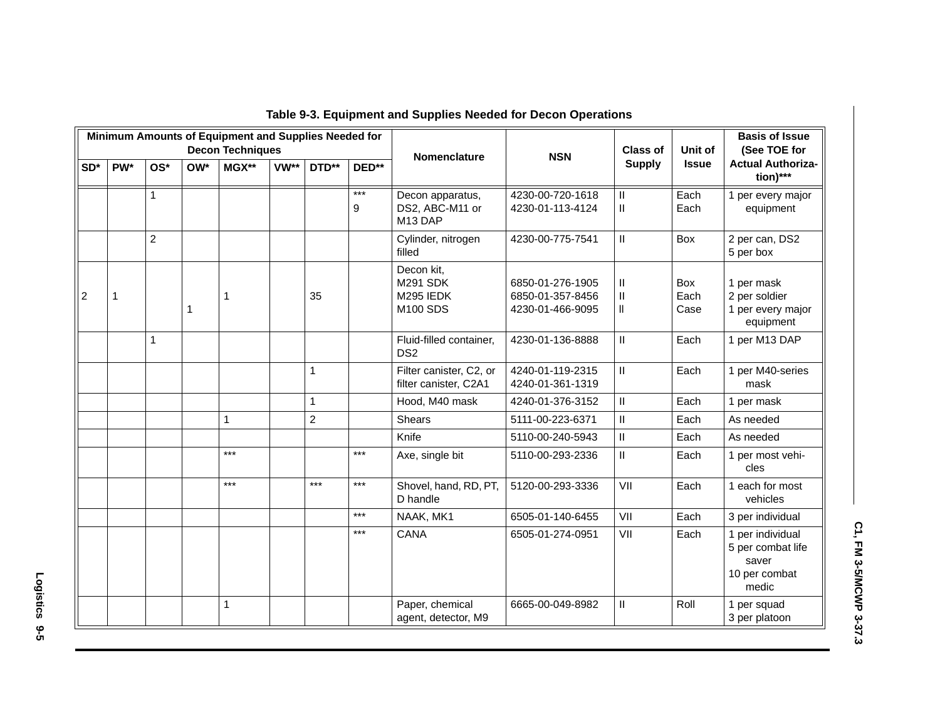| Minimum Amounts of Equipment and Supplies Needed for<br><b>Decon Techniques</b> |     |                |     | Nomenclature | <b>NSN</b> | <b>Class of</b> | Unit of    | <b>Basis of Issue</b><br>(See TOE for                      |                                                          |                              |                     |                                                                          |
|---------------------------------------------------------------------------------|-----|----------------|-----|--------------|------------|-----------------|------------|------------------------------------------------------------|----------------------------------------------------------|------------------------------|---------------------|--------------------------------------------------------------------------|
| SD*                                                                             | PW* | OS*            | OW* | MGX**        | VW**       | DTD**           | DED**      |                                                            |                                                          | <b>Supply</b>                | <b>Issue</b>        | <b>Actual Authoriza-</b><br>tion)***                                     |
|                                                                                 |     | 1              |     |              |            |                 | $***$<br>9 | Decon apparatus,<br>DS2, ABC-M11 or<br>M <sub>13</sub> DAP | 4230-00-720-1618<br>4230-01-113-4124                     | $\mathbf{H}$<br>$\mathbf{H}$ | Each<br>Each        | 1 per every major<br>equipment                                           |
|                                                                                 |     | $\overline{c}$ |     |              |            |                 |            | Cylinder, nitrogen<br>filled                               | 4230-00-775-7541                                         | Ш                            | Box                 | 2 per can, DS2<br>5 per box                                              |
| $\overline{c}$                                                                  | 1   |                | 1   | 1            |            | 35              |            | Decon kit,<br><b>M291 SDK</b><br>M295 IEDK<br>M100 SDS     | 6850-01-276-1905<br>6850-01-357-8456<br>4230-01-466-9095 | Ш<br>Ш<br>II                 | Box<br>Each<br>Case | 1 per mask<br>2 per soldier<br>1 per every major<br>equipment            |
|                                                                                 |     | 1              |     |              |            |                 |            | Fluid-filled container,<br>DS <sub>2</sub>                 | 4230-01-136-8888                                         | $\mathbf{II}$                | Each                | 1 per M13 DAP                                                            |
|                                                                                 |     |                |     |              |            | $\mathbf{1}$    |            | Filter canister, C2, or<br>filter canister, C2A1           | 4240-01-119-2315<br>4240-01-361-1319                     | Ш                            | Each                | 1 per M40-series<br>mask                                                 |
|                                                                                 |     |                |     |              |            | $\overline{1}$  |            | Hood, M40 mask                                             | 4240-01-376-3152                                         | $\mathop{\rm II}\nolimits$   | Each                | 1 per mask                                                               |
|                                                                                 |     |                |     | $\mathbf{1}$ |            | $\overline{2}$  |            | <b>Shears</b>                                              | 5111-00-223-6371                                         | $\ensuremath{\mathsf{II}}$   | Each                | As needed                                                                |
|                                                                                 |     |                |     |              |            |                 |            | Knife                                                      | 5110-00-240-5943                                         | $\ensuremath{\mathsf{II}}$   | Each                | As needed                                                                |
|                                                                                 |     |                |     | $***$        |            |                 | ***        | Axe, single bit                                            | 5110-00-293-2336                                         | Ш                            | Each                | 1 per most vehi-<br>cles                                                 |
|                                                                                 |     |                |     | $***$        |            | $***$           | ***        | Shovel, hand, RD, PT,<br>D handle                          | 5120-00-293-3336                                         | VII                          | Each                | 1 each for most<br>vehicles                                              |
|                                                                                 |     |                |     |              |            |                 | $***$      | NAAK, MK1                                                  | 6505-01-140-6455                                         | VII                          | Each                | 3 per individual                                                         |
|                                                                                 |     |                |     |              |            |                 | ***        | <b>CANA</b>                                                | 6505-01-274-0951                                         | VII                          | Each                | 1 per individual<br>5 per combat life<br>saver<br>10 per combat<br>medic |
|                                                                                 |     |                |     | $\mathbf{1}$ |            |                 |            | Paper, chemical<br>agent, detector, M9                     | 6665-00-049-8982                                         | $\mathbf{H}$                 | Roll                | 1 per squad<br>3 per platoon                                             |

| Table 9-3. Equipment and Supplies Needed for Decon Operations |  |  |  |  |  |
|---------------------------------------------------------------|--|--|--|--|--|
|                                                               |  |  |  |  |  |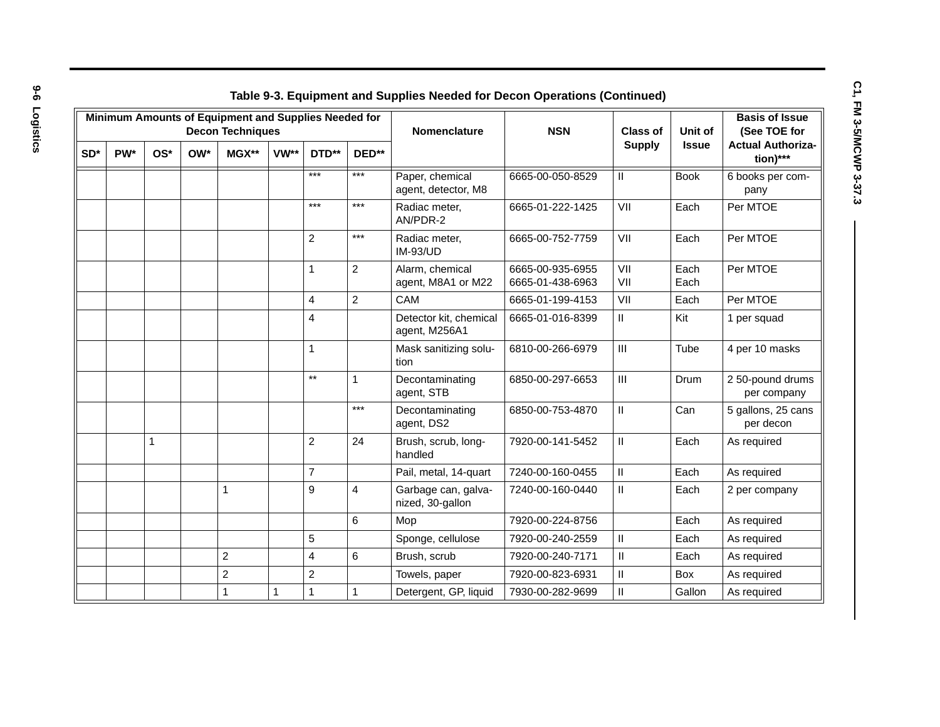| Minimum Amounts of Equipment and Supplies Needed for<br><b>Decon Techniques</b> |     |     |     |                |      |                  |                |                                         | <b>NSN</b><br><b>Nomenclature</b>    |                    |              |                                      |  | <b>Class of</b> | Unit of | <b>Basis of Issue</b><br>(See TOE for |
|---------------------------------------------------------------------------------|-----|-----|-----|----------------|------|------------------|----------------|-----------------------------------------|--------------------------------------|--------------------|--------------|--------------------------------------|--|-----------------|---------|---------------------------------------|
| $SD*$                                                                           | PW* | OS* | OW* | MGX**          | VW** | DTD**            | DED**          |                                         |                                      | <b>Supply</b>      | <b>Issue</b> | <b>Actual Authoriza-</b><br>tion)*** |  |                 |         |                                       |
|                                                                                 |     |     |     |                |      | $***$            | $***$          | Paper, chemical<br>agent, detector, M8  | 6665-00-050-8529                     | $\mathbf{II}$      | <b>Book</b>  | 6 books per com-<br>pany             |  |                 |         |                                       |
|                                                                                 |     |     |     |                |      | $***$            | $***$          | Radiac meter,<br>AN/PDR-2               | 6665-01-222-1425                     | VII                | Each         | Per MTOE                             |  |                 |         |                                       |
|                                                                                 |     |     |     |                |      | $\overline{2}$   | $***$          | Radiac meter.<br><b>IM-93/UD</b>        | 6665-00-752-7759                     | VII                | Each         | Per MTOE                             |  |                 |         |                                       |
|                                                                                 |     |     |     |                |      | 1                | $\overline{c}$ | Alarm, chemical<br>agent, M8A1 or M22   | 6665-00-935-6955<br>6665-01-438-6963 | VII<br>VII         | Each<br>Each | Per MTOE                             |  |                 |         |                                       |
|                                                                                 |     |     |     |                |      | 4                | $\overline{2}$ | CAM                                     | 6665-01-199-4153                     | VII                | Each         | Per MTOE                             |  |                 |         |                                       |
|                                                                                 |     |     |     |                |      | $\overline{4}$   |                | Detector kit, chemical<br>agent, M256A1 | 6665-01-016-8399                     | $\mathbf{II}$      | Kit          | 1 per squad                          |  |                 |         |                                       |
|                                                                                 |     |     |     |                |      | $\mathbf{1}$     |                | Mask sanitizing solu-<br>tion           | 6810-00-266-6979                     | $\mathop{\rm III}$ | Tube         | 4 per 10 masks                       |  |                 |         |                                       |
|                                                                                 |     |     |     |                |      | $***$            | $\mathbf{1}$   | Decontaminating<br>agent, STB           | 6850-00-297-6653                     | III                | Drum         | 2 50-pound drums<br>per company      |  |                 |         |                                       |
|                                                                                 |     |     |     |                |      |                  | $***$          | Decontaminating<br>agent, DS2           | 6850-00-753-4870                     | $\mathbf{H}$       | Can          | 5 gallons, 25 cans<br>per decon      |  |                 |         |                                       |
|                                                                                 |     | 1   |     |                |      | $\overline{2}$   | 24             | Brush, scrub, long-<br>handled          | 7920-00-141-5452                     | Ш.                 | Each         | As required                          |  |                 |         |                                       |
|                                                                                 |     |     |     |                |      | $\overline{7}$   |                | Pail, metal, 14-quart                   | 7240-00-160-0455                     | $\mathbf{II}$      | Each         | As required                          |  |                 |         |                                       |
|                                                                                 |     |     |     | 1              |      | 9                | $\overline{4}$ | Garbage can, galva-<br>nized, 30-gallon | 7240-00-160-0440                     | Ш.                 | Each         | 2 per company                        |  |                 |         |                                       |
|                                                                                 |     |     |     |                |      |                  | $6\phantom{a}$ | Mop                                     | 7920-00-224-8756                     |                    | Each         | As required                          |  |                 |         |                                       |
|                                                                                 |     |     |     |                |      | 5                |                | Sponge, cellulose                       | 7920-00-240-2559                     | Ш.                 | Each         | As required                          |  |                 |         |                                       |
|                                                                                 |     |     |     | $\overline{c}$ |      | 4                | 6              | Brush, scrub                            | 7920-00-240-7171                     | $\mathbf{II}$      | Each         | As required                          |  |                 |         |                                       |
|                                                                                 |     |     |     | $\overline{c}$ |      | $\boldsymbol{2}$ |                | Towels, paper                           | 7920-00-823-6931                     | Ш.                 | <b>Box</b>   | As required                          |  |                 |         |                                       |
|                                                                                 |     |     |     | 1              | 1    | $\mathbf{1}$     | 1              | Detergent, GP, liquid                   | 7930-00-282-9699                     | $\mathbf{II}$      | Gallon       | As required                          |  |                 |         |                                       |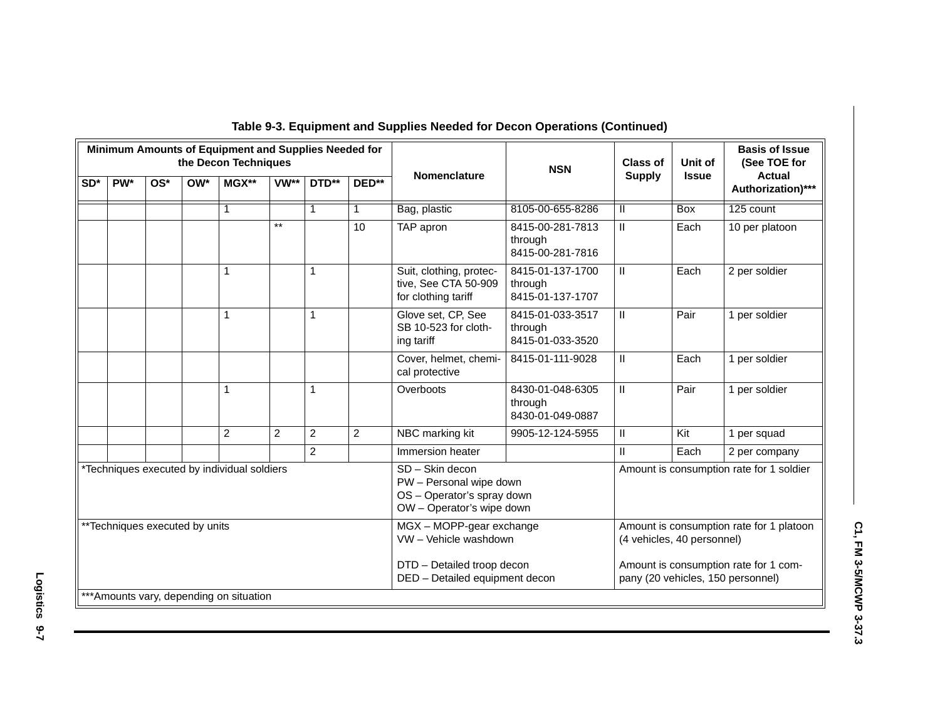|                                             | Minimum Amounts of Equipment and Supplies Needed for<br>the Decon Techniques |     |     |                                          |                |                |                | <b>NSN</b>                                                                                              | <b>Class of</b>                                 | Unit of                                                                    | <b>Basis of Issue</b><br>(See TOE for |                                          |
|---------------------------------------------|------------------------------------------------------------------------------|-----|-----|------------------------------------------|----------------|----------------|----------------|---------------------------------------------------------------------------------------------------------|-------------------------------------------------|----------------------------------------------------------------------------|---------------------------------------|------------------------------------------|
| $SD*$                                       | PW*                                                                          | OS* | OW* | $MGX***$                                 | VW**           | DTD**          | $DED***$       | Nomenclature                                                                                            |                                                 | <b>Supply</b>                                                              | <b>Issue</b>                          | Actual<br>Authorization)***              |
|                                             |                                                                              |     |     | 1                                        |                |                | 1.             | Bag, plastic                                                                                            | 8105-00-655-8286                                | $\mathbf{H}$                                                               | Box                                   | 125 count                                |
|                                             |                                                                              |     |     |                                          | $***$          |                | 10             | TAP apron                                                                                               | 8415-00-281-7813<br>through<br>8415-00-281-7816 | $\mathbf{H}$                                                               | Each                                  | 10 per platoon                           |
|                                             |                                                                              |     |     | 1                                        |                | $\mathbf{1}$   |                | Suit, clothing, protec-<br>tive, See CTA 50-909<br>for clothing tariff                                  | 8415-01-137-1700<br>through<br>8415-01-137-1707 | $\mathbf{H}$                                                               | Each                                  | 2 per soldier                            |
|                                             |                                                                              |     |     | 1                                        |                | 1              |                | Glove set, CP, See<br>SB 10-523 for cloth-<br>ing tariff                                                | 8415-01-033-3517<br>through<br>8415-01-033-3520 | $\mathbf{H}$                                                               | Pair                                  | 1 per soldier                            |
|                                             |                                                                              |     |     |                                          |                |                |                | Cover, helmet, chemi-<br>cal protective                                                                 | 8415-01-111-9028                                | $\mathbf{H}$                                                               | Each                                  | 1 per soldier                            |
|                                             |                                                                              |     |     | 1                                        |                | 1              |                | Overboots                                                                                               | 8430-01-048-6305<br>through<br>8430-01-049-0887 | $\mathbf{H}$                                                               | Pair                                  | 1 per soldier                            |
|                                             |                                                                              |     |     | $\overline{2}$                           | $\overline{2}$ | $\overline{2}$ | $\overline{2}$ | NBC marking kit                                                                                         | 9905-12-124-5955                                | $\mathbf{H}$                                                               | Kit                                   | 1 per squad                              |
|                                             |                                                                              |     |     |                                          |                | $\overline{2}$ |                | Immersion heater                                                                                        |                                                 | $\mathbf{H}$                                                               | Each                                  | 2 per company                            |
| *Techniques executed by individual soldiers |                                                                              |     |     |                                          |                |                |                | $SD -$ Skin decon<br>PW - Personal wipe down<br>OS - Operator's spray down<br>OW - Operator's wipe down |                                                 |                                                                            |                                       | Amount is consumption rate for 1 soldier |
| **Techniques executed by units              |                                                                              |     |     |                                          |                |                |                | MGX - MOPP-gear exchange<br>VW - Vehicle washdown                                                       |                                                 | Amount is consumption rate for 1 platoon<br>(4 vehicles, 40 personnel)     |                                       |                                          |
|                                             |                                                                              |     |     |                                          |                |                |                | DTD - Detailed troop decon<br>DED - Detailed equipment decon                                            |                                                 | Amount is consumption rate for 1 com-<br>pany (20 vehicles, 150 personnel) |                                       |                                          |
|                                             |                                                                              |     |     | *** Amounts vary, depending on situation |                |                |                |                                                                                                         |                                                 |                                                                            |                                       |                                          |

**Table 9-3. Equipment and Supplies Needed for Decon Operations (Continued)**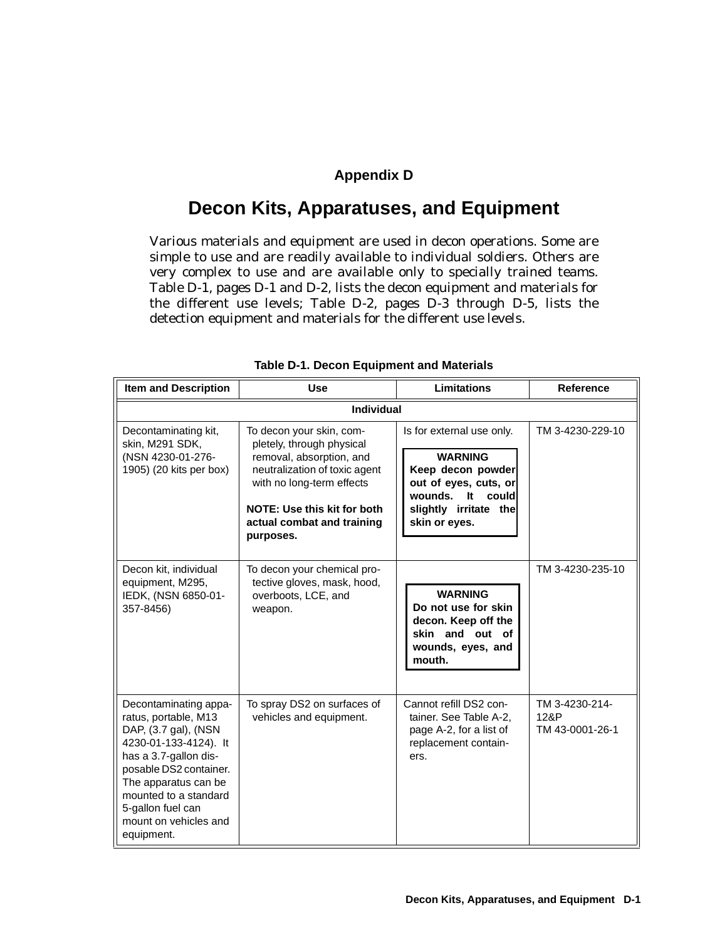#### **Appendix D**

## **Decon Kits, Apparatuses, and Equipment**

Various materials and equipment are used in decon operations. Some are simple to use and are readily available to individual soldiers. Others are very complex to use and are available only to specially trained teams. Table D-1, pages D-1 and D-2, lists the decon equipment and materials for the different use levels; Table D-2, pages D-3 through D-5, lists the detection equipment and materials for the different use levels.

| <b>Item and Description</b>                                                                                                                                                                                                                                    | <b>Use</b>                                                                                                                                                                                                                       | <b>Limitations</b>                                                                                                                                            | Reference                                 |
|----------------------------------------------------------------------------------------------------------------------------------------------------------------------------------------------------------------------------------------------------------------|----------------------------------------------------------------------------------------------------------------------------------------------------------------------------------------------------------------------------------|---------------------------------------------------------------------------------------------------------------------------------------------------------------|-------------------------------------------|
|                                                                                                                                                                                                                                                                | <b>Individual</b>                                                                                                                                                                                                                |                                                                                                                                                               |                                           |
| Decontaminating kit,<br>skin, M291 SDK,<br>(NSN 4230-01-276-<br>1905) (20 kits per box)                                                                                                                                                                        | To decon your skin, com-<br>pletely, through physical<br>removal, absorption, and<br>neutralization of toxic agent<br>with no long-term effects<br><b>NOTE: Use this kit for both</b><br>actual combat and training<br>purposes. | Is for external use only.<br><b>WARNING</b><br>Keep decon powder<br>out of eyes, cuts, or<br>could<br>wounds.<br>It<br>slightly irritate the<br>skin or eyes. | TM 3-4230-229-10                          |
| Decon kit, individual<br>equipment, M295,<br>IEDK, (NSN 6850-01-<br>357-8456)                                                                                                                                                                                  | To decon your chemical pro-<br>tective gloves, mask, hood,<br>overboots, LCE, and<br>weapon.                                                                                                                                     | <b>WARNING</b><br>Do not use for skin<br>decon. Keep off the<br>skin and out of<br>wounds, eyes, and<br>mouth.                                                | TM 3-4230-235-10                          |
| Decontaminating appa-<br>ratus, portable, M13<br>DAP, (3.7 gal), (NSN<br>4230-01-133-4124). It<br>has a 3.7-gallon dis-<br>posable DS2 container.<br>The apparatus can be<br>mounted to a standard<br>5-gallon fuel can<br>mount on vehicles and<br>equipment. | To spray DS2 on surfaces of<br>vehicles and equipment.                                                                                                                                                                           | Cannot refill DS2 con-<br>tainer. See Table A-2,<br>page A-2, for a list of<br>replacement contain-<br>ers.                                                   | TM 3-4230-214-<br>12&P<br>TM 43-0001-26-1 |

**Table D-1. Decon Equipment and Materials**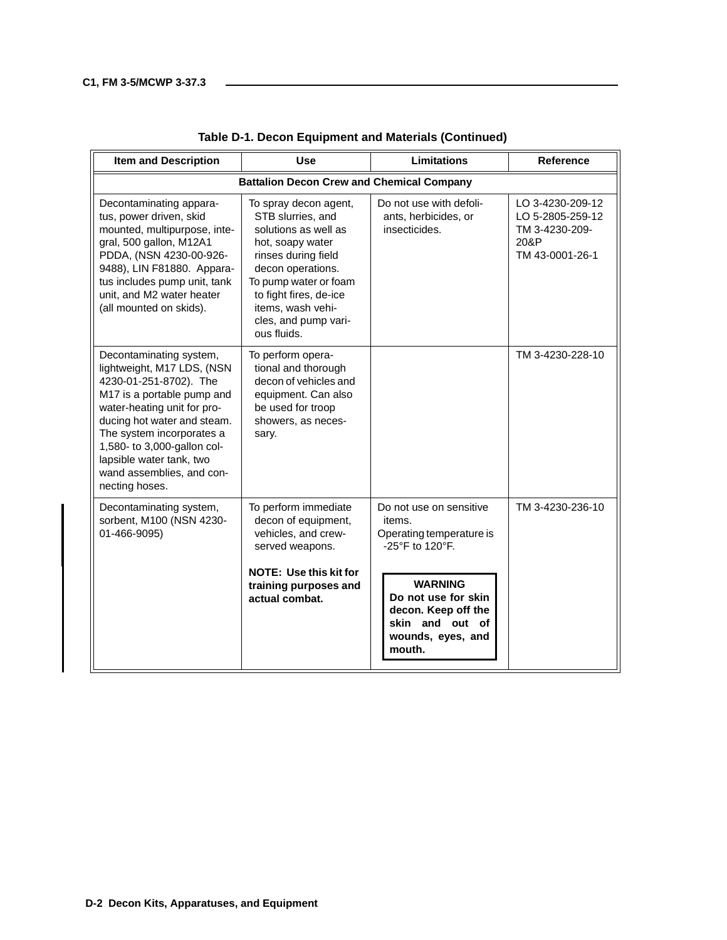| <b>Item and Description</b>                                                                                                                                                                                                                                                                                        | <b>Use</b>                                                                                                                                                                                                                                        | <b>Limitations</b>                                                                                                                                                                                 | <b>Reference</b>                                                                  |  |  |  |  |  |  |  |
|--------------------------------------------------------------------------------------------------------------------------------------------------------------------------------------------------------------------------------------------------------------------------------------------------------------------|---------------------------------------------------------------------------------------------------------------------------------------------------------------------------------------------------------------------------------------------------|----------------------------------------------------------------------------------------------------------------------------------------------------------------------------------------------------|-----------------------------------------------------------------------------------|--|--|--|--|--|--|--|
|                                                                                                                                                                                                                                                                                                                    | <b>Battalion Decon Crew and Chemical Company</b>                                                                                                                                                                                                  |                                                                                                                                                                                                    |                                                                                   |  |  |  |  |  |  |  |
| Decontaminating appara-<br>tus, power driven, skid<br>mounted, multipurpose, inte-<br>gral, 500 gallon, M12A1<br>PDDA, (NSN 4230-00-926-<br>9488), LIN F81880. Appara-<br>tus includes pump unit, tank<br>unit, and M2 water heater<br>(all mounted on skids).                                                     | To spray decon agent,<br>STB slurries, and<br>solutions as well as<br>hot, soapy water<br>rinses during field<br>decon operations.<br>To pump water or foam<br>to fight fires, de-ice<br>items, wash vehi-<br>cles, and pump vari-<br>ous fluids. | Do not use with defoli-<br>ants, herbicides, or<br>insecticides.                                                                                                                                   | LO 3-4230-209-12<br>LO 5-2805-259-12<br>TM 3-4230-209-<br>20&P<br>TM 43-0001-26-1 |  |  |  |  |  |  |  |
| Decontaminating system,<br>lightweight, M17 LDS, (NSN<br>4230-01-251-8702). The<br>M17 is a portable pump and<br>water-heating unit for pro-<br>ducing hot water and steam.<br>The system incorporates a<br>1,580- to 3,000-gallon col-<br>lapsible water tank, two<br>wand assemblies, and con-<br>necting hoses. | To perform opera-<br>tional and thorough<br>decon of vehicles and<br>equipment. Can also<br>be used for troop<br>showers, as neces-<br>sary.                                                                                                      |                                                                                                                                                                                                    | TM 3-4230-228-10                                                                  |  |  |  |  |  |  |  |
| Decontaminating system,<br>sorbent, M100 (NSN 4230-<br>01-466-9095)                                                                                                                                                                                                                                                | To perform immediate<br>decon of equipment,<br>vehicles, and crew-<br>served weapons.<br><b>NOTE: Use this kit for</b><br>training purposes and<br>actual combat.                                                                                 | Do not use on sensitive<br>items.<br>Operating temperature is<br>-25°F to 120°F.<br><b>WARNING</b><br>Do not use for skin<br>decon. Keep off the<br>skin and out of<br>wounds, eyes, and<br>mouth. | TM 3-4230-236-10                                                                  |  |  |  |  |  |  |  |

|  | Table D-1. Decon Equipment and Materials (Continued) |  |
|--|------------------------------------------------------|--|
|--|------------------------------------------------------|--|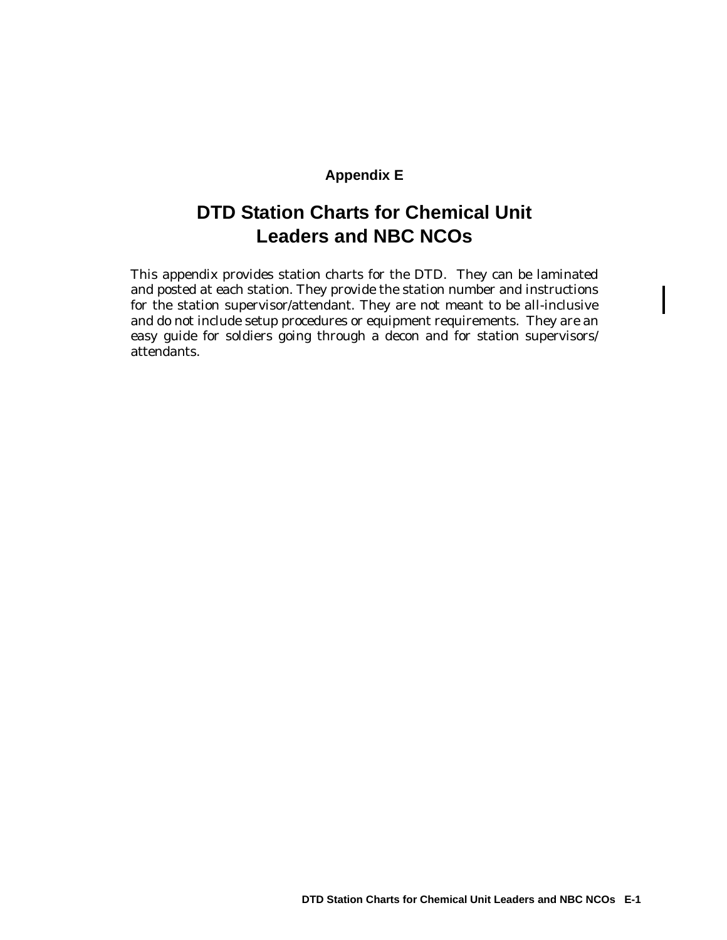### **Appendix E**

## **DTD Station Charts for Chemical Unit Leaders and NBC NCOs**

This appendix provides station charts for the DTD. They can be laminated and posted at each station. They provide the station number and instructions for the station supervisor/attendant. They are not meant to be all-inclusive and do not include setup procedures or equipment requirements. They are an easy guide for soldiers going through a decon and for station supervisors/ attendants.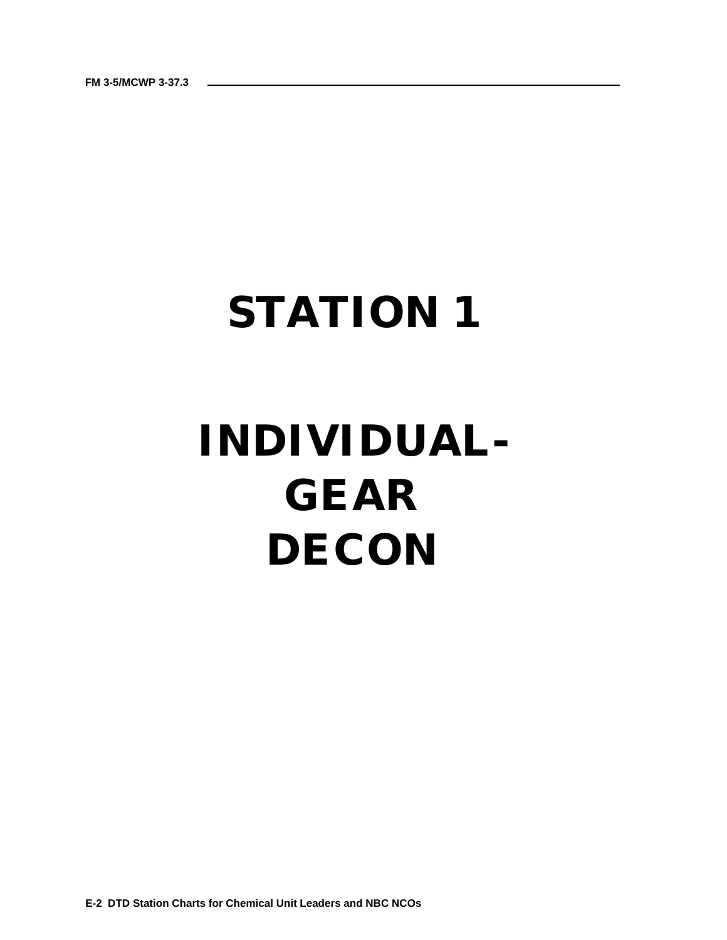# **STATION 1**

# **INDIVIDUAL-GEAR DECON**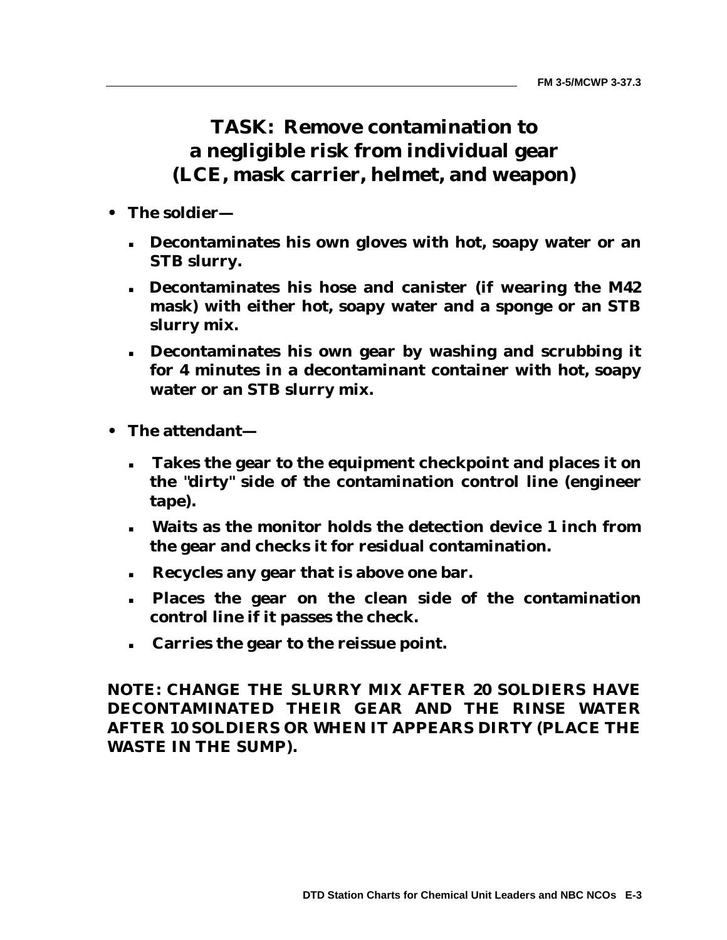# **TASK: Remove contamination to a negligible risk from individual gear (LCE, mask carrier, helmet, and weapon)**

- **The soldier—**
	- **Decontaminates his own gloves with hot, soapy water or an STB slurry.**
	- **Decontaminates his hose and canister (if wearing the M42 mask) with either hot, soapy water and a sponge or an STB slurry mix.**
	- **Decontaminates his own gear by washing and scrubbing it for 4 minutes in a decontaminant container with hot, soapy water or an STB slurry mix.**
- **The attendant—**
	- - **Takes the gear to the equipment checkpoint and places it on the "dirty" side of the contamination control line (engineer tape).**
	- **Waits as the monitor holds the detection device 1 inch from the gear and checks it for residual contamination.**
	- **Recycles any gear that is above one bar.**
	- **Places the gear on the clean side of the contamination control line if it passes the check.**
	- **Carries the gear to the reissue point.**

**NOTE: CHANGE THE SLURRY MIX AFTER 20 SOLDIERS HAVE DECONTAMINATED THEIR GEAR AND THE RINSE WATER AFTER 10 SOLDIERS OR WHEN IT APPEARS DIRTY (PLACE THE WASTE IN THE SUMP).**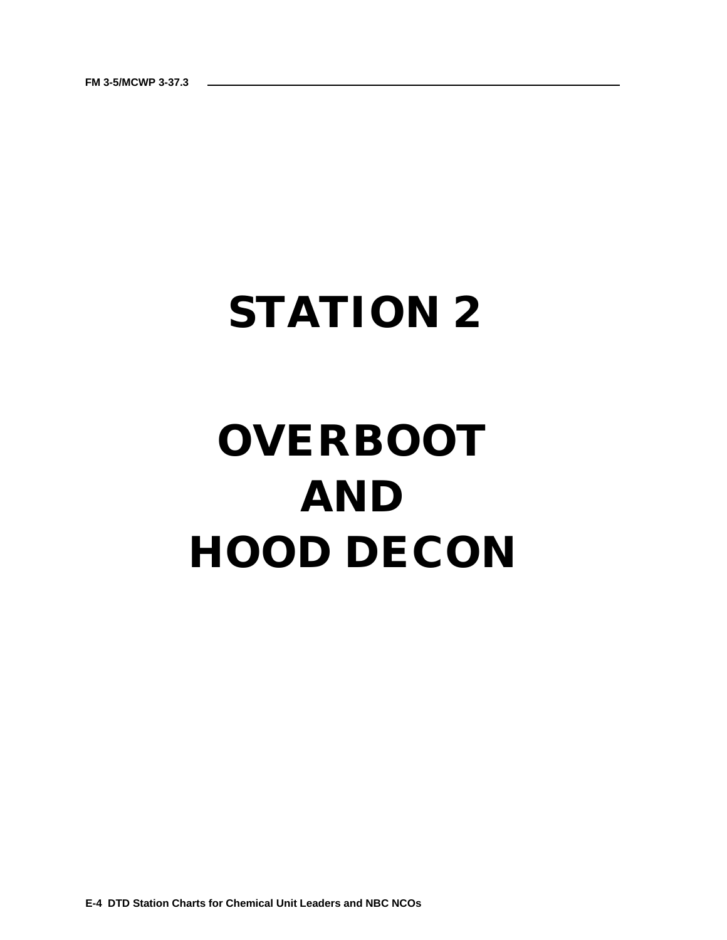# **STATION 2**

# **OVERBOOT AND HOOD DECON**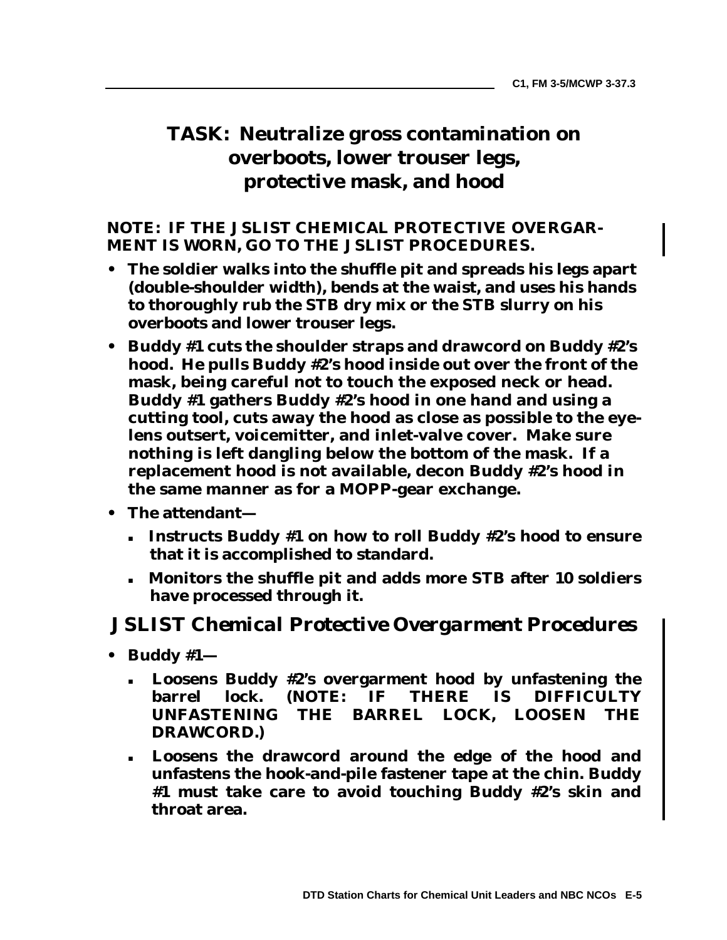# **TASK: Neutralize gross contamination on overboots, lower trouser legs, protective mask, and hood**

### **NOTE: IF THE JSLIST CHEMICAL PROTECTIVE OVERGAR-MENT IS WORN, GO TO THE JSLIST PROCEDURES.**

- **The soldier walks into the shuffle pit and spreads his legs apart (double-shoulder width), bends at the waist, and uses his hands to thoroughly rub the STB dry mix or the STB slurry on his overboots and lower trouser legs.**
- **Buddy #1 cuts the shoulder straps and drawcord on Buddy #2's hood. He pulls Buddy #2's hood inside out over the front of the mask, being careful not to touch the exposed neck or head. Buddy #1 gathers Buddy #2's hood in one hand and using a cutting tool, cuts away the hood as close as possible to the eyelens outsert, voicemitter, and inlet-valve cover. Make sure nothing is left dangling below the bottom of the mask. If a replacement hood is not available, decon Buddy #2's hood in the same manner as for a MOPP-gear exchange.**
- **The attendant—**
	- **Instructs Buddy #1 on how to roll Buddy #2's hood to ensure that it is accomplished to standard.**
	- **Monitors the shuffle pit and adds more STB after 10 soldiers have processed through it.**

### *JSLIST Chemical Protective Overgarment Procedures*

- **Buddy #1—**
	- - **Loosens Buddy #2's overgarment hood by unfastening the barrel lock. (NOTE: IF THERE IS DIFFICULTY UNFASTENING THE BARREL LOCK, LOOSEN THE DRAWCORD.)**
	- **Loosens the drawcord around the edge of the hood and unfastens the hook-and-pile fastener tape at the chin. Buddy #1 must take care to avoid touching Buddy #2's skin and throat area.**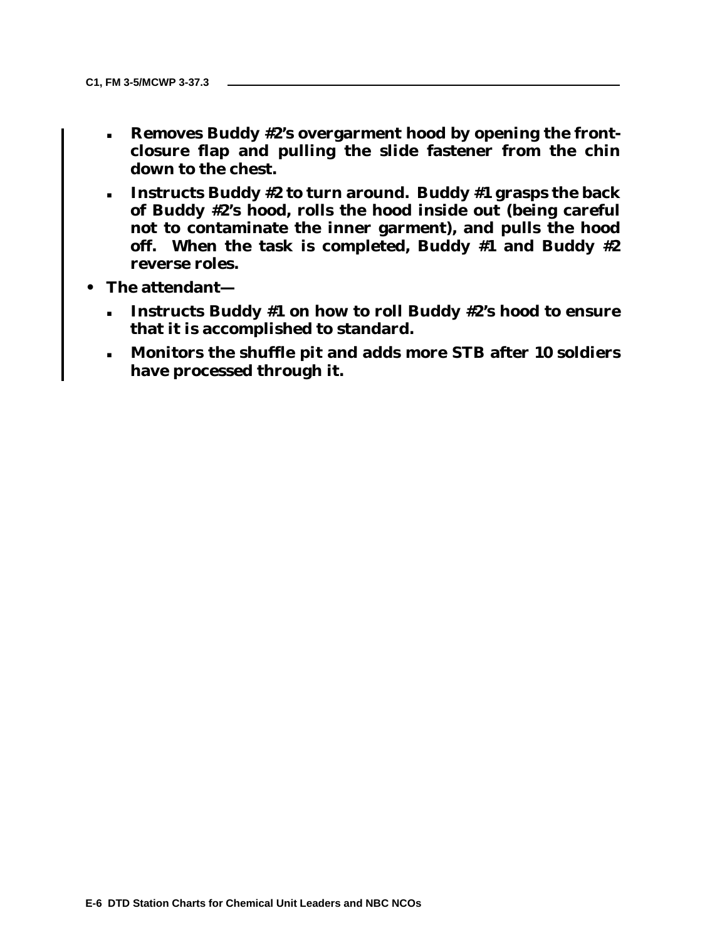- - **Removes Buddy #2's overgarment hood by opening the frontclosure flap and pulling the slide fastener from the chin down to the chest.**
- - **Instructs Buddy #2 to turn around. Buddy #1 grasps the back of Buddy #2's hood, rolls the hood inside out (being careful not to contaminate the inner garment), and pulls the hood off. When the task is completed, Buddy #1 and Buddy #2 reverse roles.**
- **The attendant—**
	- - **Instructs Buddy #1 on how to roll Buddy #2's hood to ensure that it is accomplished to standard.**
	- - **Monitors the shuffle pit and adds more STB after 10 soldiers have processed through it.**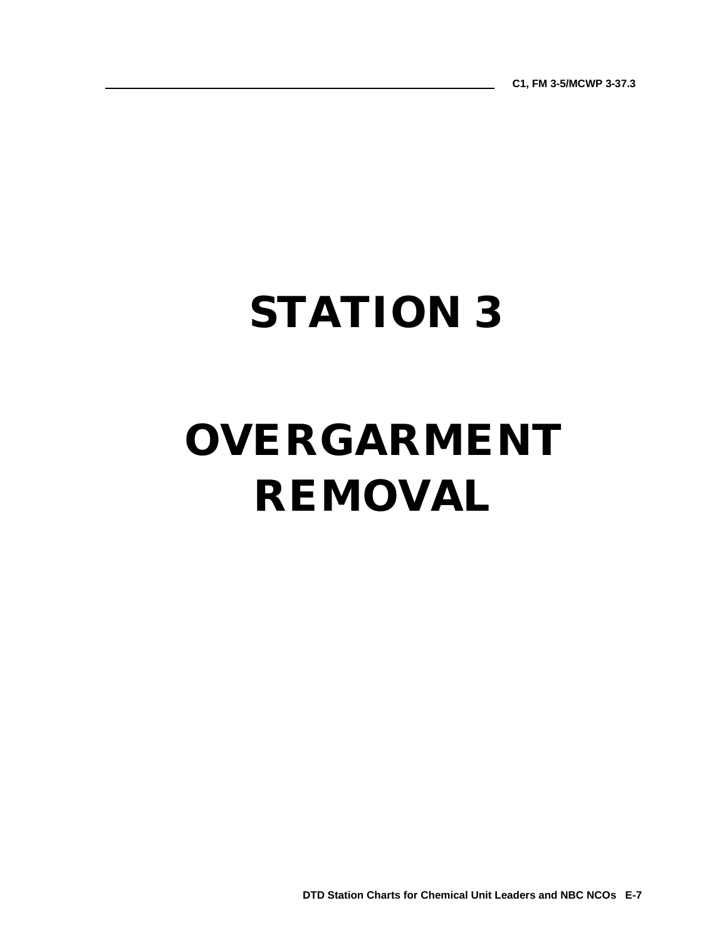## **STATION 3**

## **OVERGARMENT REMOVAL**

**DTD Station Charts for Chemical Unit Leaders and NBC NCOs E-7**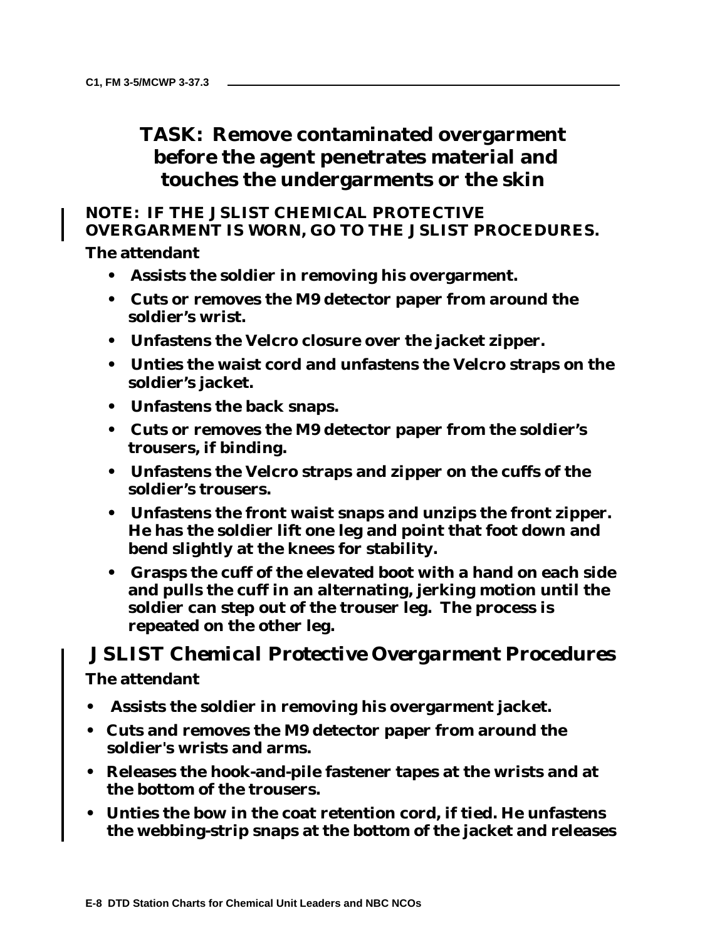## **TASK: Remove contaminated overgarment before the agent penetrates material and touches the undergarments or the skin**

## **NOTE: IF THE JSLIST CHEMICAL PROTECTIVE OVERGARMENT IS WORN, GO TO THE JSLIST PROCEDURES.**

**The attendant**

- **Assists the soldier in removing his overgarment.**
- **Cuts or removes the M9 detector paper from around the soldier's wrist.**
- **Unfastens the Velcro closure over the jacket zipper.**
- **Unties the waist cord and unfastens the Velcro straps on the soldier's jacket.**
- **Unfastens the back snaps.**
- **Cuts or removes the M9 detector paper from the soldier's trousers, if binding.**
- **Unfastens the Velcro straps and zipper on the cuffs of the soldier's trousers.**
- **Unfastens the front waist snaps and unzips the front zipper. He has the soldier lift one leg and point that foot down and bend slightly at the knees for stability.**
- **Grasps the cuff of the elevated boot with a hand on each side and pulls the cuff in an alternating, jerking motion until the soldier can step out of the trouser leg. The process is repeated on the other leg.**

## *JSLIST Chemical Protective Overgarment Procedures*

**The attendant**

- **Assists the soldier in removing his overgarment jacket.**
- **Cuts and removes the M9 detector paper from around the soldier's wrists and arms.**
- **Releases the hook-and-pile fastener tapes at the wrists and at the bottom of the trousers.**
- **Unties the bow in the coat retention cord, if tied. He unfastens the webbing-strip snaps at the bottom of the jacket and releases**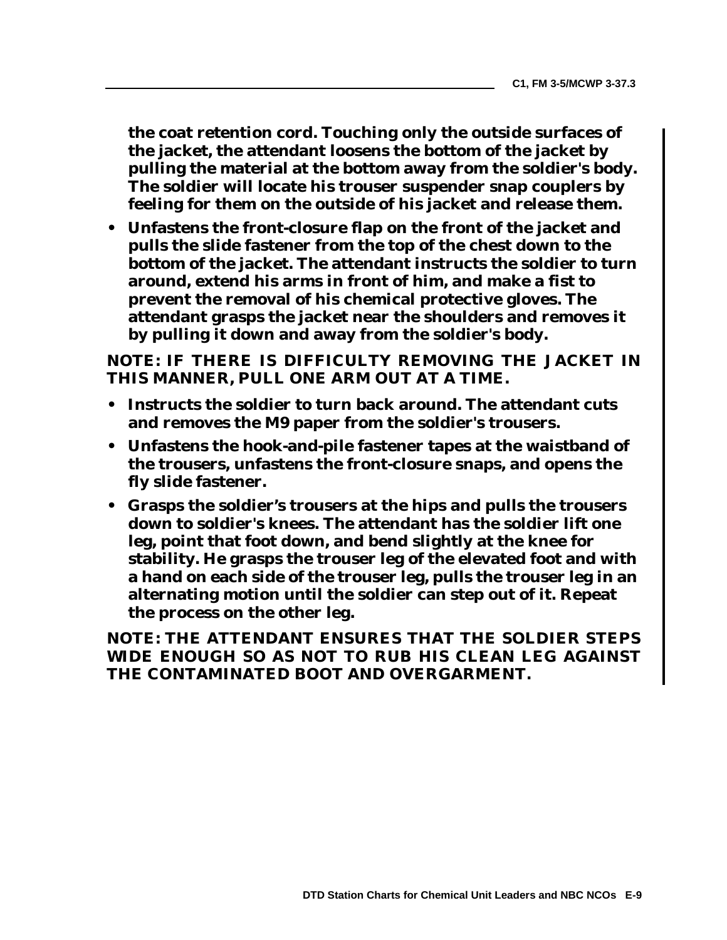**the coat retention cord. Touching only the outside surfaces of the jacket, the attendant loosens the bottom of the jacket by pulling the material at the bottom away from the soldier's body. The soldier will locate his trouser suspender snap couplers by feeling for them on the outside of his jacket and release them.**

**• Unfastens the front-closure flap on the front of the jacket and pulls the slide fastener from the top of the chest down to the bottom of the jacket. The attendant instructs the soldier to turn around, extend his arms in front of him, and make a fist to prevent the removal of his chemical protective gloves. The attendant grasps the jacket near the shoulders and removes it by pulling it down and away from the soldier's body.**

**NOTE: IF THERE IS DIFFICULTY REMOVING THE JACKET IN THIS MANNER, PULL ONE ARM OUT AT A TIME.**

- **Instructs the soldier to turn back around. The attendant cuts and removes the M9 paper from the soldier's trousers.**
- **Unfastens the hook-and-pile fastener tapes at the waistband of the trousers, unfastens the front-closure snaps, and opens the fly slide fastener.**
- **Grasps the soldier's trousers at the hips and pulls the trousers down to soldier's knees. The attendant has the soldier lift one leg, point that foot down, and bend slightly at the knee for stability. He grasps the trouser leg of the elevated foot and with a hand on each side of the trouser leg, pulls the trouser leg in an alternating motion until the soldier can step out of it. Repeat the process on the other leg.**

**NOTE: THE ATTENDANT ENSURES THAT THE SOLDIER STEPS WIDE ENOUGH SO AS NOT TO RUB HIS CLEAN LEG AGAINST THE CONTAMINATED BOOT AND OVERGARMENT.**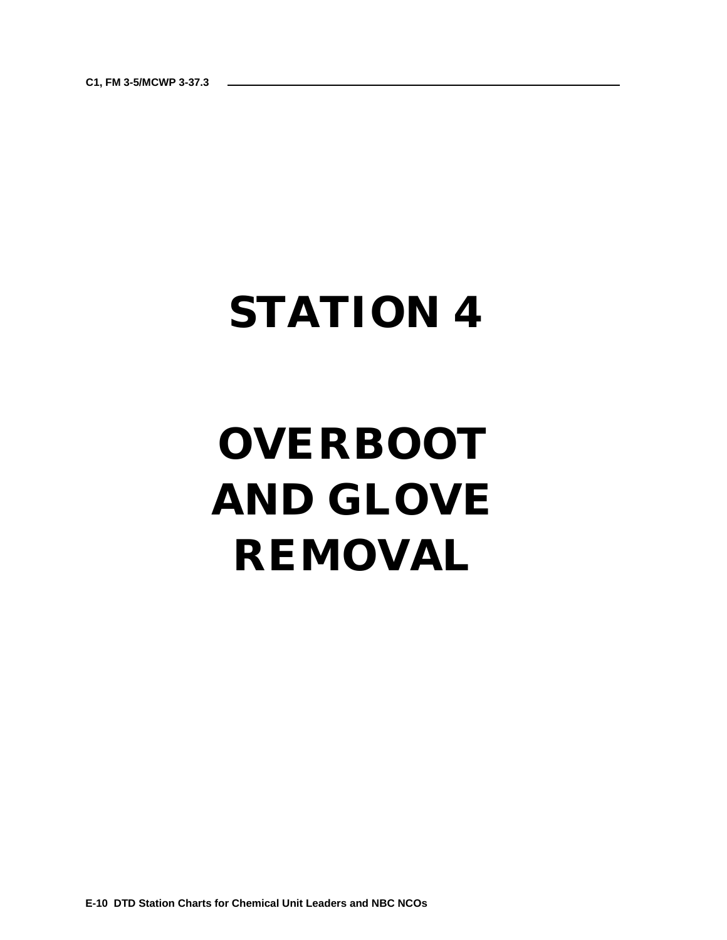## **STATION 4**

# **OVERBOOT AND GLOVE REMOVAL**

**E-10 DTD Station Charts for Chemical Unit Leaders and NBC NCOs**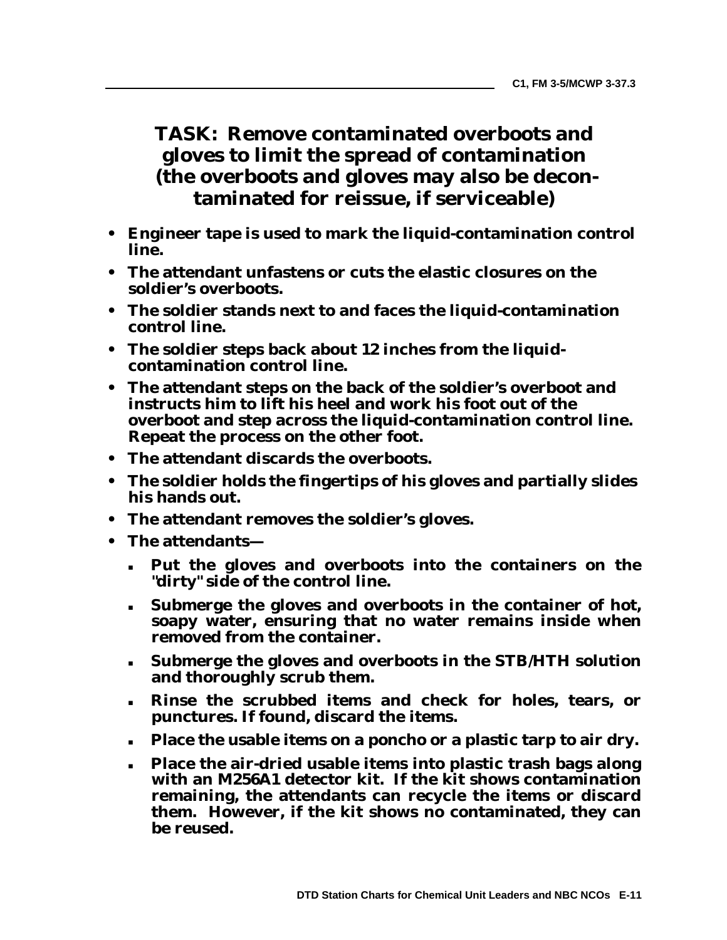## **TASK: Remove contaminated overboots and gloves to limit the spread of contamination (the overboots and gloves may also be decontaminated for reissue, if serviceable)**

- **Engineer tape is used to mark the liquid-contamination control line.**
- **The attendant unfastens or cuts the elastic closures on the soldier's overboots.**
- **The soldier stands next to and faces the liquid-contamination control line.**
- **The soldier steps back about 12 inches from the liquidcontamination control line.**
- **The attendant steps on the back of the soldier's overboot and instructs him to lift his heel and work his foot out of the overboot and step across the liquid-contamination control line. Repeat the process on the other foot.**
- **The attendant discards the overboots.**
- **The soldier holds the fingertips of his gloves and partially slides his hands out.**
- **The attendant removes the soldier's gloves.**
- **The attendants—**
	- **Put the gloves and overboots into the containers on the "dirty" side of the control line.**
	- **Submerge the gloves and overboots in the container of hot, soapy water, ensuring that no water remains inside when removed from the container.**
	- **Submerge the gloves and overboots in the STB/HTH solution and thoroughly scrub them.**
	- **Rinse the scrubbed items and check for holes, tears, or punctures. If found, discard the items.**
	- **Place the usable items on a poncho or a plastic tarp to air dry.**
	- **Place the air-dried usable items into plastic trash bags along with an M256A1 detector kit. If the kit shows contamination remaining, the attendants can recycle the items or discard them. However, if the kit shows no contaminated, they can be reused.**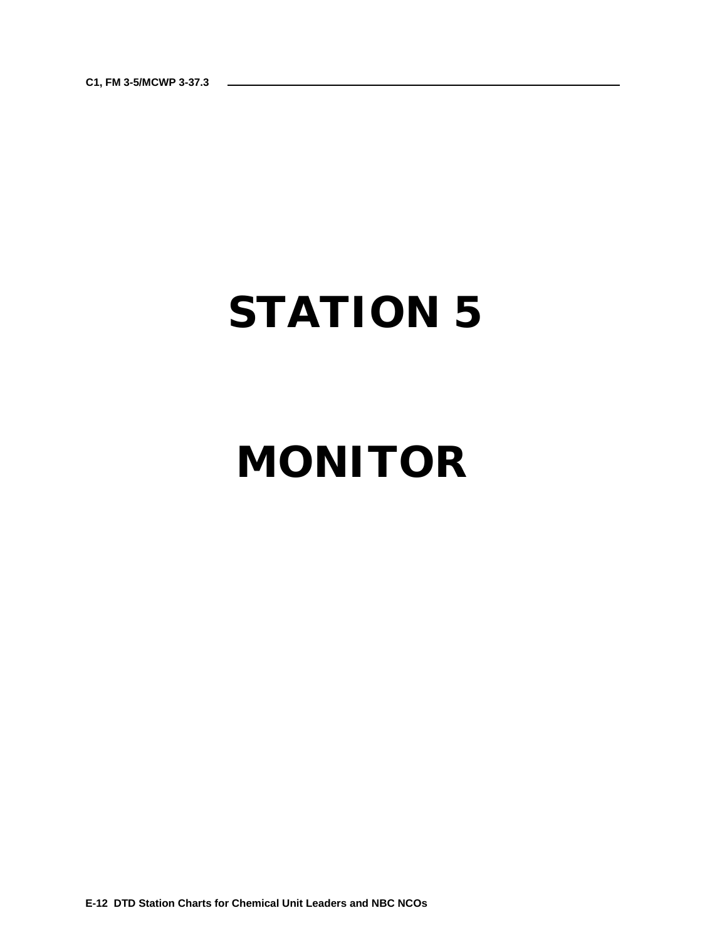## **STATION 5**

## **MONITOR**

**E-12 DTD Station Charts for Chemical Unit Leaders and NBC NCOs**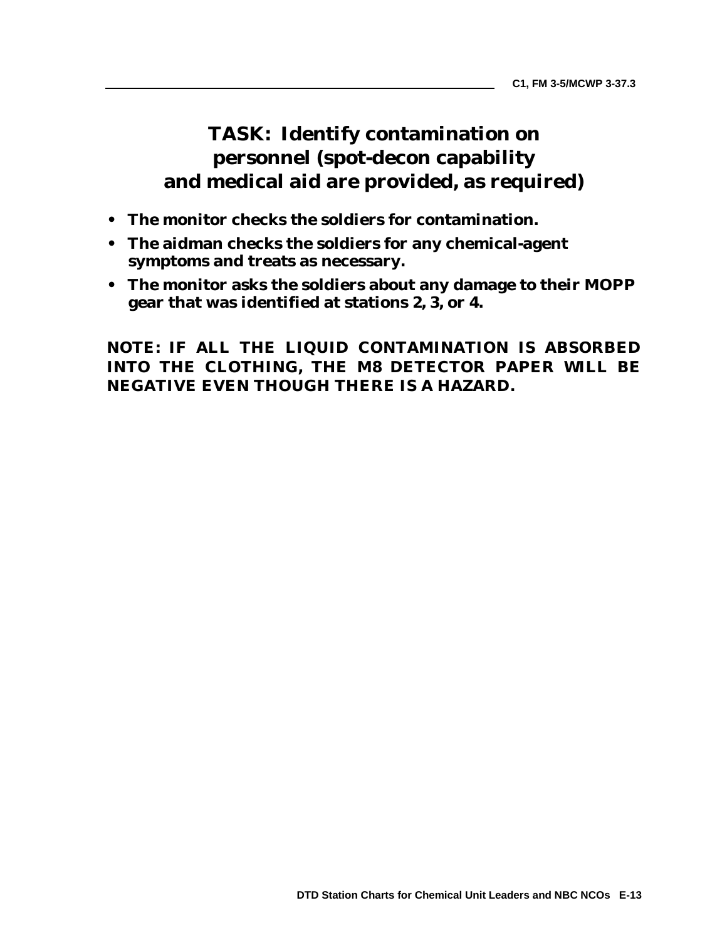## **TASK: Identify contamination on personnel (spot-decon capability and medical aid are provided, as required)**

- **The monitor checks the soldiers for contamination.**
- **The aidman checks the soldiers for any chemical-agent symptoms and treats as necessary.**
- **The monitor asks the soldiers about any damage to their MOPP gear that was identified at stations 2, 3, or 4.**

**NOTE: IF ALL THE LIQUID CONTAMINATION IS ABSORBED INTO THE CLOTHING, THE M8 DETECTOR PAPER WILL BE NEGATIVE EVEN THOUGH THERE IS A HAZARD.**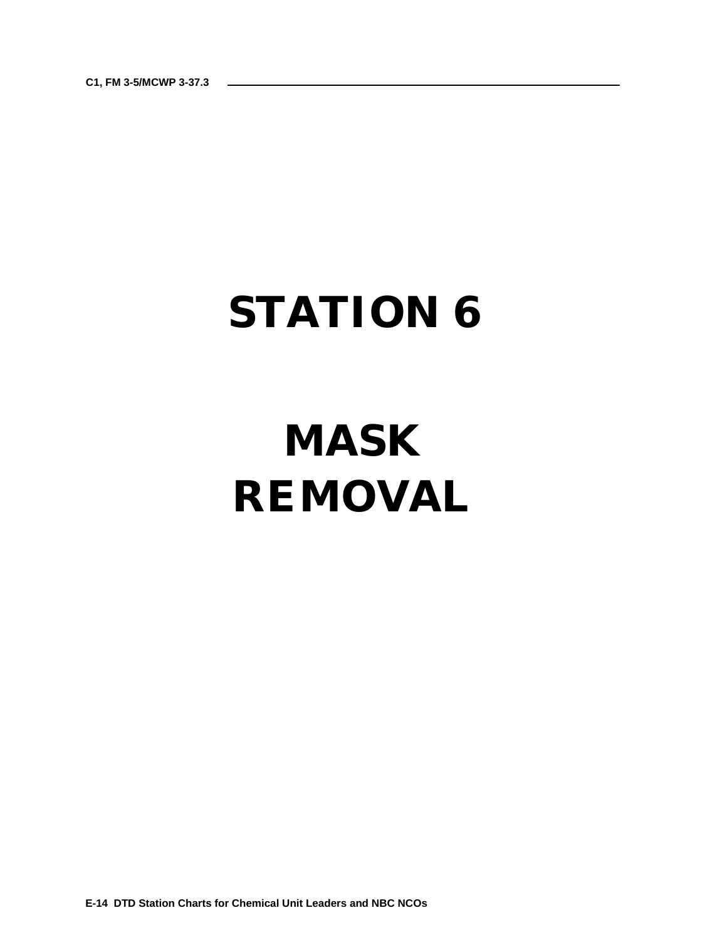## **STATION 6**

## **MASK REMOVAL**

**E-14 DTD Station Charts for Chemical Unit Leaders and NBC NCOs**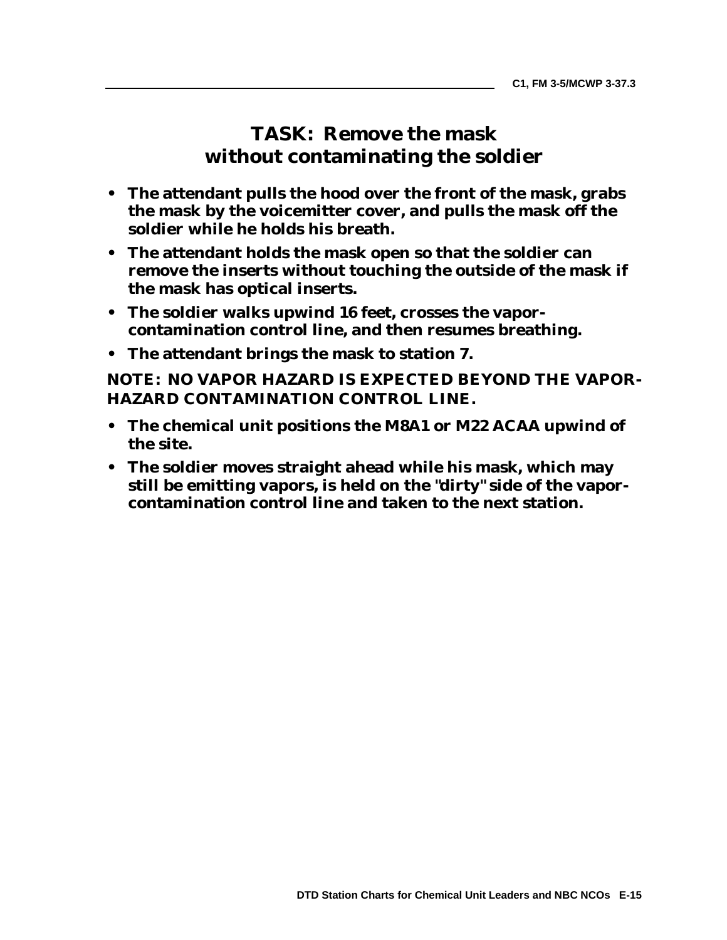## **TASK: Remove the mask without contaminating the soldier**

- **The attendant pulls the hood over the front of the mask, grabs the mask by the voicemitter cover, and pulls the mask off the soldier while he holds his breath.**
- **The attendant holds the mask open so that the soldier can remove the inserts without touching the outside of the mask if the mask has optical inserts.**
- **The soldier walks upwind 16 feet, crosses the vaporcontamination control line, and then resumes breathing.**
- **The attendant brings the mask to station 7.**

**NOTE: NO VAPOR HAZARD IS EXPECTED BEYOND THE VAPOR-HAZARD CONTAMINATION CONTROL LINE.**

- **The chemical unit positions the M8A1 or M22 ACAA upwind of the site.**
- **The soldier moves straight ahead while his mask, which may still be emitting vapors, is held on the "dirty" side of the vaporcontamination control line and taken to the next station.**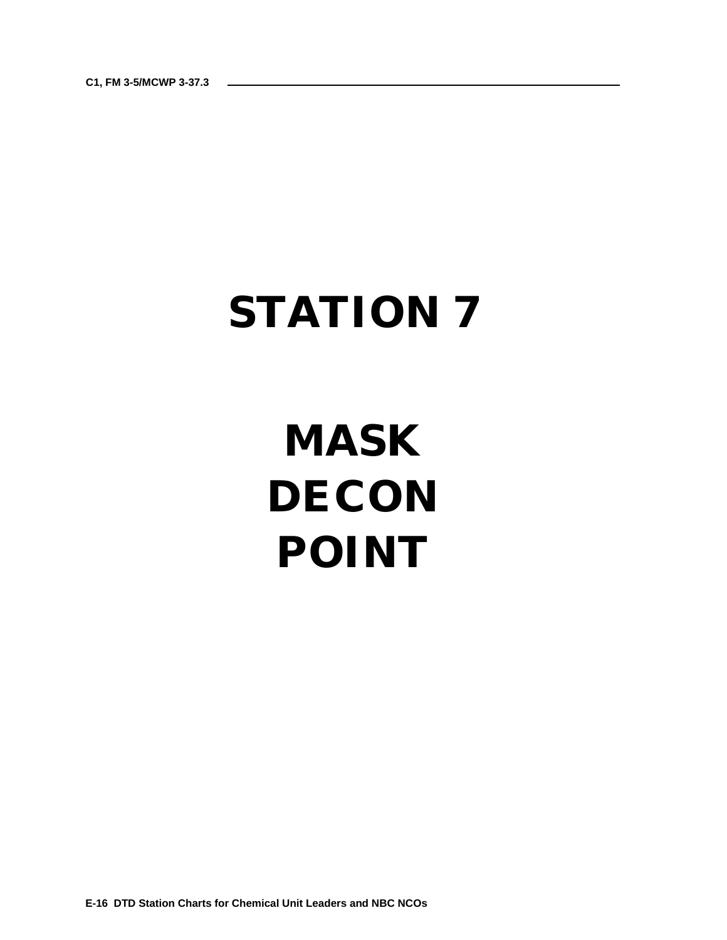## **STATION 7**

# **MASK DECON POINT**

**E-16 DTD Station Charts for Chemical Unit Leaders and NBC NCOs**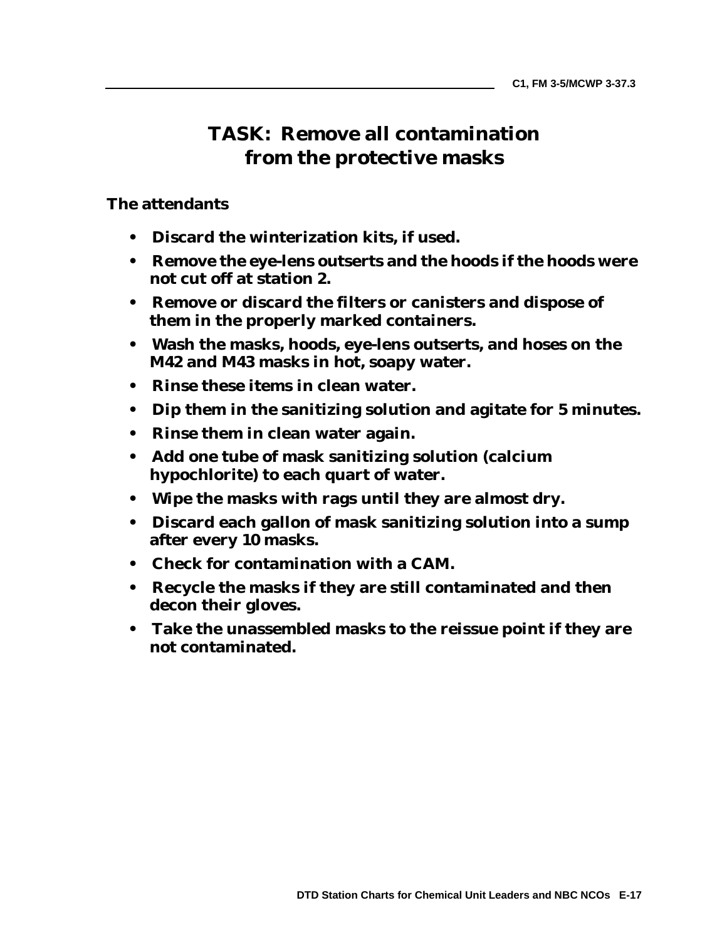## **TASK: Remove all contamination from the protective masks**

**The attendants**

- **Discard the winterization kits, if used.**
- **Remove the eye-lens outserts and the hoods if the hoods were not cut off at station 2.**
- **Remove or discard the filters or canisters and dispose of them in the properly marked containers.**
- **Wash the masks, hoods, eye-lens outserts, and hoses on the M42 and M43 masks in hot, soapy water.**
- **Rinse these items in clean water.**
- **Dip them in the sanitizing solution and agitate for 5 minutes.**
- **Rinse them in clean water again.**
- **Add one tube of mask sanitizing solution (calcium hypochlorite) to each quart of water.**
- **Wipe the masks with rags until they are almost dry.**
- **Discard each gallon of mask sanitizing solution into a sump after every 10 masks.**
- **Check for contamination with a CAM.**
- **Recycle the masks if they are still contaminated and then decon their gloves.**
- **Take the unassembled masks to the reissue point if they are not contaminated.**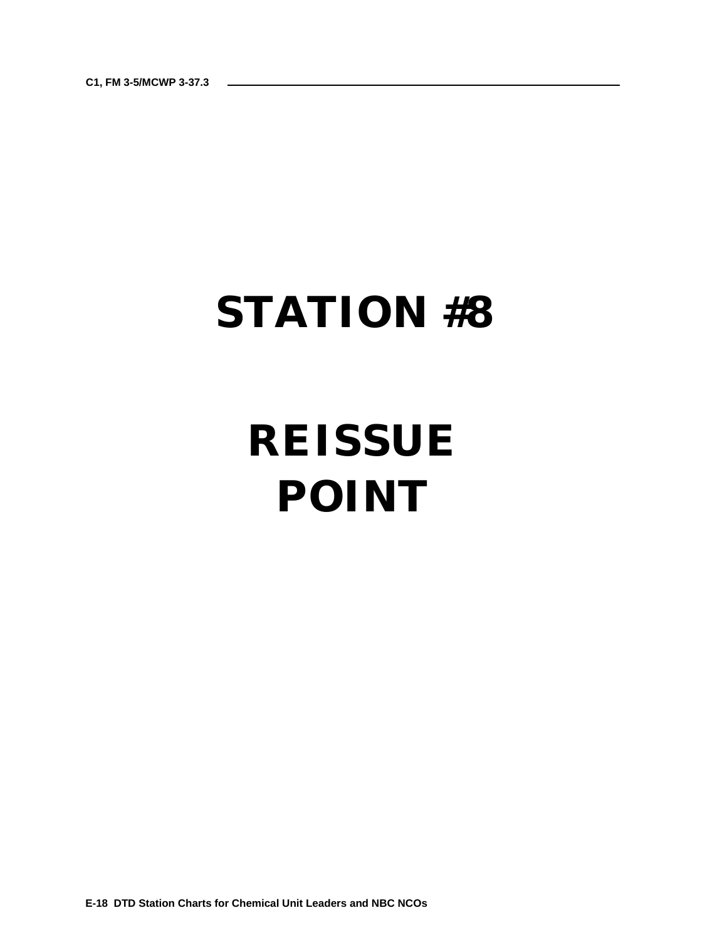## **STATION #8**

## **REISSUE POINT**

**E-18 DTD Station Charts for Chemical Unit Leaders and NBC NCOs**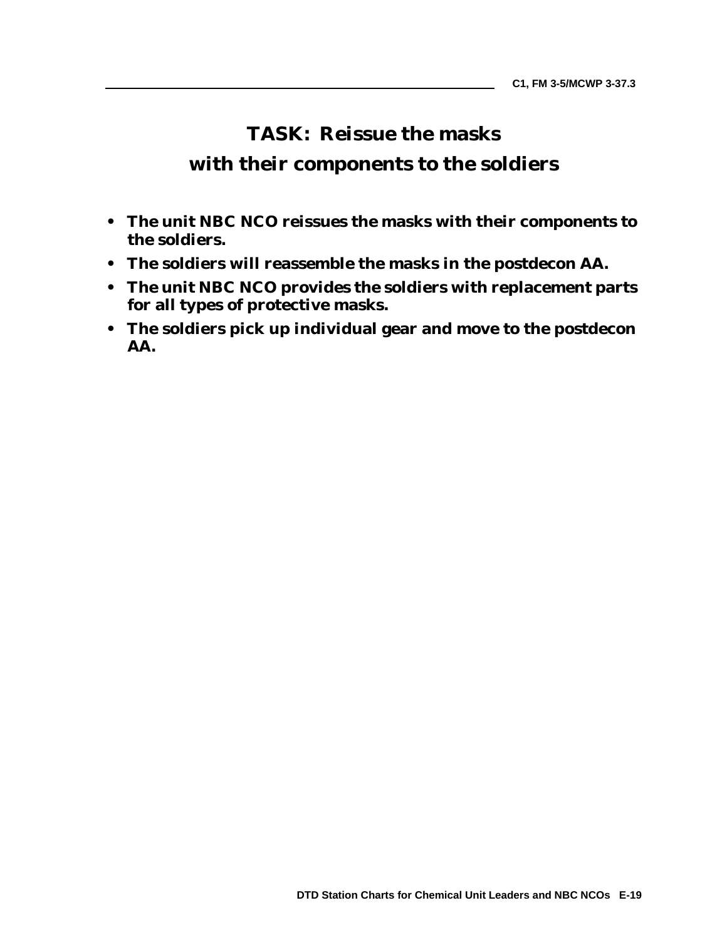## **TASK: Reissue the masks with their components to the soldiers**

- **The unit NBC NCO reissues the masks with their components to the soldiers.**
- **The soldiers will reassemble the masks in the postdecon AA.**
- **The unit NBC NCO provides the soldiers with replacement parts for all types of protective masks.**
- **The soldiers pick up individual gear and move to the postdecon AA.**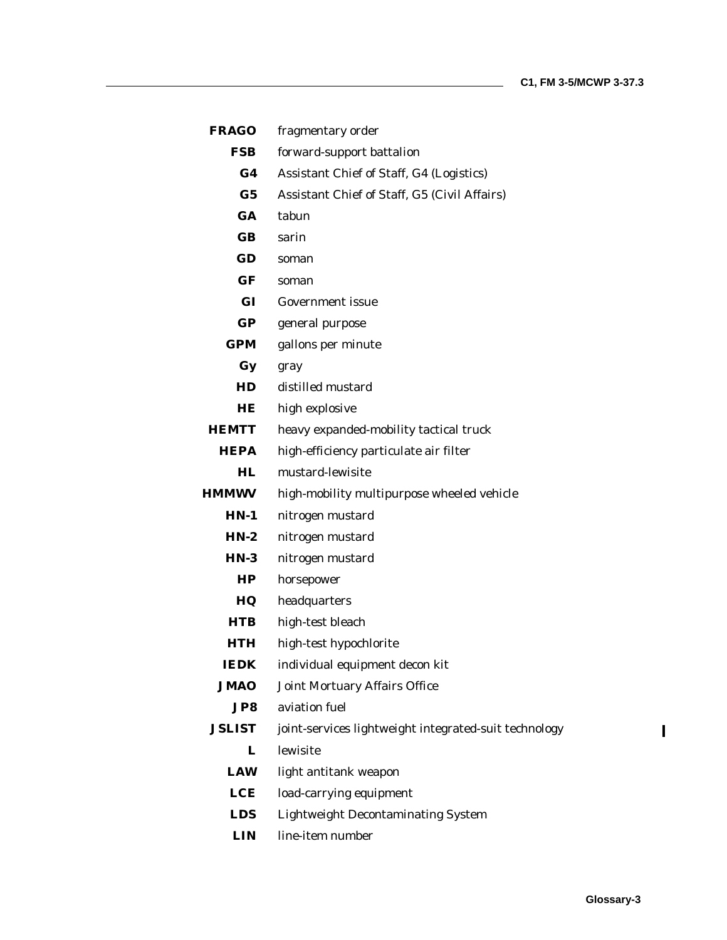| <b>FRAGO</b>           | fragmentary order                                     |
|------------------------|-------------------------------------------------------|
| <b>FSB</b>             | forward-support battalion                             |
| G4                     | <b>Assistant Chief of Staff, G4 (Logistics)</b>       |
| G <sub>5</sub>         | Assistant Chief of Staff, G5 (Civil Affairs)          |
| GA                     | tabun                                                 |
| $\mathbf{G}\mathbf{B}$ | sarin                                                 |
| <b>GD</b>              | soman                                                 |
| GF                     | soman                                                 |
| G <sub>I</sub>         | Government issue                                      |
| GP                     | general purpose                                       |
| <b>GPM</b>             | gallons per minute                                    |
| Gy                     | gray                                                  |
| HD                     | distilled mustard                                     |
| <b>HE</b>              | high explosive                                        |
| <b>HEMTT</b>           | heavy expanded-mobility tactical truck                |
| <b>HEPA</b>            | high-efficiency particulate air filter                |
| <b>HL</b>              | mustard-lewisite                                      |
| <b>HMMWV</b>           | high-mobility multipurpose wheeled vehicle            |
| $HN-1$                 | nitrogen mustard                                      |
| $HN-2$                 | nitrogen mustard                                      |
| $HN-3$                 | nitrogen mustard                                      |
| HP                     | horsepower                                            |
| HQ                     | headquarters                                          |
| <b>HTB</b>             | high-test bleach                                      |
| <b>HTH</b>             | high-test hypochlorite                                |
| <b>IEDK</b>            | individual equipment decon kit                        |
| JMAO                   | <b>Joint Mortuary Affairs Office</b>                  |
| JP8                    | aviation fuel                                         |
| <b>JSLIST</b>          | joint-services lightweight integrated-suit technology |
| L                      | lewisite                                              |
| <b>LAW</b>             | light antitank weapon                                 |
| <b>LCE</b>             | load-carrying equipment                               |
| <b>LDS</b>             | <b>Lightweight Decontaminating System</b>             |
| LIN                    | line-item number                                      |

 $\overline{\phantom{a}}$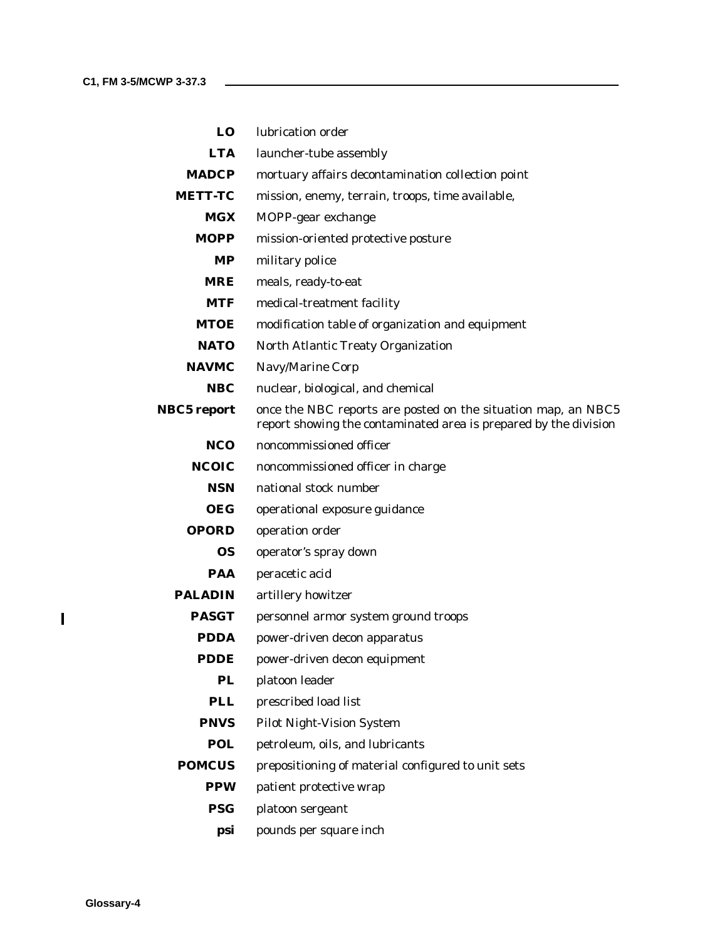| LO                 | lubrication order                                                                                                                 |
|--------------------|-----------------------------------------------------------------------------------------------------------------------------------|
| <b>LTA</b>         | launcher-tube assembly                                                                                                            |
| <b>MADCP</b>       | mortuary affairs decontamination collection point                                                                                 |
| <b>METT-TC</b>     | mission, enemy, terrain, troops, time available,                                                                                  |
| <b>MGX</b>         | MOPP-gear exchange                                                                                                                |
| <b>MOPP</b>        | mission-oriented protective posture                                                                                               |
| <b>MP</b>          | military police                                                                                                                   |
| <b>MRE</b>         | meals, ready-to-eat                                                                                                               |
| <b>MTF</b>         | medical-treatment facility                                                                                                        |
| <b>MTOE</b>        | modification table of organization and equipment                                                                                  |
| <b>NATO</b>        | North Atlantic Treaty Organization                                                                                                |
| <b>NAVMC</b>       | Navy/Marine Corp                                                                                                                  |
| <b>NBC</b>         | nuclear, biological, and chemical                                                                                                 |
| <b>NBC5</b> report | once the NBC reports are posted on the situation map, an NBC5<br>report showing the contaminated area is prepared by the division |
| NCO                | noncommissioned officer                                                                                                           |
| <b>NCOIC</b>       | noncommissioned officer in charge                                                                                                 |
| <b>NSN</b>         | national stock number                                                                                                             |
| <b>OEG</b>         | operational exposure guidance                                                                                                     |
| <b>OPORD</b>       | operation order                                                                                                                   |
| <b>OS</b>          | operator's spray down                                                                                                             |
| <b>PAA</b>         | peracetic acid                                                                                                                    |
| <b>PALADIN</b>     | artillery howitzer                                                                                                                |
| <b>PASGT</b>       | personnel armor system ground troops                                                                                              |
| <b>PDDA</b>        | power-driven decon apparatus                                                                                                      |
| <b>PDDE</b>        | power-driven decon equipment                                                                                                      |
| PL                 | platoon leader                                                                                                                    |
| <b>PLL</b>         | prescribed load list                                                                                                              |
| <b>PNVS</b>        | <b>Pilot Night-Vision System</b>                                                                                                  |
| <b>POL</b>         | petroleum, oils, and lubricants                                                                                                   |
| <b>POMCUS</b>      | prepositioning of material configured to unit sets                                                                                |
| <b>PPW</b>         | patient protective wrap                                                                                                           |
| <b>PSG</b>         | platoon sergeant                                                                                                                  |
| psi                | pounds per square inch                                                                                                            |

 $\overline{\mathbf{I}}$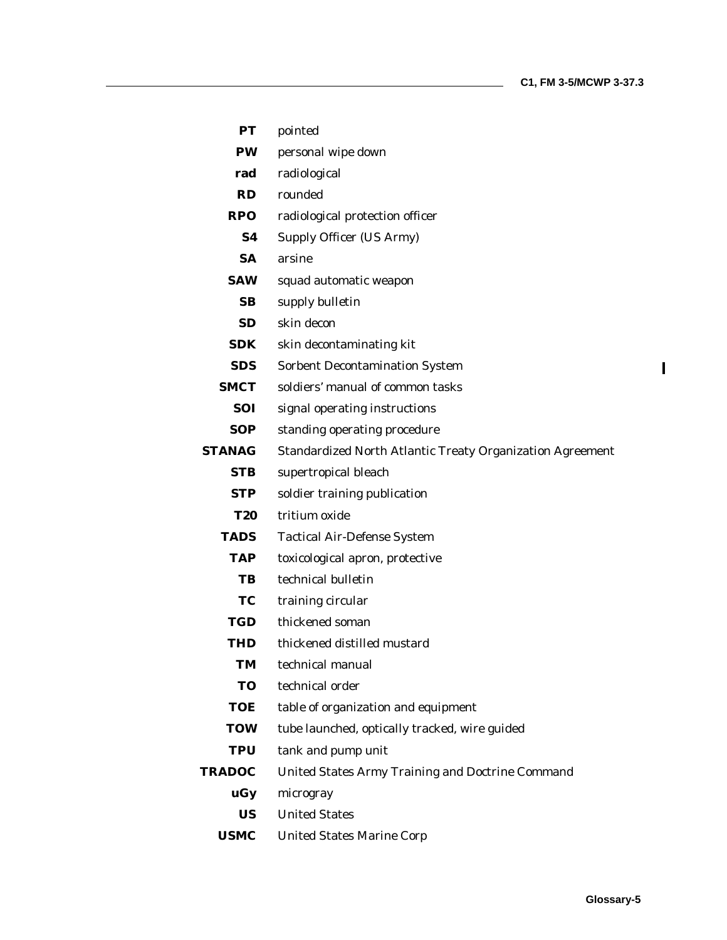$\overline{\phantom{a}}$ 

| PT                     | pointed                                                          |
|------------------------|------------------------------------------------------------------|
| <b>PW</b>              | personal wipe down                                               |
| rad                    | radiological                                                     |
| RD                     | rounded                                                          |
| <b>RPO</b>             | radiological protection officer                                  |
| S4                     | <b>Supply Officer (US Army)</b>                                  |
| <b>SA</b>              | arsine                                                           |
| <b>SAW</b>             | squad automatic weapon                                           |
| $\mathbf{S}\mathbf{B}$ | supply bulletin                                                  |
| SD                     | skin decon                                                       |
| SDK                    | skin decontaminating kit                                         |
| <b>SDS</b>             | <b>Sorbent Decontamination System</b>                            |
| <b>SMCT</b>            | soldiers' manual of common tasks                                 |
| SOI                    | signal operating instructions                                    |
| <b>SOP</b>             | standing operating procedure                                     |
| <b>STANAG</b>          | <b>Standardized North Atlantic Treaty Organization Agreement</b> |
| STB                    | supertropical bleach                                             |
| <b>STP</b>             | soldier training publication                                     |
| <b>T20</b>             | tritium oxide                                                    |
| <b>TADS</b>            | <b>Tactical Air-Defense System</b>                               |
| TAP                    | toxicological apron, protective                                  |
| TB                     | technical bulletin                                               |
| TC                     | training circular                                                |
| TGD                    | thickened soman                                                  |
| THD                    | thickened distilled mustard                                      |
| TM                     | technical manual                                                 |
| <b>TO</b>              | technical order                                                  |
| TOE                    | table of organization and equipment                              |
| <b>TOW</b>             | tube launched, optically tracked, wire guided                    |
| <b>TPU</b>             | tank and pump unit                                               |
| <b>TRADOC</b>          | United States Army Training and Doctrine Command                 |
| uGy                    | microgray                                                        |
| <b>US</b>              | <b>United States</b>                                             |
| <b>USMC</b>            | <b>United States Marine Corp</b>                                 |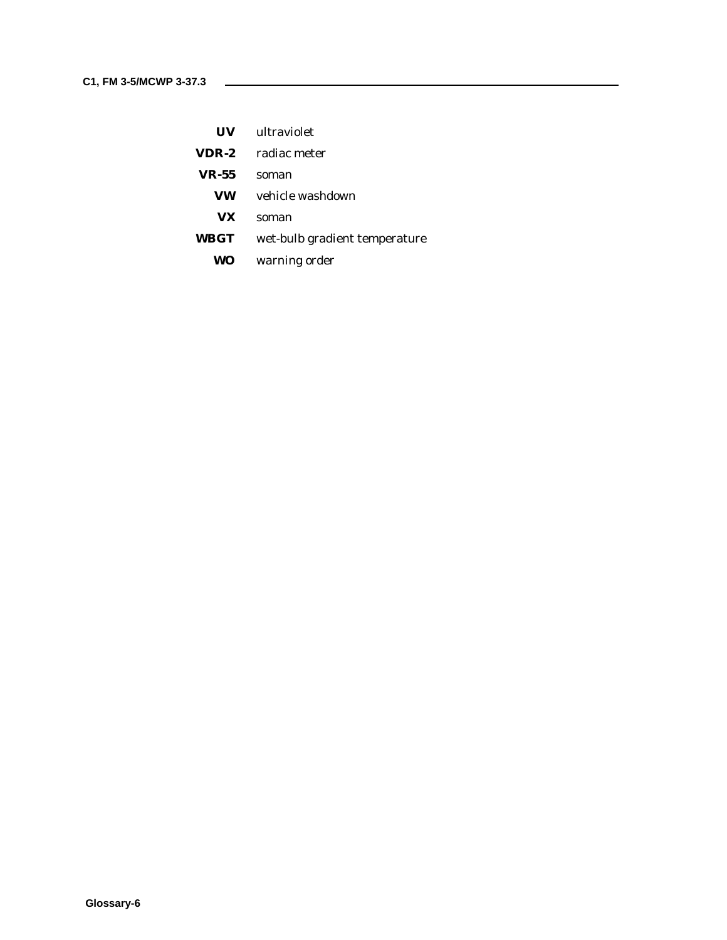| UV                               | ultraviolet                   |
|----------------------------------|-------------------------------|
| VDR-2                            | radiac meter                  |
| $\mathbf{VR}\text{-}\mathbf{55}$ | soman                         |
| vw                               | vehicle washdown              |
| VX                               | soman                         |
| WBGT                             | wet-bulb gradient temperature |
| wο                               | warning order                 |
|                                  |                               |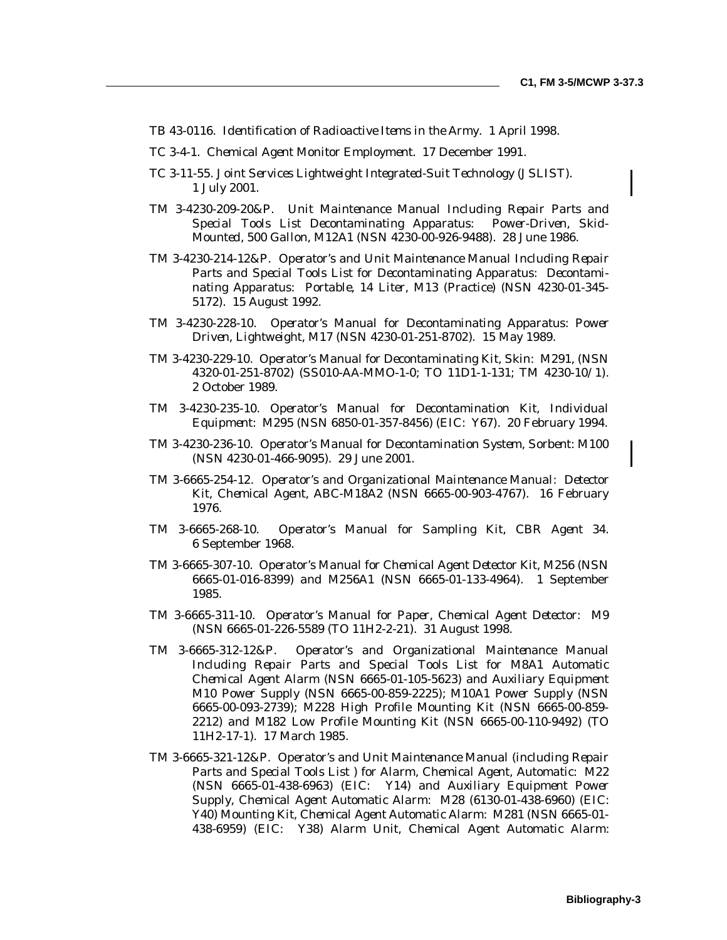TB 43-0116. *Identification of Radioactive Items in the Army*. 1 April 1998.

- TC 3-4-1. *Chemical Agent Monitor Employment*. 17 December 1991.
- TC 3-11-55. *Joint Services Lightweight Integrated-Suit Technology (JSLIST)*. 1 July 2001.
- TM 3-4230-209-20&P. *Unit Maintenance Manual Including Repair Parts and Special Tools List Decontaminating Apparatus: Power-Driven, Skid-Mounted, 500 Gallon, M12A1 (NSN 4230-00-926-9488)*. 28 June 1986.
- TM 3-4230-214-12&P. *Operator's and Unit Maintenance Manual Including Repair Parts and Special Tools List for Decontaminating Apparatus: Decontaminating Apparatus: Portable, 14 Liter, M13 (Practice) (NSN 4230-01-345- 5172).* 15 August 1992.
- TM 3-4230-228-10. *Operator's Manual for Decontaminating Apparatus: Power Driven, Lightweight, M17 (NSN 4230-01-251-8702).* 15 May 1989.
- TM 3-4230-229-10. *Operator's Manual for Decontaminating Kit, Skin: M291, (NSN 4320-01-251-8702) (SS010-AA-MMO-1-0; TO 11D1-1-131; TM 4230-10/1)*. 2 October 1989.
- TM 3-4230-235-10. *Operator's Manual for Decontamination Kit, Individual Equipment: M295 (NSN 6850-01-357-8456) (EIC: Y67)*. 20 February 1994.
- TM 3-4230-236-10. *Operator's Manual for Decontamination System, Sorbent: M100 (NSN 4230-01-466-9095).* 29 June 2001.
- TM 3-6665-254-12. *Operator's and Organizational Maintenance Manual: Detector Kit, Chemical Agent, ABC-M18A2 (NSN 6665-00-903-4767)*. 16 February 1976.
- TM 3-6665-268-10. *Operator's Manual for Sampling Kit, CBR Agent 34*. 6 September 1968.
- TM 3-6665-307-10. *Operator's Manual for Chemical Agent Detector Kit, M256 (NSN 6665-01-016-8399) and M256A1 (NSN 6665-01-133-4964)*. 1 September 1985.
- TM 3-6665-311-10. *Operator's Manual for Paper, Chemical Agent Detector: M9 (NSN 6665-01-226-5589 (TO 11H2-2-21)*. 31 August 1998.
- TM 3-6665-312-12&P. *Operator's and Organizational Maintenance Manual Including Repair Parts and Special Tools List for M8A1 Automatic Chemical Agent Alarm (NSN 6665-01-105-5623) and Auxiliary Equipment M10 Power Supply (NSN 6665-00-859-2225); M10A1 Power Supply (NSN 6665-00-093-2739); M228 High Profile Mounting Kit (NSN 6665-00-859- 2212) and M182 Low Profile Mounting Kit (NSN 6665-00-110-9492) (TO 11H2-17-1)*. 17 March 1985.
- TM 3-6665-321-12&P. *Operator's and Unit Maintenance Manual (including Repair Parts and Special Tools List ) for Alarm, Chemical Agent, Automatic: M22 (NSN 6665-01-438-6963) (EIC: Y14) and Auxiliary Equipment Power Supply, Chemical Agent Automatic Alarm: M28 (6130-01-438-6960) (EIC: Y40) Mounting Kit, Chemical Agent Automatic Alarm: M281 (NSN 6665-01- 438-6959) (EIC: Y38) Alarm Unit, Chemical Agent Automatic Alarm:*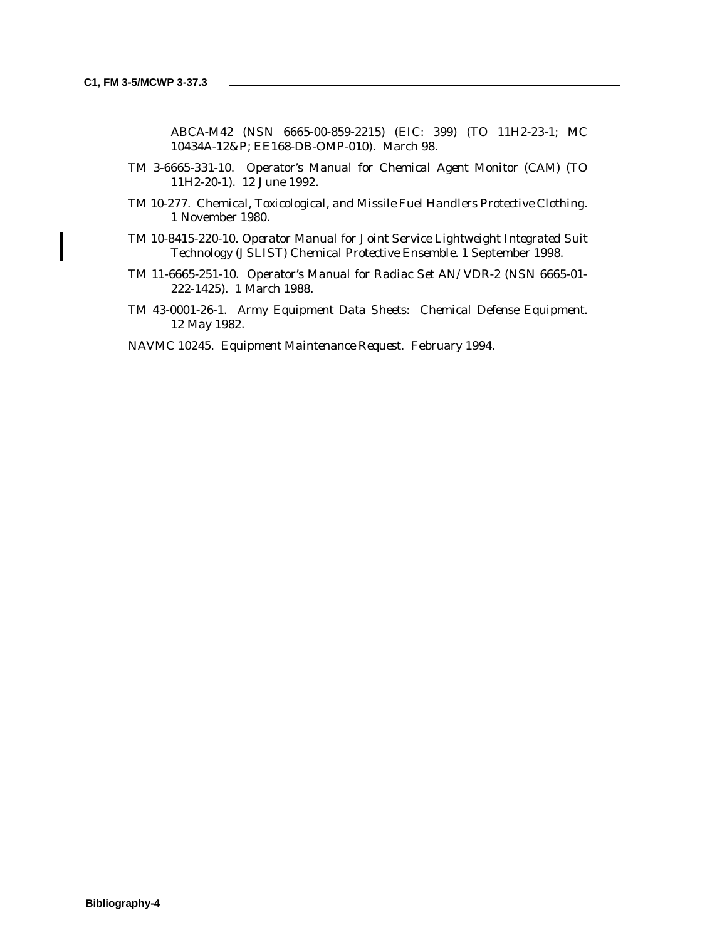*ABCA-M42 (NSN 6665-00-859-2215) (EIC: 399) (TO 11H2-23-1; MC 10434A-12&P; EE168-DB-OMP-010)*. March 98.

- TM 3-6665-331-10. *Operator's Manual for Chemical Agent Monitor (CAM) (TO 11H2-20-1)*. 12 June 1992.
- TM 10-277. *Chemical, Toxicological, and Missile Fuel Handlers Protective Clothing*. 1 November 1980.
- TM 10-8415-220-10. *Operator Manual for Joint Service Lightweight Integrated Suit Technology (JSLIST) Chemical Protective Ensemble.* 1 September 1998.
- TM 11-6665-251-10. *Operator's Manual for Radiac Set AN/VDR-2 (NSN 6665-01- 222-1425)*. 1 March 1988.
- TM 43-0001-26-1. *Army Equipment Data Sheets: Chemical Defense Equipment*. 12 May 1982.
- NAVMC 10245. *Equipment Maintenance Request.* February 1994.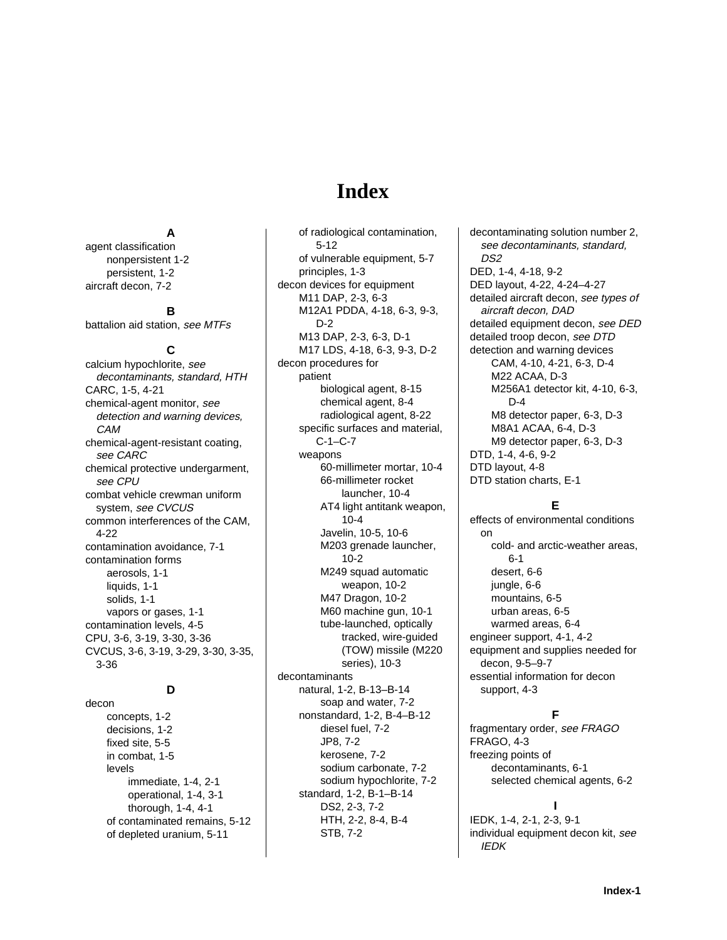## **Index**

### **A**

agent classification nonpersistent 1-2 persistent, 1-2 aircraft decon, 7-2

#### **B**

battalion aid station, see MTFs

### **C**

calcium hypochlorite, see decontaminants, standard, HTH CARC, 1-5, 4-21 chemical-agent monitor, see detection and warning devices, CAM chemical-agent-resistant coating, see CARC chemical protective undergarment, see CPU combat vehicle crewman uniform system, see CVCUS common interferences of the CAM, 4-22 contamination avoidance, 7-1 contamination forms aerosols, 1-1 liquids, 1-1 solids, 1-1 vapors or gases, 1-1 contamination levels, 4-5 CPU, 3-6, 3-19, 3-30, 3-36 CVCUS, 3-6, 3-19, 3-29, 3-30, 3-35, 3-36

#### **D**

decon concepts, 1-2 decisions, 1-2 fixed site, 5-5 in combat, 1-5 levels immediate, 1-4, 2-1 operational, 1-4, 3-1 thorough, 1-4, 4-1 of contaminated remains, 5-12 of depleted uranium, 5-11

of radiological contamination, 5-12 of vulnerable equipment, 5-7 principles, 1-3 decon devices for equipment M11 DAP, 2-3, 6-3 M12A1 PDDA, 4-18, 6-3, 9-3,  $D-2$ M13 DAP, 2-3, 6-3, D-1 M17 LDS, 4-18, 6-3, 9-3, D-2 decon procedures for patient biological agent, 8-15 chemical agent, 8-4 radiological agent, 8-22 specific surfaces and material, C-1–C-7 weapons 60-millimeter mortar, 10-4 66-millimeter rocket launcher, 10-4 AT4 light antitank weapon, 10-4 Javelin, 10-5, 10-6 M203 grenade launcher, 10-2 M249 squad automatic weapon, 10-2 M47 Dragon, 10-2 M60 machine gun, 10-1 tube-launched, optically tracked, wire-guided (TOW) missile (M220 series), 10-3 decontaminants natural, 1-2, B-13–B-14 soap and water, 7-2 nonstandard, 1-2, B-4–B-12 diesel fuel, 7-2 JP8, 7-2 kerosene, 7-2 sodium carbonate, 7-2 sodium hypochlorite, 7-2 standard, 1-2, B-1–B-14 DS2, 2-3, 7-2 HTH, 2-2, 8-4, B-4 STB, 7-2

decontaminating solution number 2, see decontaminants, standard, DS<sub>2</sub> DED, 1-4, 4-18, 9-2 DED layout, 4-22, 4-24–4-27 detailed aircraft decon, see types of aircraft decon, DAD detailed equipment decon, see DED detailed troop decon, see DTD detection and warning devices CAM, 4-10, 4-21, 6-3, D-4 M22 ACAA, D-3 M256A1 detector kit, 4-10, 6-3,  $D-4$ M8 detector paper, 6-3, D-3 M8A1 ACAA, 6-4, D-3 M9 detector paper, 6-3, D-3 DTD, 1-4, 4-6, 9-2 DTD layout, 4-8 DTD station charts, E-1

### **E**

effects of environmental conditions on cold- and arctic-weather areas, 6-1 desert, 6-6 jungle, 6-6 mountains, 6-5 urban areas, 6-5 warmed areas, 6-4 engineer support, 4-1, 4-2 equipment and supplies needed for decon, 9-5–9-7 essential information for decon support, 4-3

### **F**

fragmentary order, see FRAGO FRAGO, 4-3 freezing points of decontaminants, 6-1 selected chemical agents, 6-2

### **I**

IEDK, 1-4, 2-1, 2-3, 9-1 individual equipment decon kit, see IEDK